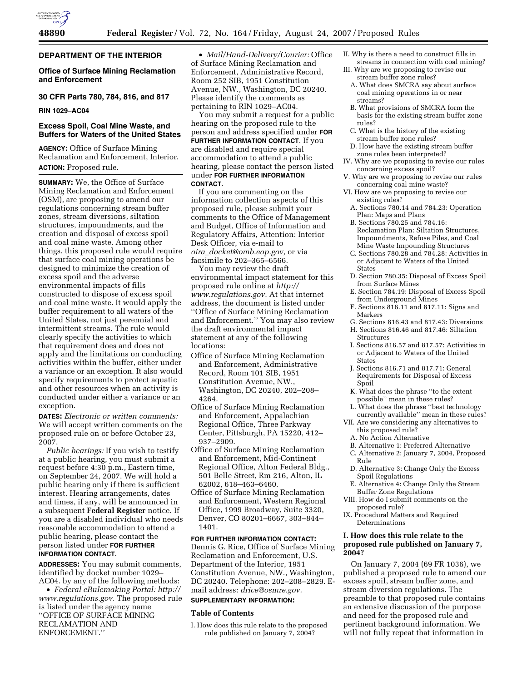# **DEPARTMENT OF THE INTERIOR**

**Office of Surface Mining Reclamation and Enforcement** 

# **30 CFR Parts 780, 784, 816, and 817**

**RIN 1029–AC04** 

# **Excess Spoil, Coal Mine Waste, and Buffers for Waters of the United States**

**AGENCY:** Office of Surface Mining Reclamation and Enforcement, Interior. **ACTION:** Proposed rule.

**SUMMARY:** We, the Office of Surface Mining Reclamation and Enforcement (OSM), are proposing to amend our regulations concerning stream buffer zones, stream diversions, siltation structures, impoundments, and the creation and disposal of excess spoil and coal mine waste. Among other things, this proposed rule would require that surface coal mining operations be designed to minimize the creation of excess spoil and the adverse environmental impacts of fills constructed to dispose of excess spoil and coal mine waste. It would apply the buffer requirement to all waters of the United States, not just perennial and intermittent streams. The rule would clearly specify the activities to which that requirement does and does not apply and the limitations on conducting activities within the buffer, either under a variance or an exception. It also would specify requirements to protect aquatic and other resources when an activity is conducted under either a variance or an exception.

**DATES:** *Electronic or written comments:*  We will accept written comments on the proposed rule on or before October 23, 2007.

*Public hearings:* If you wish to testify at a public hearing, you must submit a request before 4:30 p.m., Eastern time, on September 24, 2007. We will hold a public hearing only if there is sufficient interest. Hearing arrangements, dates and times, if any, will be announced in a subsequent **Federal Register** notice. If you are a disabled individual who needs reasonable accommodation to attend a public hearing, please contact the person listed under **FOR FURTHER INFORMATION CONTACT**.

**ADDRESSES:** You may submit comments, identified by docket number 1029– AC04. by any of the following methods:

• *Federal eRulemaking Portal: http:// www.regulations.gov.* The proposed rule is listed under the agency name ''OFFICE OF SURFACE MINING RECLAMATION AND ENFORCEMENT.''

• *Mail/Hand-Delivery/Courier:* Office of Surface Mining Reclamation and Enforcement, Administrative Record, Room 252 SIB, 1951 Constitution Avenue, NW., Washington, DC 20240. Please identify the comments as pertaining to RIN 1029–AC04.

You may submit a request for a public hearing on the proposed rule to the person and address specified under **FOR FURTHER INFORMATION CONTACT.** If you are disabled and require special accommodation to attend a public hearing, please contact the person listed under **FOR FURTHER INFORMATION CONTACT**.

If you are commenting on the information collection aspects of this proposed rule, please submit your comments to the Office of Management and Budget, Office of Information and Regulatory Affairs, Attention: Interior Desk Officer, via e-mail to *oira*\_*docket@omb.eop.gov,* or via facsimile to 202–365–6566.

You may review the draft environmental impact statement for this proposed rule online at *http:// www.regulations.gov.* At that internet address, the document is listed under ''Office of Surface Mining Reclamation and Enforcement.'' You may also review the draft environmental impact statement at any of the following locations:

- Office of Surface Mining Reclamation and Enforcement, Administrative Record, Room 101 SIB, 1951 Constitution Avenue, NW., Washington, DC 20240, 202–208– 4264.
- Office of Surface Mining Reclamation and Enforcement, Appalachian Regional Office, Three Parkway Center, Pittsburgh, PA 15220, 412– 937–2909.
- Office of Surface Mining Reclamation and Enforcement, Mid-Continent Regional Office, Alton Federal Bldg., 501 Belle Street, Rm 216, Alton, IL 62002, 618–463–6460.
- Office of Surface Mining Reclamation and Enforcement, Western Regional Office, 1999 Broadway, Suite 3320, Denver, CO 80201–6667, 303–844– 1401.

## **FOR FURTHER INFORMATION CONTACT:**

Dennis G. Rice, Office of Surface Mining Reclamation and Enforcement, U.S. Department of the Interior, 1951 Constitution Avenue, NW., Washington, DC 20240. Telephone: 202–208–2829. Email address: *drice@osmre.gov.* 

#### **SUPPLEMENTARY INFORMATION:**

# **Table of Contents**

I. How does this rule relate to the proposed rule published on January 7, 2004?

- II. Why is there a need to construct fills in streams in connection with coal mining?
- III. Why are we proposing to revise our stream buffer zone rules?
	- A. What does SMCRA say about surface coal mining operations in or near streams?
	- B. What provisions of SMCRA form the basis for the existing stream buffer zone rules?
- C. What is the history of the existing stream buffer zone rules?
- D. How have the existing stream buffer zone rules been interpreted?
- IV. Why are we proposing to revise our rules concerning excess spoil?
- V. Why are we proposing to revise our rules concerning coal mine waste?
- VI. How are we proposing to revise our existing rules?
	- A. Sections 780.14 and 784.23: Operation Plan: Maps and Plans
	- B. Sections 780.25 and 784.16: Reclamation Plan: Siltation Structures, Impoundments, Refuse Piles, and Coal Mine Waste Impounding Structures
	- C. Sections 780.28 and 784.28: Activities in or Adjacent to Waters of the United **States**
	- D. Section 780.35: Disposal of Excess Spoil from Surface Mines
	- E. Section 784.19: Disposal of Excess Spoil from Underground Mines
	- F. Sections 816.11 and 817.11: Signs and Markers
	- G. Sections 816.43 and 817.43: Diversions
	- H. Sections 816.46 and 817.46: Siltation Structures
	- I. Sections 816.57 and 817.57: Activities in or Adjacent to Waters of the United States
	- J. Sections 816.71 and 817.71: General Requirements for Disposal of Excess Spoil
	- K. What does the phrase ''to the extent possible'' mean in these rules?
- L. What does the phrase ''best technology currently available'' mean in these rules?
- VII. Are we considering any alternatives to this proposed rule?
	- A. No Action Alternative
- B. Alternative 1: Preferred Alternative
- C. Alternative 2: January 7, 2004, Proposed Rule
- D. Alternative 3: Change Only the Excess Spoil Regulations
- E. Alternative 4: Change Only the Stream Buffer Zone Regulations
- VIII. How do I submit comments on the proposed rule?
- IX. Procedural Matters and Required Determinations

# **I. How does this rule relate to the proposed rule published on January 7, 2004?**

On January 7, 2004 (69 FR 1036), we published a proposed rule to amend our excess spoil, stream buffer zone, and stream diversion regulations. The preamble to that proposed rule contains an extensive discussion of the purpose and need for the proposed rule and pertinent background information. We will not fully repeat that information in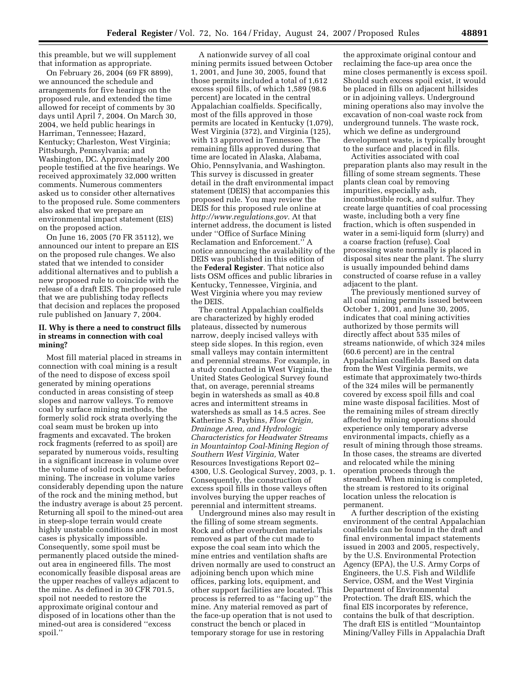this preamble, but we will supplement that information as appropriate.

On February 26, 2004 (69 FR 8899), we announced the schedule and arrangements for five hearings on the proposed rule, and extended the time allowed for receipt of comments by 30 days until April 7, 2004. On March 30, 2004, we held public hearings in Harriman, Tennessee; Hazard, Kentucky; Charleston, West Virginia; Pittsburgh, Pennsylvania; and Washington, DC. Approximately 200 people testified at the five hearings. We received approximately 32,000 written comments. Numerous commenters asked us to consider other alternatives to the proposed rule. Some commenters also asked that we prepare an environmental impact statement (EIS) on the proposed action.

On June 16, 2005 (70 FR 35112), we announced our intent to prepare an EIS on the proposed rule changes. We also stated that we intended to consider additional alternatives and to publish a new proposed rule to coincide with the release of a draft EIS. The proposed rule that we are publishing today reflects that decision and replaces the proposed rule published on January 7, 2004.

## **II. Why is there a need to construct fills in streams in connection with coal mining?**

Most fill material placed in streams in connection with coal mining is a result of the need to dispose of excess spoil generated by mining operations conducted in areas consisting of steep slopes and narrow valleys. To remove coal by surface mining methods, the formerly solid rock strata overlying the coal seam must be broken up into fragments and excavated. The broken rock fragments (referred to as spoil) are separated by numerous voids, resulting in a significant increase in volume over the volume of solid rock in place before mining. The increase in volume varies considerably depending upon the nature of the rock and the mining method, but the industry average is about 25 percent. Returning all spoil to the mined-out area in steep-slope terrain would create highly unstable conditions and in most cases is physically impossible. Consequently, some spoil must be permanently placed outside the minedout area in engineered fills. The most economically feasible disposal areas are the upper reaches of valleys adjacent to the mine. As defined in 30 CFR 701.5, spoil not needed to restore the approximate original contour and disposed of in locations other than the mined-out area is considered ''excess spoil.''

A nationwide survey of all coal mining permits issued between October 1, 2001, and June 30, 2005, found that those permits included a total of 1,612 excess spoil fills, of which 1,589 (98.6 percent) are located in the central Appalachian coalfields. Specifically, most of the fills approved in those permits are located in Kentucky (1,079), West Virginia (372), and Virginia (125), with 13 approved in Tennessee. The remaining fills approved during that time are located in Alaska, Alabama, Ohio, Pennsylvania, and Washington. This survey is discussed in greater detail in the draft environmental impact statement (DEIS) that accompanies this proposed rule. You may review the DEIS for this proposed rule online at *http://www.regulations.gov.* At that internet address, the document is listed under ''Office of Surface Mining Reclamation and Enforcement.'' A notice announcing the availability of the DEIS was published in this edition of the **Federal Register**. That notice also lists OSM offices and public libraries in Kentucky, Tennessee, Virginia, and West Virginia where you may review the DEIS.

The central Appalachian coalfields are characterized by highly eroded plateaus, dissected by numerous narrow, deeply incised valleys with steep side slopes. In this region, even small valleys may contain intermittent and perennial streams. For example, in a study conducted in West Virginia, the United States Geological Survey found that, on average, perennial streams begin in watersheds as small as 40.8 acres and intermittent streams in watersheds as small as 14.5 acres. See Katherine S. Paybins, *Flow Origin, Drainage Area, and Hydrologic Characteristics for Headwater Streams in Mountaintop Coal-Mining Region of Southern West Virginia,* Water Resources Investigations Report 02– 4300, U.S. Geological Survey, 2003, p. 1. Consequently, the construction of excess spoil fills in those valleys often involves burying the upper reaches of perennial and intermittent streams.

Underground mines also may result in the filling of some stream segments. Rock and other overburden materials removed as part of the cut made to expose the coal seam into which the mine entries and ventilation shafts are driven normally are used to construct an adjoining bench upon which mine offices, parking lots, equipment, and other support facilities are located. This process is referred to as ''facing up'' the mine. Any material removed as part of the face-up operation that is not used to construct the bench or placed in temporary storage for use in restoring

the approximate original contour and reclaiming the face-up area once the mine closes permanently is excess spoil. Should such excess spoil exist, it would be placed in fills on adjacent hillsides or in adjoining valleys. Underground mining operations also may involve the excavation of non-coal waste rock from underground tunnels. The waste rock, which we define as underground development waste, is typically brought to the surface and placed in fills.

Activities associated with coal preparation plants also may result in the filling of some stream segments. These plants clean coal by removing impurities, especially ash, incombustible rock, and sulfur. They create large quantities of coal processing waste, including both a very fine fraction, which is often suspended in water in a semi-liquid form (slurry) and a coarse fraction (refuse). Coal processing waste normally is placed in disposal sites near the plant. The slurry is usually impounded behind dams constructed of coarse refuse in a valley adjacent to the plant.

The previously mentioned survey of all coal mining permits issued between October 1, 2001, and June 30, 2005, indicates that coal mining activities authorized by those permits will directly affect about 535 miles of streams nationwide, of which 324 miles (60.6 percent) are in the central Appalachian coalfields. Based on data from the West Virginia permits, we estimate that approximately two-thirds of the 324 miles will be permanently covered by excess spoil fills and coal mine waste disposal facilities. Most of the remaining miles of stream directly affected by mining operations should experience only temporary adverse environmental impacts, chiefly as a result of mining through those streams. In those cases, the streams are diverted and relocated while the mining operation proceeds through the streambed. When mining is completed, the stream is restored to its original location unless the relocation is permanent.

A further description of the existing environment of the central Appalachian coalfields can be found in the draft and final environmental impact statements issued in 2003 and 2005, respectively, by the U.S. Environmental Protection Agency (EPA), the U.S. Army Corps of Engineers, the U.S. Fish and Wildlife Service, OSM, and the West Virginia Department of Environmental Protection. The draft EIS, which the final EIS incorporates by reference, contains the bulk of that description. The draft EIS is entitled ''Mountaintop Mining/Valley Fills in Appalachia Draft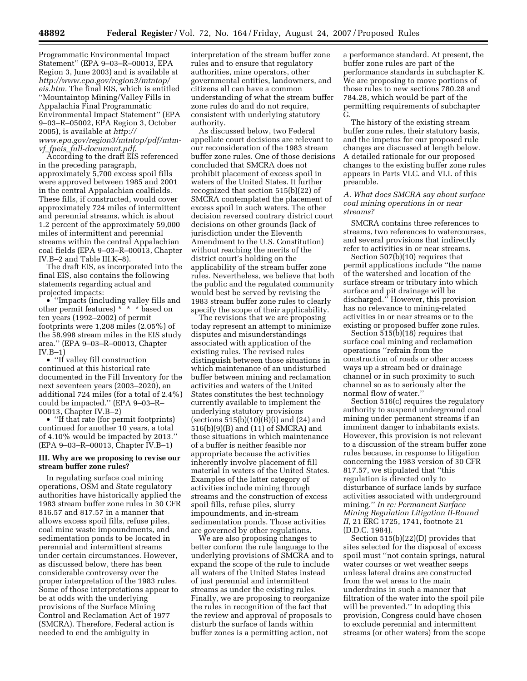Programmatic Environmental Impact Statement'' (EPA 9–03–R–00013, EPA Region 3, June 2003) and is available at *http://www.epa.gov/region3/mtntop/ eis.htm.* The final EIS, which is entitled ''Mountaintop Mining/Valley Fills in Appalachia Final Programmatic Environmental Impact Statement'' (EPA 9–03–R–05002, EPA Region 3, October 2005), is available at *http:// www.epa.gov/region3/mtntop/pdf/mtmvf*\_*fpeis*\_*full-document.pdf*.

According to the draft EIS referenced in the preceding paragraph, approximately 5,700 excess spoil fills were approved between 1985 and 2001 in the central Appalachian coalfields. These fills, if constructed, would cover approximately 724 miles of intermittent and perennial streams, which is about 1.2 percent of the approximately 59,000 miles of intermittent and perennial streams within the central Appalachian coal fields (EPA 9–03–R–00013, Chapter IV.B–2 and Table III.K–8).

The draft EIS, as incorporated into the final EIS, also contains the following statements regarding actual and projected impacts:

• ''Impacts (including valley fills and other permit features) \* \* \* based on ten years (1992–2002) of permit footprints were 1,208 miles (2.05%) of the 58,998 stream miles in the EIS study area.'' (EPA 9–03–R–00013, Chapter  $IV.B-1)$ 

• ''If valley fill construction continued at this historical rate documented in the Fill Inventory for the next seventeen years (2003–2020), an additional 724 miles (for a total of 2.4%) could be impacted.'' (EPA 9–03–R– 00013, Chapter IV.B–2)

• "If that rate (for permit footprints) continued for another 10 years, a total of 4.10% would be impacted by 2013.'' (EPA 9–03–R–00013, Chapter IV.B–1)

## **III. Why are we proposing to revise our stream buffer zone rules?**

In regulating surface coal mining operations, OSM and State regulatory authorities have historically applied the 1983 stream buffer zone rules in 30 CFR 816.57 and 817.57 in a manner that allows excess spoil fills, refuse piles, coal mine waste impoundments, and sedimentation ponds to be located in perennial and intermittent streams under certain circumstances. However, as discussed below, there has been considerable controversy over the proper interpretation of the 1983 rules. Some of those interpretations appear to be at odds with the underlying provisions of the Surface Mining Control and Reclamation Act of 1977 (SMCRA). Therefore, Federal action is needed to end the ambiguity in

interpretation of the stream buffer zone rules and to ensure that regulatory authorities, mine operators, other governmental entities, landowners, and citizens all can have a common understanding of what the stream buffer zone rules do and do not require, consistent with underlying statutory authority.

As discussed below, two Federal appellate court decisions are relevant to our reconsideration of the 1983 stream buffer zone rules. One of those decisions concluded that SMCRA does not prohibit placement of excess spoil in waters of the United States. It further recognized that section 515(b)(22) of SMCRA contemplated the placement of excess spoil in such waters. The other decision reversed contrary district court decisions on other grounds (lack of jurisdiction under the Eleventh Amendment to the U.S. Constitution) without reaching the merits of the district court's holding on the applicability of the stream buffer zone rules. Nevertheless, we believe that both the public and the regulated community would best be served by revising the 1983 stream buffer zone rules to clearly specify the scope of their applicability.

The revisions that we are proposing today represent an attempt to minimize disputes and misunderstandings associated with application of the existing rules. The revised rules distinguish between those situations in which maintenance of an undisturbed buffer between mining and reclamation activities and waters of the United States constitutes the best technology currently available to implement the underlying statutory provisions (sections  $\overline{515(b)(10)(B)}$ )(i) and (24) and 516(b)(9)(B) and (11) of SMCRA) and those situations in which maintenance of a buffer is neither feasible nor appropriate because the activities inherently involve placement of fill material in waters of the United States. Examples of the latter category of activities include mining through streams and the construction of excess spoil fills, refuse piles, slurry impoundments, and in-stream sedimentation ponds. Those activities are governed by other regulations.

We are also proposing changes to better conform the rule language to the underlying provisions of SMCRA and to expand the scope of the rule to include all waters of the United States instead of just perennial and intermittent streams as under the existing rules. Finally, we are proposing to reorganize the rules in recognition of the fact that the review and approval of proposals to disturb the surface of lands within buffer zones is a permitting action, not

a performance standard. At present, the buffer zone rules are part of the performance standards in subchapter K. We are proposing to move portions of those rules to new sections 780.28 and 784.28, which would be part of the permitting requirements of subchapter G.

The history of the existing stream buffer zone rules, their statutory basis, and the impetus for our proposed rule changes are discussed at length below. A detailed rationale for our proposed changes to the existing buffer zone rules appears in Parts VI.C. and VI.I. of this preamble.

*A. What does SMCRA say about surface coal mining operations in or near streams?* 

SMCRA contains three references to streams, two references to watercourses, and several provisions that indirectly refer to activities in or near streams.

Section 507(b)(10) requires that permit applications include ''the name of the watershed and location of the surface stream or tributary into which surface and pit drainage will be discharged.'' However, this provision has no relevance to mining-related activities in or near streams or to the existing or proposed buffer zone rules.

Section 515(b)(18) requires that surface coal mining and reclamation operations ''refrain from the construction of roads or other access ways up a stream bed or drainage channel or in such proximity to such channel so as to seriously alter the normal flow of water.''

Section 516(c) requires the regulatory authority to suspend underground coal mining under permanent streams if an imminent danger to inhabitants exists. However, this provision is not relevant to a discussion of the stream buffer zone rules because, in response to litigation concerning the 1983 version of 30 CFR 817.57, we stipulated that ''this regulation is directed only to disturbance of surface lands by surface activities associated with underground mining.'' *In re: Permanent Surface Mining Regulation Litigation II-Round II,* 21 ERC 1725, 1741, footnote 21 (D.D.C. 1984).

Section 515(b)(22)(D) provides that sites selected for the disposal of excess spoil must ''not contain springs, natural water courses or wet weather seeps unless lateral drains are constructed from the wet areas to the main underdrains in such a manner that filtration of the water into the spoil pile will be prevented.'' In adopting this provision, Congress could have chosen to exclude perennial and intermittent streams (or other waters) from the scope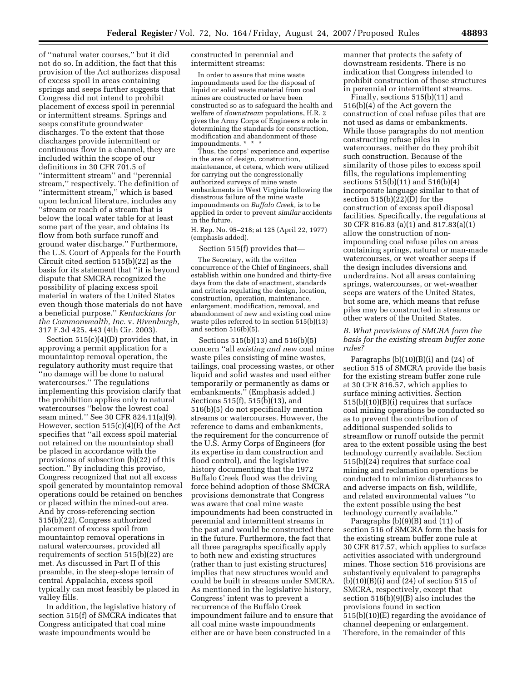of ''natural water courses,'' but it did not do so. In addition, the fact that this provision of the Act authorizes disposal of excess spoil in areas containing springs and seeps further suggests that Congress did not intend to prohibit placement of excess spoil in perennial or intermittent streams. Springs and seeps constitute groundwater discharges. To the extent that those discharges provide intermittent or continuous flow in a channel, they are included within the scope of our definitions in 30 CFR 701.5 of ''intermittent stream'' and ''perennial stream,'' respectively. The definition of ''intermittent stream,'' which is based upon technical literature, includes any ''stream or reach of a stream that is below the local water table for at least some part of the year, and obtains its flow from both surface runoff and ground water discharge.'' Furthermore, the U.S. Court of Appeals for the Fourth Circuit cited section 515(b)(22) as the basis for its statement that ''it is beyond dispute that SMCRA recognized the possibility of placing excess spoil material in waters of the United States even though those materials do not have a beneficial purpose.'' *Kentuckians for the Commonwealth, Inc.* v. *Rivenburgh,*  317 F.3d 425, 443 (4th Cir. 2003).

Section 515(c)(4)(D) provides that, in approving a permit application for a mountaintop removal operation, the regulatory authority must require that ''no damage will be done to natural watercourses.'' The regulations implementing this provision clarify that the prohibition applies only to natural watercourses ''below the lowest coal seam mined.'' See 30 CFR 824.11(a)(9). However, section 515(c)(4)(E) of the Act specifies that ''all excess spoil material not retained on the mountaintop shall be placed in accordance with the provisions of subsection (b)(22) of this section.'' By including this proviso, Congress recognized that not all excess spoil generated by mountaintop removal operations could be retained on benches or placed within the mined-out area. And by cross-referencing section 515(b)(22), Congress authorized placement of excess spoil from mountaintop removal operations in natural watercourses, provided all requirements of section 515(b)(22) are met. As discussed in Part II of this preamble, in the steep-slope terrain of central Appalachia, excess spoil typically can most feasibly be placed in valley fills.

In addition, the legislative history of section 515(f) of SMCRA indicates that Congress anticipated that coal mine waste impoundments would be

constructed in perennial and intermittent streams:

In order to assure that mine waste impoundments used for the disposal of liquid or solid waste material from coal mines are constructed or have been constructed so as to safeguard the health and welfare of *downstream* populations, H.R. 2 gives the Army Corps of Engineers a role in determining the standards for construction, modification and abandonment of these impoundments. \* \* \*

Thus, the corps' experience and expertise in the area of design, construction, maintenance, et cetera, which were utilized for carrying out the congressionally authorized surveys of mine waste embankments in West Virginia following the disastrous failure of the mine waste impoundments on *Buffalo Creek,* is to be applied in order to prevent *similar* accidents in the future.

H. Rep. No. 95–218; at 125 (April 22, 1977) (emphasis added).

Section 515(f) provides that—

The Secretary, with the written concurrence of the Chief of Engineers, shall establish within one hundred and thirty-five days from the date of enactment, standards and criteria regulating the design, location, construction, operation, maintenance, enlargement, modification, removal, and abandonment of new and existing coal mine waste piles referred to in section 515(b)(13) and section 516(b)(5).

Sections 515(b)(13) and 516(b)(5) concern ''all *existing and new* coal mine waste piles consisting of mine wastes, tailings, coal processing wastes, or other liquid and solid wastes and used either temporarily or permanently as dams or embankments.'' (Emphasis added.) Sections 515(f), 515(b)(13), and 516(b)(5) do not specifically mention streams or watercourses. However, the reference to dams and embankments, the requirement for the concurrence of the U.S. Army Corps of Engineers (for its expertise in dam construction and flood control), and the legislative history documenting that the 1972 Buffalo Creek flood was the driving force behind adoption of those SMCRA provisions demonstrate that Congress was aware that coal mine waste impoundments had been constructed in perennial and intermittent streams in the past and would be constructed there in the future. Furthermore, the fact that all three paragraphs specifically apply to both new and existing structures (rather than to just existing structures) implies that new structures would and could be built in streams under SMCRA. As mentioned in the legislative history, Congress' intent was to prevent a recurrence of the Buffalo Creek impoundment failure and to ensure that all coal mine waste impoundments either are or have been constructed in a

manner that protects the safety of downstream residents. There is no indication that Congress intended to prohibit construction of those structures in perennial or intermittent streams.

Finally, sections 515(b)(11) and 516(b)(4) of the Act govern the construction of coal refuse piles that are not used as dams or embankments. While those paragraphs do not mention constructing refuse piles in watercourses, neither do they prohibit such construction. Because of the similarity of those piles to excess spoil fills, the regulations implementing sections 515(b)(11) and 516(b)(4) incorporate language similar to that of section 515(b)(22)(D) for the construction of excess spoil disposal facilities. Specifically, the regulations at 30 CFR 816.83 (a)(1) and 817.83(a)(1) allow the construction of nonimpounding coal refuse piles on areas containing springs, natural or man-made watercourses, or wet weather seeps if the design includes diversions and underdrains. Not all areas containing springs, watercourses, or wet-weather seeps are waters of the United States, but some are, which means that refuse piles may be constructed in streams or other waters of the United States.

# *B. What provisions of SMCRA form the basis for the existing stream buffer zone rules?*

Paragraphs  $(b)(10)(B)(i)$  and  $(24)$  of section 515 of SMCRA provide the basis for the existing stream buffer zone rule at 30 CFR 816.57, which applies to surface mining activities. Section 515(b)(10)(B)(i) requires that surface coal mining operations be conducted so as to prevent the contribution of additional suspended solids to streamflow or runoff outside the permit area to the extent possible using the best technology currently available. Section 515(b)(24) requires that surface coal mining and reclamation operations be conducted to minimize disturbances to and adverse impacts on fish, wildlife, and related environmental values ''to the extent possible using the best technology currently available.''

Paragraphs (b)(9)(B) and (11) of section 516 of SMCRA form the basis for the existing stream buffer zone rule at 30 CFR 817.57, which applies to surface activities associated with underground mines. Those section 516 provisions are substantively equivalent to paragraphs  $(b)(10)(B)(i)$  and  $(24)$  of section 515 of SMCRA, respectively, except that section 516(b)(9)(B) also includes the provisions found in section 515(b)(10)(E) regarding the avoidance of channel deepening or enlargement. Therefore, in the remainder of this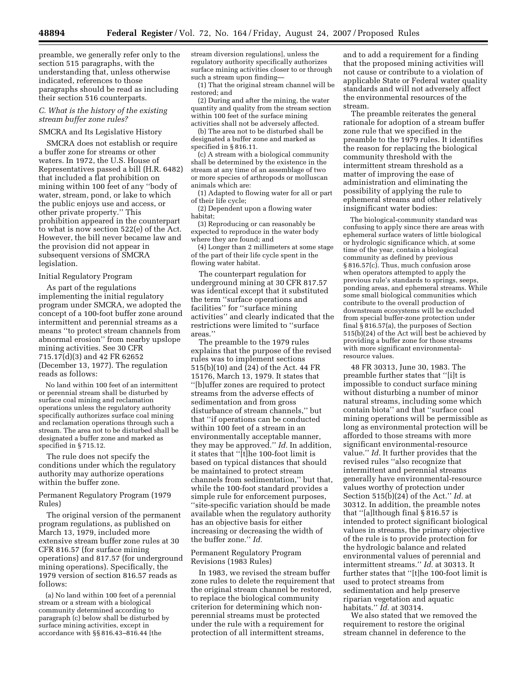preamble, we generally refer only to the section 515 paragraphs, with the understanding that, unless otherwise indicated, references to those paragraphs should be read as including their section 516 counterparts.

# *C. What is the history of the existing stream buffer zone rules?*

# SMCRA and Its Legislative History

SMCRA does not establish or require a buffer zone for streams or other waters. In 1972, the U.S. House of Representatives passed a bill (H.R. 6482) that included a flat prohibition on mining within 100 feet of any ''body of water, stream, pond, or lake to which the public enjoys use and access, or other private property.'' This prohibition appeared in the counterpart to what is now section 522(e) of the Act. However, the bill never became law and the provision did not appear in subsequent versions of SMCRA legislation.

# Initial Regulatory Program

As part of the regulations implementing the initial regulatory program under SMCRA, we adopted the concept of a 100-foot buffer zone around intermittent and perennial streams as a means ''to protect stream channels from abnormal erosion'' from nearby upslope mining activities. See 30 CFR 715.17(d)(3) and 42 FR 62652 (December 13, 1977). The regulation reads as follows:

No land within 100 feet of an intermittent or perennial stream shall be disturbed by surface coal mining and reclamation operations unless the regulatory authority specifically authorizes surface coal mining and reclamation operations through such a stream. The area not to be disturbed shall be designated a buffer zone and marked as specified in § 715.12.

The rule does not specify the conditions under which the regulatory authority may authorize operations within the buffer zone.

## Permanent Regulatory Program (1979 Rules)

The original version of the permanent program regulations, as published on March 13, 1979, included more extensive stream buffer zone rules at 30 CFR 816.57 (for surface mining operations) and 817.57 (for underground mining operations). Specifically, the 1979 version of section 816.57 reads as follows:

(a) No land within 100 feet of a perennial stream or a stream with a biological community determined according to paragraph (c) below shall be disturbed by surface mining activities, except in accordance with §§ 816.43–816.44 [the

stream diversion regulations], unless the regulatory authority specifically authorizes surface mining activities closer to or through such a stream upon finding—

(1) That the original stream channel will be restored; and

(2) During and after the mining, the water quantity and quality from the stream section within 100 feet of the surface mining activities shall not be adversely affected.

(b) The area not to be disturbed shall be designated a buffer zone and marked as specified in § 816.11.

(c) A stream with a biological community shall be determined by the existence in the stream at any time of an assemblage of two or more species of arthropods or molluscan animals which are:

(1) Adapted to flowing water for all or part of their life cycle;

(2) Dependent upon a flowing water habitat;

(3) Reproducing or can reasonably be expected to reproduce in the water body where they are found; and

(4) Longer than 2 millimeters at some stage of the part of their life cycle spent in the flowing water habitat.

The counterpart regulation for underground mining at 30 CFR 817.57 was identical except that it substituted the term ''surface operations and facilities'' for ''surface mining activities'' and clearly indicated that the restrictions were limited to ''surface areas.''

The preamble to the 1979 rules explains that the purpose of the revised rules was to implement sections 515(b)(10) and (24) of the Act. 44 FR 15176, March 13, 1979. It states that ''[b]uffer zones are required to protect streams from the adverse effects of sedimentation and from gross disturbance of stream channels,'' but that ''if operations can be conducted within 100 feet of a stream in an environmentally acceptable manner, they may be approved.'' *Id.* In addition, it states that ''[t]he 100-foot limit is based on typical distances that should be maintained to protect stream channels from sedimentation,'' but that, while the 100-foot standard provides a simple rule for enforcement purposes, ''site-specific variation should be made available when the regulatory authority has an objective basis for either increasing or decreasing the width of the buffer zone.'' *Id.* 

## Permanent Regulatory Program Revisions (1983 Rules)

In 1983, we revised the stream buffer zone rules to delete the requirement that the original stream channel be restored, to replace the biological community criterion for determining which nonperennial streams must be protected under the rule with a requirement for protection of all intermittent streams,

and to add a requirement for a finding that the proposed mining activities will not cause or contribute to a violation of applicable State or Federal water quality standards and will not adversely affect the environmental resources of the stream.

The preamble reiterates the general rationale for adoption of a stream buffer zone rule that we specified in the preamble to the 1979 rules. It identifies the reason for replacing the biological community threshold with the intermittent stream threshold as a matter of improving the ease of administration and eliminating the possibility of applying the rule to ephemeral streams and other relatively insignificant water bodies:

The biological-community standard was confusing to apply since there are areas with ephemeral surface waters of little biological or hydrologic significance which, at some time of the year, contain a biological community as defined by previous § 816.57(c). Thus, much confusion arose when operators attempted to apply the previous rule's standards to springs, seeps, ponding areas, and ephemeral streams. While some small biological communities which contribute to the overall production of downstream ecosystems will be excluded from special buffer-zone protection under final § 816.57(a), the purposes of Section 515(b)(24) of the Act will best be achieved by providing a buffer zone for those streams with more significant environmentalresource values.

48 FR 30313, June 30, 1983. The preamble further states that ''[i]t is impossible to conduct surface mining without disturbing a number of minor natural streams, including some which contain biota'' and that ''surface coal mining operations will be permissible as long as environmental protection will be afforded to those streams with more significant environmental-resource value.'' *Id.* It further provides that the revised rules ''also recognize that intermittent and perennial streams generally have environmental-resource values worthy of protection under Section 515(b)(24) of the Act.'' *Id.* at 30312. In addition, the preamble notes that ''[a]lthough final § 816.57 is intended to protect significant biological values in streams, the primary objective of the rule is to provide protection for the hydrologic balance and related environmental values of perennial and intermittent streams.'' *Id.* at 30313. It further states that ''[t]he 100-foot limit is used to protect streams from sedimentation and help preserve riparian vegetation and aquatic habitats.'' *Id.* at 30314.

We also stated that we removed the requirement to restore the original stream channel in deference to the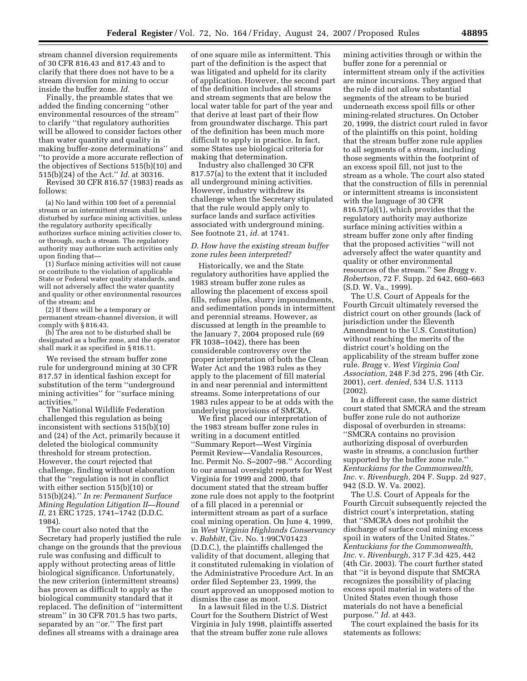stream channel diversion requirements of 30 CFR 816.43 and 817.43 and to clarify that there does not have to be a stream diversion for mining to occur inside the buffer zone. *Id.* 

Finally, the preamble states that we added the finding concerning ''other environmental resources of the stream'' to clarify ''that regulatory authorities will be allowed to consider factors other than water quantity and quality in making buffer-zone determinations'' and ''to provide a more accurate reflection of the objectives of Sections 515(b)(10) and 515(b)(24) of the Act.'' *Id.* at 30316.

Revised 30 CFR 816.57 (1983) reads as follows:

(a) No land within 100 feet of a perennial stream or an intermittent stream shall be disturbed by surface mining activities, unless the regulatory authority specifically authorizes surface mining activities closer to, or through, such a stream. The regulatory authority may authorize such activities only upon finding that—

(1) Surface mining activities will not cause or contribute to the violation of applicable State or Federal water quality standards, and will not adversely affect the water quantity and quality or other environmental resources of the stream; and

(2) If there will be a temporary or permanent stream-channel diversion, it will comply with § 816.43.

(b) The area not to be disturbed shall be designated as a buffer zone, and the operator shall mark it as specified in § 816.11.

We revised the stream buffer zone rule for underground mining at 30 CFR 817.57 in identical fashion except for substitution of the term ''underground mining activities'' for ''surface mining activities.''

The National Wildlife Federation challenged this regulation as being inconsistent with sections  $515(b)(10)$ and (24) of the Act, primarily because it deleted the biological community threshold for stream protection. However, the court rejected that challenge, finding without elaboration that the ''regulation is not in conflict with either section 515(b)(10) or 515(b)(24).'' *In re: Permanent Surface Mining Regulation Litigation II—Round II,* 21 ERC 1725, 1741–1742 (D.D.C. 1984).

The court also noted that the Secretary had properly justified the rule change on the grounds that the previous rule was confusing and difficult to apply without protecting areas of little biological significance. Unfortunately, the new criterion (intermittent streams) has proven as difficult to apply as the biological community standard that it replaced. The definition of ''intermittent stream'' in 30 CFR 701.5 has two parts, separated by an "or." The first part defines all streams with a drainage area

of one square mile as intermittent. This part of the definition is the aspect that was litigated and upheld for its clarity of application. However, the second part of the definition includes all streams and stream segments that are below the local water table for part of the year and that derive at least part of their flow from groundwater discharge. This part of the definition has been much more difficult to apply in practice. In fact, some States use biological criteria for making that determination.

Industry also challenged 30 CFR 817.57(a) to the extent that it included all underground mining activities. However, industry withdrew its challenge when the Secretary stipulated that the rule would apply only to surface lands and surface activities associated with underground mining. See footnote 21, *id.* at 1741.

# *D. How have the existing stream buffer zone rules been interpreted?*

Historically, we and the State regulatory authorities have applied the 1983 stream buffer zone rules as allowing the placement of excess spoil fills, refuse piles, slurry impoundments, and sedimentation ponds in intermittent and perennial streams. However, as discussed at length in the preamble to the January 7, 2004 proposed rule (69 FR 1038–1042), there has been considerable controversy over the proper interpretation of both the Clean Water Act and the 1983 rules as they apply to the placement of fill material in and near perennial and intermittent streams. Some interpretations of our 1983 rules appear to be at odds with the underlying provisions of SMCRA.

We first placed our interpretation of the 1983 stream buffer zone rules in writing in a document entitled ''Summary Report—West Virginia Permit Review—Vandalia Resources, Inc. Permit No. S–2007–98.'' According to our annual oversight reports for West Virginia for 1999 and 2000, that document stated that the stream buffer zone rule does not apply to the footprint of a fill placed in a perennial or intermittent stream as part of a surface coal mining operation. On June 4, 1999, in *West Virginia Highlands Conservancy*  v. *Babbitt,* Civ. No. 1:99CV01423 (D.D.C.), the plaintiffs challenged the validity of that document, alleging that it constituted rulemaking in violation of the Administrative Procedure Act. In an order filed September 23, 1999, the court approved an unopposed motion to dismiss the case as moot.

In a lawsuit filed in the U.S. District Court for the Southern District of West Virginia in July 1998, plaintiffs asserted that the stream buffer zone rule allows

mining activities through or within the buffer zone for a perennial or intermittent stream only if the activities are minor incursions. They argued that the rule did not allow substantial segments of the stream to be buried underneath excess spoil fills or other mining-related structures. On October 20, 1999, the district court ruled in favor of the plaintiffs on this point, holding that the stream buffer zone rule applies to all segments of a stream, including those segments within the footprint of an excess spoil fill, not just to the stream as a whole. The court also stated that the construction of fills in perennial or intermittent streams is inconsistent with the language of 30 CFR 816.57(a)(1), which provides that the regulatory authority may authorize surface mining activities within a stream buffer zone only after finding that the proposed activities ''will not adversely affect the water quantity and quality or other environmental resources of the stream.'' See *Bragg* v. *Robertson,* 72 F. Supp. 2d 642, 660–663 (S.D. W. Va., 1999).

The U.S. Court of Appeals for the Fourth Circuit ultimately reversed the district court on other grounds (lack of jurisdiction under the Eleventh Amendment to the U.S. Constitution) without reaching the merits of the district court's holding on the applicability of the stream buffer zone rule. *Bragg* v. *West Virginia Coal Association,* 248 F.3d 275, 296 (4th Cir. 2001), *cert. denied,* 534 U.S. 1113 (2002).

In a different case, the same district court stated that SMCRA and the stream buffer zone rule do not authorize disposal of overburden in streams: ''SMCRA contains no provision authorizing disposal of overburden waste in streams, a conclusion further supported by the buffer zone rule.'' *Kentuckians for the Commonwealth, Inc.* v. *Rivenburgh,* 204 F. Supp. 2d 927, 942 (S.D. W. Va. 2002).

The U.S. Court of Appeals for the Fourth Circuit subsequently rejected the district court's interpretation, stating that ''SMCRA does not prohibit the discharge of surface coal mining excess spoil in waters of the United States.'' *Kentuckians for the Commonwealth, Inc.* v. *Rivenburgh,* 317 F.3d 425, 442 (4th Cir. 2003). The court further stated that ''it is beyond dispute that SMCRA recognizes the possibility of placing excess spoil material in waters of the United States even though those materials do not have a beneficial purpose.'' *Id.* at 443.

The court explained the basis for its statements as follows: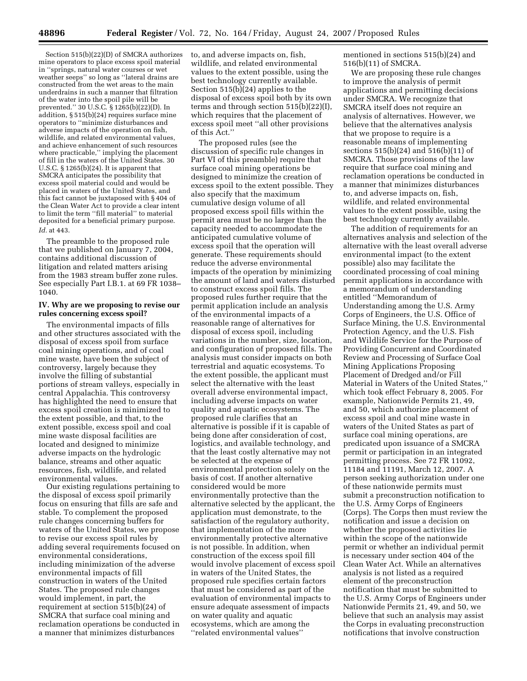Section 515(b)(22)(D) of SMCRA authorizes mine operators to place excess spoil material in ''springs, natural water courses or wet weather seeps'' so long as ''lateral drains are constructed from the wet areas to the main underdrains in such a manner that filtration of the water into the spoil pile will be prevented.'' 30 U.S.C. § 1265(b)(22)(D). In addition, § 515(b)(24) requires surface mine operators to ''minimize disturbances and adverse impacts of the operation on fish, wildlife, and related environmental values, and achieve enhancement of such resources where practicable,'' implying the placement of fill in the waters of the United States. 30 U.S.C.  $\S 1265(b)(24)$ . It is apparent that SMCRA anticipates the possibility that excess spoil material could and would be placed in waters of the United States, and this fact cannot be juxtaposed with § 404 of the Clean Water Act to provide a clear intent to limit the term ''fill material'' to material deposited for a beneficial primary purpose. *Id.* at 443.

The preamble to the proposed rule that we published on January 7, 2004, contains additional discussion of litigation and related matters arising from the 1983 stream buffer zone rules. See especially Part I.B.1. at 69 FR 1038– 1040.

## **IV. Why are we proposing to revise our rules concerning excess spoil?**

The environmental impacts of fills and other structures associated with the disposal of excess spoil from surface coal mining operations, and of coal mine waste, have been the subject of controversy, largely because they involve the filling of substantial portions of stream valleys, especially in central Appalachia. This controversy has highlighted the need to ensure that excess spoil creation is minimized to the extent possible, and that, to the extent possible, excess spoil and coal mine waste disposal facilities are located and designed to minimize adverse impacts on the hydrologic balance, streams and other aquatic resources, fish, wildlife, and related environmental values.

Our existing regulations pertaining to the disposal of excess spoil primarily focus on ensuring that fills are safe and stable. To complement the proposed rule changes concerning buffers for waters of the United States, we propose to revise our excess spoil rules by adding several requirements focused on environmental considerations, including minimization of the adverse environmental impacts of fill construction in waters of the United States. The proposed rule changes would implement, in part, the requirement at section 515(b)(24) of SMCRA that surface coal mining and reclamation operations be conducted in a manner that minimizes disturbances

to, and adverse impacts on, fish, wildlife, and related environmental values to the extent possible, using the best technology currently available. Section 515(b)(24) applies to the disposal of excess spoil both by its own terms and through section 515(b)(22)(I), which requires that the placement of excess spoil meet ''all other provisions of this Act.''

The proposed rules (see the discussion of specific rule changes in Part VI of this preamble) require that surface coal mining operations be designed to minimize the creation of excess spoil to the extent possible. They also specify that the maximum cumulative design volume of all proposed excess spoil fills within the permit area must be no larger than the capacity needed to accommodate the anticipated cumulative volume of excess spoil that the operation will generate. These requirements should reduce the adverse environmental impacts of the operation by minimizing the amount of land and waters disturbed to construct excess spoil fills. The proposed rules further require that the permit application include an analysis of the environmental impacts of a reasonable range of alternatives for disposal of excess spoil, including variations in the number, size, location, and configuration of proposed fills. The analysis must consider impacts on both terrestrial and aquatic ecosystems. To the extent possible, the applicant must select the alternative with the least overall adverse environmental impact, including adverse impacts on water quality and aquatic ecosystems. The proposed rule clarifies that an alternative is possible if it is capable of being done after consideration of cost, logistics, and available technology, and that the least costly alternative may not be selected at the expense of environmental protection solely on the basis of cost. If another alternative considered would be more environmentally protective than the alternative selected by the applicant, the application must demonstrate, to the satisfaction of the regulatory authority, that implementation of the more environmentally protective alternative is not possible. In addition, when construction of the excess spoil fill would involve placement of excess spoil in waters of the United States, the proposed rule specifies certain factors that must be considered as part of the evaluation of environmental impacts to ensure adequate assessment of impacts on water quality and aquatic ecosystems, which are among the ''related environmental values''

mentioned in sections 515(b)(24) and 516(b)(11) of SMCRA.

We are proposing these rule changes to improve the analysis of permit applications and permitting decisions under SMCRA. We recognize that SMCRA itself does not require an analysis of alternatives. However, we believe that the alternatives analysis that we propose to require is a reasonable means of implementing sections 515(b)(24) and 516(b)(11) of SMCRA. Those provisions of the law require that surface coal mining and reclamation operations be conducted in a manner that minimizes disturbances to, and adverse impacts on, fish, wildlife, and related environmental values to the extent possible, using the best technology currently available.

The addition of requirements for an alternatives analysis and selection of the alternative with the least overall adverse environmental impact (to the extent possible) also may facilitate the coordinated processing of coal mining permit applications in accordance with a memorandum of understanding entitled ''Memorandum of Understanding among the U.S. Army Corps of Engineers, the U.S. Office of Surface Mining, the U.S. Environmental Protection Agency, and the U.S. Fish and Wildlife Service for the Purpose of Providing Concurrent and Coordinated Review and Processing of Surface Coal Mining Applications Proposing Placement of Dredged and/or Fill Material in Waters of the United States,'' which took effect February 8, 2005. For example, Nationwide Permits 21, 49, and 50, which authorize placement of excess spoil and coal mine waste in waters of the United States as part of surface coal mining operations, are predicated upon issuance of a SMCRA permit or participation in an integrated permitting process. See 72 FR 11092, 11184 and 11191, March 12, 2007. A person seeking authorization under one of these nationwide permits must submit a preconstruction notification to the U.S. Army Corps of Engineers (Corps). The Corps then must review the notification and issue a decision on whether the proposed activities lie within the scope of the nationwide permit or whether an individual permit is necessary under section 404 of the Clean Water Act. While an alternatives analysis is not listed as a required element of the preconstruction notification that must be submitted to the U.S. Army Corps of Engineers under Nationwide Permits 21, 49, and 50, we believe that such an analysis may assist the Corps in evaluating preconstruction notifications that involve construction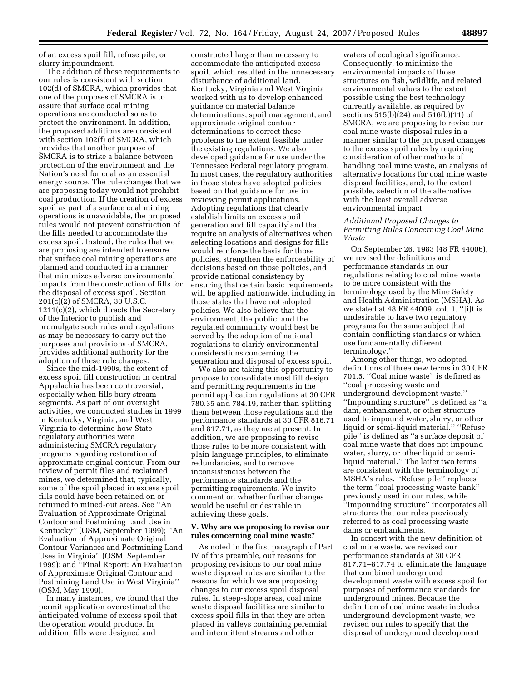of an excess spoil fill, refuse pile, or slurry impoundment.

The addition of these requirements to our rules is consistent with section 102(d) of SMCRA, which provides that one of the purposes of SMCRA is to assure that surface coal mining operations are conducted so as to protect the environment. In addition, the proposed additions are consistent with section 102(f) of SMCRA, which provides that another purpose of SMCRA is to strike a balance between protection of the environment and the Nation's need for coal as an essential energy source. The rule changes that we are proposing today would not prohibit coal production. If the creation of excess spoil as part of a surface coal mining operations is unavoidable, the proposed rules would not prevent construction of the fills needed to accommodate the excess spoil. Instead, the rules that we are proposing are intended to ensure that surface coal mining operations are planned and conducted in a manner that minimizes adverse environmental impacts from the construction of fills for the disposal of excess spoil. Section 201(c)(2) of SMCRA, 30 U.S.C. 1211(c)(2), which directs the Secretary of the Interior to publish and promulgate such rules and regulations as may be necessary to carry out the purposes and provisions of SMCRA, provides additional authority for the adoption of these rule changes.

Since the mid-1990s, the extent of excess spoil fill construction in central Appalachia has been controversial, especially when fills bury stream segments. As part of our oversight activities, we conducted studies in 1999 in Kentucky, Virginia, and West Virginia to determine how State regulatory authorities were administering SMCRA regulatory programs regarding restoration of approximate original contour. From our review of permit files and reclaimed mines, we determined that, typically, some of the spoil placed in excess spoil fills could have been retained on or returned to mined-out areas. See ''An Evaluation of Approximate Original Contour and Postmining Land Use in Kentucky'' (OSM, September 1999); ''An Evaluation of Approximate Original Contour Variances and Postmining Land Uses in Virginia'' (OSM, September 1999); and ''Final Report: An Evaluation of Approximate Original Contour and Postmining Land Use in West Virginia'' (OSM, May 1999).

In many instances, we found that the permit application overestimated the anticipated volume of excess spoil that the operation would produce. In addition, fills were designed and

constructed larger than necessary to accommodate the anticipated excess spoil, which resulted in the unnecessary disturbance of additional land. Kentucky, Virginia and West Virginia worked with us to develop enhanced guidance on material balance determinations, spoil management, and approximate original contour determinations to correct these problems to the extent feasible under the existing regulations. We also developed guidance for use under the Tennessee Federal regulatory program. In most cases, the regulatory authorities in those states have adopted policies based on that guidance for use in reviewing permit applications. Adopting regulations that clearly establish limits on excess spoil generation and fill capacity and that require an analysis of alternatives when selecting locations and designs for fills would reinforce the basis for those policies, strengthen the enforceability of decisions based on those policies, and provide national consistency by ensuring that certain basic requirements will be applied nationwide, including in those states that have not adopted policies. We also believe that the environment, the public, and the regulated community would best be served by the adoption of national regulations to clarify environmental considerations concerning the generation and disposal of excess spoil.

We also are taking this opportunity to propose to consolidate most fill design and permitting requirements in the permit application regulations at 30 CFR 780.35 and 784.19, rather than splitting them between those regulations and the performance standards at 30 CFR 816.71 and 817.71, as they are at present. In addition, we are proposing to revise those rules to be more consistent with plain language principles, to eliminate redundancies, and to remove inconsistencies between the performance standards and the permitting requirements. We invite comment on whether further changes would be useful or desirable in achieving these goals.

### **V. Why are we proposing to revise our rules concerning coal mine waste?**

As noted in the first paragraph of Part IV of this preamble, our reasons for proposing revisions to our coal mine waste disposal rules are similar to the reasons for which we are proposing changes to our excess spoil disposal rules. In steep-slope areas, coal mine waste disposal facilities are similar to excess spoil fills in that they are often placed in valleys containing perennial and intermittent streams and other

waters of ecological significance. Consequently, to minimize the environmental impacts of those structures on fish, wildlife, and related environmental values to the extent possible using the best technology currently available, as required by sections 515(b)(24) and 516(b)(11) of SMCRA, we are proposing to revise our coal mine waste disposal rules in a manner similar to the proposed changes to the excess spoil rules by requiring consideration of other methods of handling coal mine waste, an analysis of alternative locations for coal mine waste disposal facilities, and, to the extent possible, selection of the alternative with the least overall adverse environmental impact.

## *Additional Proposed Changes to Permitting Rules Concerning Coal Mine Waste*

On September 26, 1983 (48 FR 44006), we revised the definitions and performance standards in our regulations relating to coal mine waste to be more consistent with the terminology used by the Mine Safety and Health Administration (MSHA). As we stated at 48 FR 44009, col. 1, ''[i]t is undesirable to have two regulatory programs for the same subject that contain conflicting standards or which use fundamentally different terminology.''

Among other things, we adopted definitions of three new terms in 30 CFR 701.5. ''Coal mine waste'' is defined as ''coal processing waste and underground development waste.'' ''Impounding structure'' is defined as ''a dam, embankment, or other structure used to impound water, slurry, or other liquid or semi-liquid material.'' ''Refuse pile'' is defined as ''a surface deposit of coal mine waste that does not impound water, slurry, or other liquid or semiliquid material.'' The latter two terms are consistent with the terminology of MSHA's rules. ''Refuse pile'' replaces the term ''coal processing waste bank'' previously used in our rules, while ''impounding structure'' incorporates all structures that our rules previously referred to as coal processing waste dams or embankments.

In concert with the new definition of coal mine waste, we revised our performance standards at 30 CFR 817.71–817.74 to eliminate the language that combined underground development waste with excess spoil for purposes of performance standards for underground mines. Because the definition of coal mine waste includes underground development waste, we revised our rules to specify that the disposal of underground development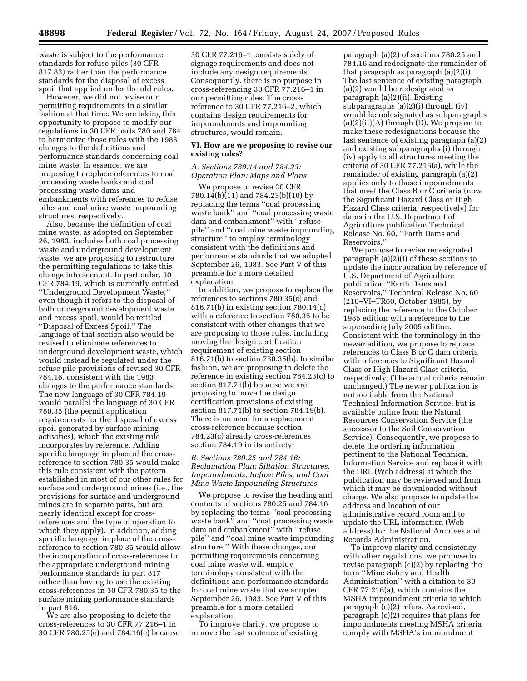waste is subject to the performance standards for refuse piles (30 CFR 817.83) rather than the performance standards for the disposal of excess spoil that applied under the old rules.

However, we did not revise our permitting requirements in a similar fashion at that time. We are taking this opportunity to propose to modify our regulations in 30 CFR parts 780 and 784 to harmonize those rules with the 1983 changes to the definitions and performance standards concerning coal mine waste. In essence, we are proposing to replace references to coal processing waste banks and coal processing waste dams and embankments with references to refuse piles and coal mine waste impounding structures, respectively.

Also, because the definition of coal mine waste, as adopted on September 26, 1983, includes both coal processing waste and underground development waste, we are proposing to restructure the permitting regulations to take this change into account. In particular, 30 CFR 784.19, which is currently entitled ''Underground Development Waste,'' even though it refers to the disposal of both underground development waste and excess spoil, would be retitled ''Disposal of Excess Spoil.'' The language of that section also would be revised to eliminate references to underground development waste, which would instead be regulated under the refuse pile provisions of revised 30 CFR 784.16, consistent with the 1983 changes to the performance standards. The new language of 30 CFR 784.19 would parallel the language of 30 CFR 780.35 (the permit application requirements for the disposal of excess spoil generated by surface mining activities), which the existing rule incorporates by reference. Adding specific language in place of the crossreference to section 780.35 would make this rule consistent with the pattern established in most of our other rules for surface and underground mines (i.e., the provisions for surface and underground mines are in separate parts, but are nearly identical except for crossreferences and the type of operation to which they apply). In addition, adding specific language in place of the crossreference to section 780.35 would allow the incorporation of cross-references to the appropriate underground mining performance standards in part 817 rather than having to use the existing cross-references in 30 CFR 780.35 to the surface mining performance standards in part 816.

We are also proposing to delete the cross-references to 30 CFR 77.216–1 in 30 CFR 780.25(e) and 784.16(e) because

30 CFR 77.216–1 consists solely of signage requirements and does not include any design requirements. Consequently, there is no purpose in cross-referencing 30 CFR 77.216–1 in our permitting rules. The crossreference to 30 CFR 77.216–2, which contains design requirements for impoundments and impounding structures, would remain.

# **VI. How are we proposing to revise our existing rules?**

## *A. Sections 780.14 and 784.23: Operation Plan: Maps and Plans*

We propose to revise 30 CFR 780.14(b)(11) and 784.23(b)(10) by replacing the terms ''coal processing waste bank'' and ''coal processing waste dam and embankment'' with ''refuse pile'' and ''coal mine waste impounding structure'' to employ terminology consistent with the definitions and performance standards that we adopted September 26, 1983. See Part V of this preamble for a more detailed explanation.

In addition, we propose to replace the references to sections 780.35(c) and 816.71(b) in existing section 780.14(c) with a reference to section 780.35 to be consistent with other changes that we are proposing to those rules, including moving the design certification requirement of existing section 816.71(b) to section 780.35(b). In similar fashion, we are proposing to delete the reference in existing section 784.23(c) to section 817.71(b) because we are proposing to move the design certification provisions of existing section 817.71(b) to section 784.19(b). There is no need for a replacement cross-reference because section 784.23(c) already cross-references section 784.19 in its entirety.

# *B. Sections 780.25 and 784.16: Reclamation Plan: Siltation Structures, Impoundments, Refuse Piles, and Coal Mine Waste Impounding Structures*

We propose to revise the heading and contents of sections 780.25 and 784.16 by replacing the terms ''coal processing waste bank'' and ''coal processing waste dam and embankment'' with ''refuse pile'' and ''coal mine waste impounding structure.'' With these changes, our permitting requirements concerning coal mine waste will employ terminology consistent with the definitions and performance standards for coal mine waste that we adopted September 26, 1983. See Part V of this preamble for a more detailed explanation.

To improve clarity, we propose to remove the last sentence of existing

paragraph (a)(2) of sections 780.25 and 784.16 and redesignate the remainder of that paragraph as paragraph (a)(2)(i). The last sentence of existing paragraph (a)(2) would be redesignated as paragraph (a)(2)(ii). Existing subparagraphs (a)(2)(i) through (iv) would be redesignated as subparagraphs (a)(2)(ii)(A) through (D). We propose to make these redesignations because the last sentence of existing paragraph (a)(2) and existing subparagraphs (i) through (iv) apply to all structures meeting the criteria of 30 CFR 77.216(a), while the remainder of existing paragraph (a)(2) applies only to those impoundments that meet the Class B or C criteria (now the Significant Hazard Class or High Hazard Class criteria, respectively) for dams in the U.S. Department of Agriculture publication Technical Release No. 60, ''Earth Dams and Reservoirs.''

We propose to revise redesignated paragraph (a)(2)(i) of these sections to update the incorporation by reference of U.S. Department of Agriculture publication ''Earth Dams and Reservoirs,'' Technical Release No. 60 (210–VI–TR60, October 1985), by replacing the reference to the October 1985 edition with a reference to the superseding July 2005 edition. Consistent with the terminology in the newer edition, we propose to replace references to Class B or C dam criteria with references to Significant Hazard Class or High Hazard Class criteria, respectively. (The actual criteria remain unchanged.) The newer publication is not available from the National Technical Information Service, but is available online from the Natural Resources Conservation Service (the successor to the Soil Conservation Service). Consequently, we propose to delete the ordering information pertinent to the National Technical Information Service and replace it with the URL (Web address) at which the publication may be reviewed and from which it may be downloaded without charge. We also propose to update the address and location of our administrative record room and to update the URL information (Web address) for the National Archives and Records Administration.

To improve clarity and consistency with other regulations, we propose to revise paragraph (c)(2) by replacing the term ''Mine Safety and Health Administration'' with a citation to 30 CFR 77.216(a), which contains the MSHA impoundment criteria to which paragraph (c)(2) refers. As revised, paragraph (c)(2) requires that plans for impoundments meeting MSHA criteria comply with MSHA's impoundment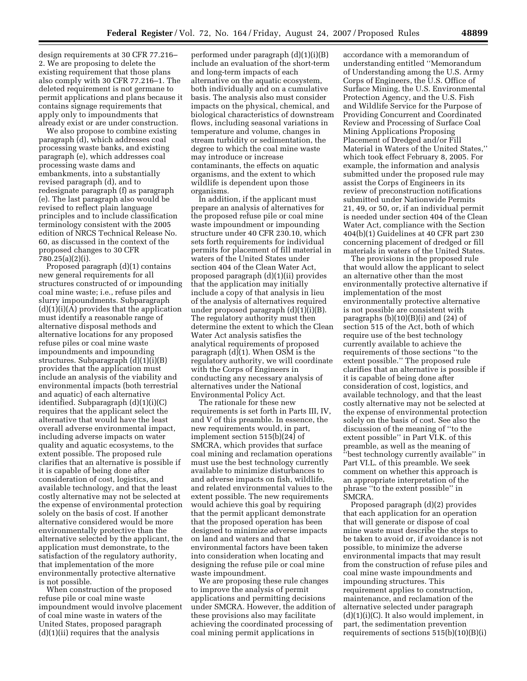design requirements at 30 CFR 77.216– 2. We are proposing to delete the existing requirement that those plans also comply with 30 CFR 77.216–1. The deleted requirement is not germane to permit applications and plans because it contains signage requirements that apply only to impoundments that already exist or are under construction.

We also propose to combine existing paragraph (d), which addresses coal processing waste banks, and existing paragraph (e), which addresses coal processing waste dams and embankments, into a substantially revised paragraph (d), and to redesignate paragraph (f) as paragraph (e). The last paragraph also would be revised to reflect plain language principles and to include classification terminology consistent with the 2005 edition of NRCS Technical Release No. 60, as discussed in the context of the proposed changes to 30 CFR 780.25(a)(2)(i).

Proposed paragraph (d)(1) contains new general requirements for all structures constructed of or impounding coal mine waste; i.e., refuse piles and slurry impoundments. Subparagraph  $(d)(1)(i)(A)$  provides that the application must identify a reasonable range of alternative disposal methods and alternative locations for any proposed refuse piles or coal mine waste impoundments and impounding structures. Subparagraph (d)(1)(i)(B) provides that the application must include an analysis of the viability and environmental impacts (both terrestrial and aquatic) of each alternative identified. Subparagraph (d)(1)(i)(C) requires that the applicant select the alternative that would have the least overall adverse environmental impact, including adverse impacts on water quality and aquatic ecosystems, to the extent possible. The proposed rule clarifies that an alternative is possible if it is capable of being done after consideration of cost, logistics, and available technology, and that the least costly alternative may not be selected at the expense of environmental protection solely on the basis of cost. If another alternative considered would be more environmentally protective than the alternative selected by the applicant, the application must demonstrate, to the satisfaction of the regulatory authority, that implementation of the more environmentally protective alternative is not possible.

When construction of the proposed refuse pile or coal mine waste impoundment would involve placement of coal mine waste in waters of the United States, proposed paragraph  $(d)(1)(ii)$  requires that the analysis

performed under paragraph (d)(1)(i)(B) include an evaluation of the short-term and long-term impacts of each alternative on the aquatic ecosystem, both individually and on a cumulative basis. The analysis also must consider impacts on the physical, chemical, and biological characteristics of downstream flows, including seasonal variations in temperature and volume, changes in stream turbidity or sedimentation, the degree to which the coal mine waste may introduce or increase contaminants, the effects on aquatic organisms, and the extent to which wildlife is dependent upon those organisms.

In addition, if the applicant must prepare an analysis of alternatives for the proposed refuse pile or coal mine waste impoundment or impounding structure under 40 CFR 230.10, which sets forth requirements for individual permits for placement of fill material in waters of the United States under section 404 of the Clean Water Act, proposed paragraph (d)(1)(ii) provides that the application may initially include a copy of that analysis in lieu of the analysis of alternatives required under proposed paragraph (d)(1)(i)(B). The regulatory authority must then determine the extent to which the Clean Water Act analysis satisfies the analytical requirements of proposed paragraph (d)(1). When OSM is the regulatory authority, we will coordinate with the Corps of Engineers in conducting any necessary analysis of alternatives under the National Environmental Policy Act.

The rationale for these new requirements is set forth in Parts III, IV, and V of this preamble. In essence, the new requirements would, in part, implement section 515(b)(24) of SMCRA, which provides that surface coal mining and reclamation operations must use the best technology currently available to minimize disturbances to and adverse impacts on fish, wildlife, and related environmental values to the extent possible. The new requirements would achieve this goal by requiring that the permit applicant demonstrate that the proposed operation has been designed to minimize adverse impacts on land and waters and that environmental factors have been taken into consideration when locating and designing the refuse pile or coal mine waste impoundment.

We are proposing these rule changes to improve the analysis of permit applications and permitting decisions under SMCRA. However, the addition of these provisions also may facilitate achieving the coordinated processing of coal mining permit applications in

accordance with a memorandum of understanding entitled ''Memorandum of Understanding among the U.S. Army Corps of Engineers, the U.S. Office of Surface Mining, the U.S. Environmental Protection Agency, and the U.S. Fish and Wildlife Service for the Purpose of Providing Concurrent and Coordinated Review and Processing of Surface Coal Mining Applications Proposing Placement of Dredged and/or Fill Material in Waters of the United States,'' which took effect February 8, 2005. For example, the information and analysis submitted under the proposed rule may assist the Corps of Engineers in its review of preconstruction notifications submitted under Nationwide Permits 21, 49, or 50, or, if an individual permit is needed under section 404 of the Clean Water Act, compliance with the Section 404(b)(1) Guidelines at 40 CFR part 230 concerning placement of dredged or fill materials in waters of the United States.

The provisions in the proposed rule that would allow the applicant to select an alternative other than the most environmentally protective alternative if implementation of the most environmentally protective alternative is not possible are consistent with paragraphs  $(b)(10)(B)(i)$  and  $(24)$  of section 515 of the Act, both of which require use of the best technology currently available to achieve the requirements of those sections ''to the extent possible.'' The proposed rule clarifies that an alternative is possible if it is capable of being done after consideration of cost, logistics, and available technology, and that the least costly alternative may not be selected at the expense of environmental protection solely on the basis of cost. See also the discussion of the meaning of ''to the extent possible'' in Part VI.K. of this preamble, as well as the meaning of ''best technology currently available'' in Part VI.L. of this preamble. We seek comment on whether this approach is an appropriate interpretation of the phrase ''to the extent possible'' in SMCRA.

Proposed paragraph (d)(2) provides that each application for an operation that will generate or dispose of coal mine waste must describe the steps to be taken to avoid or, if avoidance is not possible, to minimize the adverse environmental impacts that may result from the construction of refuse piles and coal mine waste impoundments and impounding structures. This requirement applies to construction, maintenance, and reclamation of the alternative selected under paragraph  $(d)(1)(i)(C)$ . It also would implement, in part, the sedimentation prevention requirements of sections 515(b)(10)(B)(i)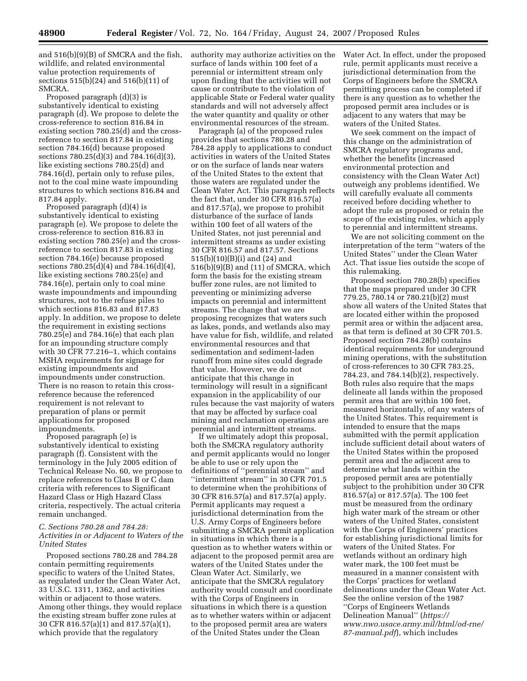and 516(b)(9)(B) of SMCRA and the fish, wildlife, and related environmental value protection requirements of sections 515(b)(24) and 516(b)(11) of SMCRA.

Proposed paragraph (d)(3) is substantively identical to existing paragraph (d). We propose to delete the cross-reference to section 816.84 in existing section 780.25(d) and the crossreference to section 817.84 in existing section 784.16(d) because proposed sections 780.25(d)(3) and 784.16(d)(3), like existing sections 780.25(d) and 784.16(d), pertain only to refuse piles, not to the coal mine waste impounding structures to which sections 816.84 and 817.84 apply.

Proposed paragraph (d)(4) is substantively identical to existing paragraph (e). We propose to delete the cross-reference to section 816.83 in existing section 780.25(e) and the crossreference to section 817.83 in existing section 784.16(e) because proposed sections 780.25(d)(4) and 784.16(d)(4), like existing sections 780.25(e) and 784.16(e), pertain only to coal mine waste impoundments and impounding structures, not to the refuse piles to which sections 816.83 and 817.83 apply. In addition, we propose to delete the requirement in existing sections 780.25(e) and 784.16(e) that each plan for an impounding structure comply with 30 CFR 77.216–1, which contains MSHA requirements for signage for existing impoundments and impoundments under construction. There is no reason to retain this crossreference because the referenced requirement is not relevant to preparation of plans or permit applications for proposed impoundments.

Proposed paragraph (e) is substantively identical to existing paragraph (f). Consistent with the terminology in the July 2005 edition of Technical Release No. 60, we propose to replace references to Class B or C dam criteria with references to Significant Hazard Class or High Hazard Class criteria, respectively. The actual criteria remain unchanged.

# *C. Sections 780.28 and 784.28: Activities in or Adjacent to Waters of the United States*

Proposed sections 780.28 and 784.28 contain permitting requirements specific to waters of the United States, as regulated under the Clean Water Act, 33 U.S.C. 1311, 1362, and activities within or adjacent to those waters. Among other things, they would replace the existing stream buffer zone rules at 30 CFR 816.57(a)(1) and 817.57(a)(1), which provide that the regulatory

authority may authorize activities on the surface of lands within 100 feet of a perennial or intermittent stream only upon finding that the activities will not cause or contribute to the violation of applicable State or Federal water quality standards and will not adversely affect the water quantity and quality or other environmental resources of the stream.

Paragraph (a) of the proposed rules provides that sections 780.28 and 784.28 apply to applications to conduct activities in waters of the United States or on the surface of lands near waters of the United States to the extent that those waters are regulated under the Clean Water Act. This paragraph reflects the fact that, under 30 CFR 816.57(a) and 817.57(a), we propose to prohibit disturbance of the surface of lands within 100 feet of all waters of the United States, not just perennial and intermittent streams as under existing 30 CFR 816.57 and 817.57. Sections 515(b)(10)(B)(i) and (24) and 516(b)(9)(B) and (11) of SMCRA, which form the basis for the existing stream buffer zone rules, are not limited to preventing or minimizing adverse impacts on perennial and intermittent streams. The change that we are proposing recognizes that waters such as lakes, ponds, and wetlands also may have value for fish, wildlife, and related environmental resources and that sedimentation and sediment-laden runoff from mine sites could degrade that value. However, we do not anticipate that this change in terminology will result in a significant expansion in the applicability of our rules because the vast majority of waters that may be affected by surface coal mining and reclamation operations are perennial and intermittent streams.

If we ultimately adopt this proposal, both the SMCRA regulatory authority and permit applicants would no longer be able to use or rely upon the definitions of ''perennial stream'' and ''intermittent stream'' in 30 CFR 701.5 to determine when the prohibitions of 30 CFR 816.57(a) and 817.57(a) apply. Permit applicants may request a jurisdictional determination from the U.S. Army Corps of Engineers before submitting a SMCRA permit application in situations in which there is a question as to whether waters within or adjacent to the proposed permit area are waters of the United States under the Clean Water Act. Similarly, we anticipate that the SMCRA regulatory authority would consult and coordinate with the Corps of Engineers in situations in which there is a question as to whether waters within or adjacent to the proposed permit area are waters of the United States under the Clean

Water Act. In effect, under the proposed rule, permit applicants must receive a jurisdictional determination from the Corps of Engineers before the SMCRA permitting process can be completed if there is any question as to whether the proposed permit area includes or is adjacent to any waters that may be waters of the United States.

We seek comment on the impact of this change on the administration of SMCRA regulatory programs and, whether the benefits (increased environmental protection and consistency with the Clean Water Act) outweigh any problems identified. We will carefully evaluate all comments received before deciding whether to adopt the rule as proposed or retain the scope of the existing rules, which apply to perennial and intermittent streams.

We are not soliciting comment on the interpretation of the term ''waters of the United States'' under the Clean Water Act. That issue lies outside the scope of this rulemaking.

Proposed section 780.28(b) specifies that the maps prepared under 30 CFR 779.25, 780.14 or 780.21(b)(2) must show all waters of the United States that are located either within the proposed permit area or within the adjacent area, as that term is defined at 30 CFR 701.5. Proposed section 784.28(b) contains identical requirements for underground mining operations, with the substitution of cross-references to 30 CFR 783.25, 784.23, and 784.14(b)(2), respectively. Both rules also require that the maps delineate all lands within the proposed permit area that are within 100 feet, measured horizontally, of any waters of the United States. This requirement is intended to ensure that the maps submitted with the permit application include sufficient detail about waters of the United States within the proposed permit area and the adjacent area to determine what lands within the proposed permit area are potentially subject to the prohibition under 30 CFR 816.57(a) or 817.57(a). The 100 feet must be measured from the ordinary high water mark of the stream or other waters of the United States, consistent with the Corps of Engineers' practices for establishing jurisdictional limits for waters of the United States. For wetlands without an ordinary high water mark, the 100 feet must be measured in a manner consistent with the Corps' practices for wetland delineations under the Clean Water Act. See the online version of the 1987 ''Corps of Engineers Wetlands Delineation Manual'' (*https:// www.nwo.usace.army.mil/html/od-rne/ 87-manual.pdf*), which includes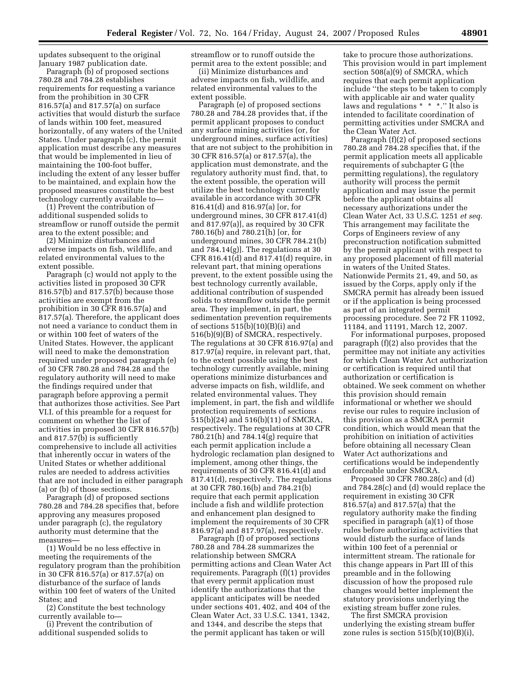updates subsequent to the original January 1987 publication date.

Paragraph (b) of proposed sections 780.28 and 784.28 establishes requirements for requesting a variance from the prohibition in 30 CFR 816.57(a) and 817.57(a) on surface activities that would disturb the surface of lands within 100 feet, measured horizontally, of any waters of the United States. Under paragraph (c), the permit application must describe any measures that would be implemented in lieu of maintaining the 100-foot buffer, including the extent of any lesser buffer to be maintained, and explain how the proposed measures constitute the best technology currently available to—

(1) Prevent the contribution of additional suspended solids to streamflow or runoff outside the permit area to the extent possible; and

(2) Minimize disturbances and adverse impacts on fish, wildlife, and related environmental values to the extent possible.

Paragraph (c) would not apply to the activities listed in proposed 30 CFR 816.57(b) and 817.57(b) because those activities are exempt from the prohibition in 30 CFR 816.57(a) and 817.57(a). Therefore, the applicant does not need a variance to conduct them in or within 100 feet of waters of the United States. However, the applicant will need to make the demonstration required under proposed paragraph (e) of 30 CFR 780.28 and 784.28 and the regulatory authority will need to make the findings required under that paragraph before approving a permit that authorizes those activities. See Part VI.I. of this preamble for a request for comment on whether the list of activities in proposed 30 CFR 816.57(b) and 817.57(b) is sufficiently comprehensive to include all activities that inherently occur in waters of the United States or whether additional rules are needed to address activities that are not included in either paragraph (a) or (b) of those sections.

Paragraph (d) of proposed sections 780.28 and 784.28 specifies that, before approving any measures proposed under paragraph (c), the regulatory authority must determine that the measures—

(1) Would be no less effective in meeting the requirements of the regulatory program than the prohibition in 30 CFR 816.57(a) or 817.57(a) on disturbance of the surface of lands within 100 feet of waters of the United States; and

(2) Constitute the best technology currently available to—

(i) Prevent the contribution of additional suspended solids to

streamflow or to runoff outside the permit area to the extent possible; and

(ii) Minimize disturbances and adverse impacts on fish, wildlife, and related environmental values to the extent possible.

Paragraph (e) of proposed sections 780.28 and 784.28 provides that, if the permit applicant proposes to conduct any surface mining activities (or, for underground mines, surface activities) that are not subject to the prohibition in 30 CFR 816.57(a) or 817.57(a), the application must demonstrate, and the regulatory authority must find, that, to the extent possible, the operation will utilize the best technology currently available in accordance with 30 CFR 816.41(d) and 816.97(a) [or, for underground mines, 30 CFR 817.41(d) and 817.97(a)], as required by 30 CFR 780.16(b) and 780.21(h) [or, for underground mines, 30 CFR 784.21(b) and 784.14(g)]. The regulations at 30 CFR 816.41(d) and 817.41(d) require, in relevant part, that mining operations prevent, to the extent possible using the best technology currently available, additional contribution of suspended solids to streamflow outside the permit area. They implement, in part, the sedimentation prevention requirements of sections 515(b)(10)(B)(i) and 516(b)(9)(B) of SMCRA, respectively. The regulations at 30 CFR 816.97(a) and 817.97(a) require, in relevant part, that, to the extent possible using the best technology currently available, mining operations minimize disturbances and adverse impacts on fish, wildlife, and related environmental values. They implement, in part, the fish and wildlife protection requirements of sections 515(b)(24) and 516(b)(11) of SMCRA, respectively. The regulations at 30 CFR 780.21(h) and 784.14(g) require that each permit application include a hydrologic reclamation plan designed to implement, among other things, the requirements of 30 CFR 816.41(d) and 817.41(d), respectively. The regulations at 30 CFR 780.16(b) and 784.21(b) require that each permit application include a fish and wildlife protection and enhancement plan designed to implement the requirements of 30 CFR 816.97(a) and 817.97(a), respectively.

Paragraph (f) of proposed sections 780.28 and 784.28 summarizes the relationship between SMCRA permitting actions and Clean Water Act requirements. Paragraph (f)(1) provides that every permit application must identify the authorizations that the applicant anticipates will be needed under sections 401, 402, and 404 of the Clean Water Act, 33 U.S.C. 1341, 1342, and 1344, and describe the steps that the permit applicant has taken or will

take to procure those authorizations. This provision would in part implement section 508(a)(9) of SMCRA, which requires that each permit application include ''the steps to be taken to comply with applicable air and water quality laws and regulations \* \* \*.'' It also is intended to facilitate coordination of permitting activities under SMCRA and the Clean Water Act.

Paragraph (f)(2) of proposed sections 780.28 and 784.28 specifies that, if the permit application meets all applicable requirements of subchapter G (the permitting regulations), the regulatory authority will process the permit application and may issue the permit before the applicant obtains all necessary authorizations under the Clean Water Act, 33 U.S.C. 1251 *et seq.*  This arrangement may facilitate the Corps of Engineers review of any preconstruction notification submitted by the permit applicant with respect to any proposed placement of fill material in waters of the United States. Nationwide Permits 21, 49, and 50, as issued by the Corps, apply only if the SMCRA permit has already been issued or if the application is being processed as part of an integrated permit processing procedure. See 72 FR 11092, 11184, and 11191, March 12, 2007.

For informational purposes, proposed paragraph (f)(2) also provides that the permittee may not initiate any activities for which Clean Water Act authorization or certification is required until that authorization or certification is obtained. We seek comment on whether this provision should remain informational or whether we should revise our rules to require inclusion of this provision as a SMCRA permit condition, which would mean that the prohibition on initiation of activities before obtaining all necessary Clean Water Act authorizations and certifications would be independently enforceable under SMCRA.

Proposed 30 CFR 780.28(c) and (d) and 784.28(c) and (d) would replace the requirement in existing 30 CFR 816.57(a) and 817.57(a) that the regulatory authority make the finding specified in paragraph (a)(1) of those rules before authorizing activities that would disturb the surface of lands within 100 feet of a perennial or intermittent stream. The rationale for this change appears in Part III of this preamble and in the following discussion of how the proposed rule changes would better implement the statutory provisions underlying the existing stream buffer zone rules.

The first SMCRA provision underlying the existing stream buffer zone rules is section  $515(b)(10)(B)(i)$ ,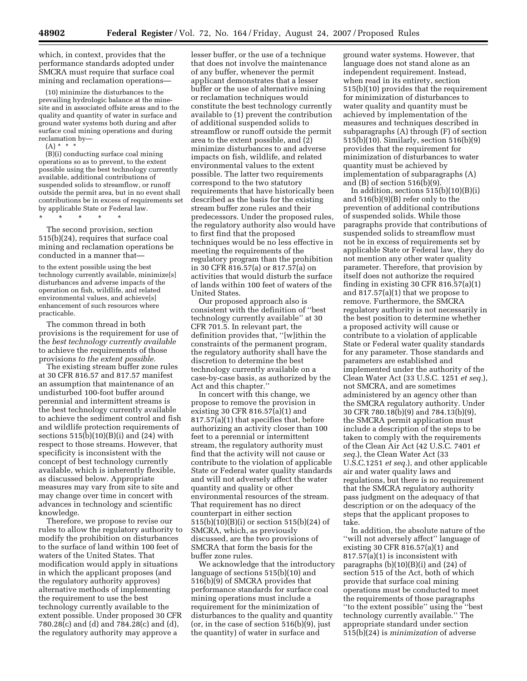which, in context, provides that the performance standards adopted under SMCRA must require that surface coal mining and reclamation operations—

(10) minimize the disturbances to the prevailing hydrologic balance at the minesite and in associated offsite areas and to the quality and quantity of water in surface and ground water systems both during and after surface coal mining operations and during reclamation by—

 $(A) * * * *$ 

(B)(i) conducting surface coal mining operations so as to prevent, to the extent possible using the best technology currently available, additional contributions of suspended solids to streamflow, or runoff outside the permit area, but in no event shall contributions be in excess of requirements set by applicable State or Federal law.

\* \* \* \* \*

The second provision, section 515(b)(24), requires that surface coal mining and reclamation operations be conducted in a manner that—

to the extent possible using the best technology currently available, minimize[s] disturbances and adverse impacts of the operation on fish, wildlife, and related environmental values, and achieve[s] enhancement of such resources where practicable.

The common thread in both provisions is the requirement for use of the *best technology currently available*  to achieve the requirements of those provisions *to the extent possible.* 

The existing stream buffer zone rules at 30 CFR 816.57 and 817.57 manifest an assumption that maintenance of an undisturbed 100-foot buffer around perennial and intermittent streams is the best technology currently available to achieve the sediment control and fish and wildlife protection requirements of sections  $515(b)(10)(B)(i)$  and  $(24)$  with respect to those streams. However, that specificity is inconsistent with the concept of best technology currently available, which is inherently flexible, as discussed below. Appropriate measures may vary from site to site and may change over time in concert with advances in technology and scientific knowledge.

Therefore, we propose to revise our rules to allow the regulatory authority to modify the prohibition on disturbances to the surface of land within 100 feet of waters of the United States. That modification would apply in situations in which the applicant proposes (and the regulatory authority approves) alternative methods of implementing the requirement to use the best technology currently available to the extent possible. Under proposed 30 CFR 780.28(c) and (d) and 784.28(c) and (d), the regulatory authority may approve a

lesser buffer, or the use of a technique that does not involve the maintenance of any buffer, whenever the permit applicant demonstrates that a lesser buffer or the use of alternative mining or reclamation techniques would constitute the best technology currently available to (1) prevent the contribution of additional suspended solids to streamflow or runoff outside the permit area to the extent possible, and (2) minimize disturbances to and adverse impacts on fish, wildlife, and related environmental values to the extent possible. The latter two requirements correspond to the two statutory requirements that have historically been described as the basis for the existing stream buffer zone rules and their predecessors. Under the proposed rules, the regulatory authority also would have to first find that the proposed techniques would be no less effective in meeting the requirements of the regulatory program than the prohibition in 30 CFR 816.57(a) or 817.57(a) on activities that would disturb the surface of lands within 100 feet of waters of the United States.

Our proposed approach also is consistent with the definition of ''best technology currently available'' at 30 CFR 701.5. In relevant part, the definition provides that, ''[w]ithin the constraints of the permanent program, the regulatory authority shall have the discretion to determine the best technology currently available on a case-by-case basis, as authorized by the Act and this chapter.''

In concert with this change, we propose to remove the provision in existing 30 CFR 816.57(a)(1) and 817.57(a)(1) that specifies that, before authorizing an activity closer than 100 feet to a perennial or intermittent stream, the regulatory authority must find that the activity will not cause or contribute to the violation of applicable State or Federal water quality standards and will not adversely affect the water quantity and quality or other environmental resources of the stream. That requirement has no direct counterpart in either section 515(b)(10)(B)(i) or section 515(b)(24) of SMCRA, which, as previously discussed, are the two provisions of SMCRA that form the basis for the buffer zone rules.

We acknowledge that the introductory language of sections 515(b)(10) and 516(b)(9) of SMCRA provides that performance standards for surface coal mining operations must include a requirement for the minimization of disturbances to the quality and quantity (or, in the case of section 516(b)(9), just the quantity) of water in surface and

ground water systems. However, that language does not stand alone as an independent requirement. Instead, when read in its entirety, section 515(b)(10) provides that the requirement for minimization of disturbances to water quality and quantity must be achieved by implementation of the measures and techniques described in subparagraphs (A) through (F) of section 515(b)(10). Similarly, section 516(b)(9) provides that the requirement for minimization of disturbances to water quantity must be achieved by implementation of subparagraphs (A) and  $(B)$  of section 516 $(b)(9)$ .

In addition, sections  $515(b)(10)(B)(i)$ and 516(b)(9)(B) refer only to the prevention of additional contributions of suspended solids. While those paragraphs provide that contributions of suspended solids to streamflow must not be in excess of requirements set by applicable State or Federal law, they do not mention any other water quality parameter. Therefore, that provision by itself does not authorize the required finding in existing 30 CFR 816.57(a)(1) and 817.57(a)(1) that we propose to remove. Furthermore, the SMCRA regulatory authority is not necessarily in the best position to determine whether a proposed activity will cause or contribute to a violation of applicable State or Federal water quality standards for any parameter. Those standards and parameters are established and implemented under the authority of the Clean Water Act (33 U.S.C. 1251 *et seq.*), not SMCRA, and are sometimes administered by an agency other than the SMCRA regulatory authority. Under 30 CFR 780.18(b)(9) and 784.13(b)(9), the SMCRA permit application must include a description of the steps to be taken to comply with the requirements of the Clean Air Act (42 U.S.C. 7401 *et seq.*), the Clean Water Act (33 U.S.C.1251 *et seq.*), and other applicable air and water quality laws and regulations, but there is no requirement that the SMCRA regulatory authority pass judgment on the adequacy of that description or on the adequacy of the steps that the applicant proposes to take.

In addition, the absolute nature of the ''will not adversely affect'' language of existing 30 CFR 816.57(a)(1) and 817.57(a)(1) is inconsistent with paragraphs  $(b)(10)(B)(i)$  and  $(24)$  of section 515 of the Act, both of which provide that surface coal mining operations must be conducted to meet the requirements of those paragraphs ''to the extent possible'' using the ''best technology currently available.'' The appropriate standard under section 515(b)(24) is *minimization* of adverse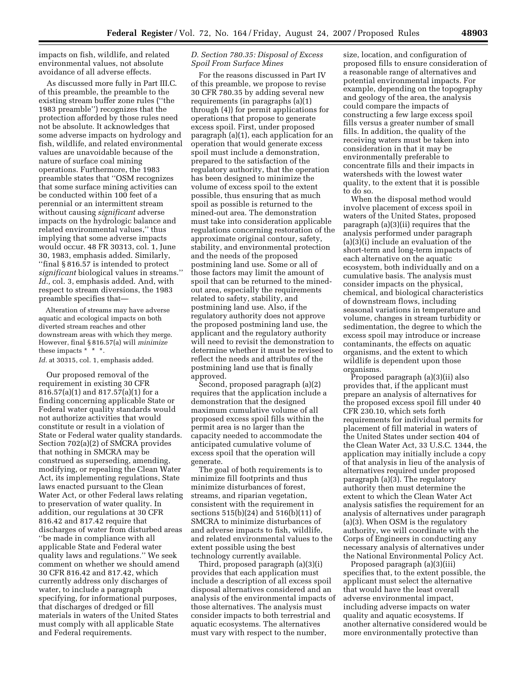impacts on fish, wildlife, and related environmental values, not absolute avoidance of all adverse effects.

As discussed more fully in Part III.C. of this preamble, the preamble to the existing stream buffer zone rules (''the 1983 preamble'') recognizes that the protection afforded by those rules need not be absolute. It acknowledges that some adverse impacts on hydrology and fish, wildlife, and related environmental values are unavoidable because of the nature of surface coal mining operations. Furthermore, the 1983 preamble states that ''OSM recognizes that some surface mining activities can be conducted within 100 feet of a perennial or an intermittent stream without causing *significant* adverse impacts on the hydrologic balance and related environmental values,'' thus implying that some adverse impacts would occur. 48 FR 30313, col. 1, June 30, 1983, emphasis added. Similarly, ''final § 816.57 is intended to protect *significant* biological values in streams.'' *Id.,* col. 3, emphasis added. And, with respect to stream diversions, the 1983 preamble specifies that—

Alteration of streams may have adverse aquatic and ecological impacts on both diverted stream reaches and other downstream areas with which they merge. However, final § 816.57(a) will *minimize*  these impacts  $* * *$ .

*Id.* at 30315, col. 1, emphasis added.

Our proposed removal of the requirement in existing 30 CFR 816.57(a)(1) and 817.57(a)(1) for a finding concerning applicable State or Federal water quality standards would not authorize activities that would constitute or result in a violation of State or Federal water quality standards. Section 702(a)(2) of SMCRA provides that nothing in SMCRA may be construed as superseding, amending, modifying, or repealing the Clean Water Act, its implementing regulations, State laws enacted pursuant to the Clean Water Act, or other Federal laws relating to preservation of water quality. In addition, our regulations at 30 CFR 816.42 and 817.42 require that discharges of water from disturbed areas ''be made in compliance with all applicable State and Federal water quality laws and regulations.'' We seek comment on whether we should amend 30 CFR 816.42 and 817.42, which currently address only discharges of water, to include a paragraph specifying, for informational purposes, that discharges of dredged or fill materials in waters of the United States must comply with all applicable State and Federal requirements.

# *D. Section 780.35: Disposal of Excess Spoil From Surface Mines*

For the reasons discussed in Part IV of this preamble, we propose to revise 30 CFR 780.35 by adding several new requirements (in paragraphs (a)(1) through (4)) for permit applications for operations that propose to generate excess spoil. First, under proposed paragraph (a)(1), each application for an operation that would generate excess spoil must include a demonstration, prepared to the satisfaction of the regulatory authority, that the operation has been designed to minimize the volume of excess spoil to the extent possible, thus ensuring that as much spoil as possible is returned to the mined-out area. The demonstration must take into consideration applicable regulations concerning restoration of the approximate original contour, safety, stability, and environmental protection and the needs of the proposed postmining land use. Some or all of those factors may limit the amount of spoil that can be returned to the minedout area, especially the requirements related to safety, stability, and postmining land use. Also, if the regulatory authority does not approve the proposed postmining land use, the applicant and the regulatory authority will need to revisit the demonstration to determine whether it must be revised to reflect the needs and attributes of the postmining land use that is finally approved.

Second, proposed paragraph (a)(2) requires that the application include a demonstration that the designed maximum cumulative volume of all proposed excess spoil fills within the permit area is no larger than the capacity needed to accommodate the anticipated cumulative volume of excess spoil that the operation will generate.

The goal of both requirements is to minimize fill footprints and thus minimize disturbances of forest, streams, and riparian vegetation, consistent with the requirement in sections 515(b)(24) and 516(b)(11) of SMCRA to minimize disturbances of and adverse impacts to fish, wildlife, and related environmental values to the extent possible using the best technology currently available.

Third, proposed paragraph (a)(3)(i) provides that each application must include a description of all excess spoil disposal alternatives considered and an analysis of the environmental impacts of those alternatives. The analysis must consider impacts to both terrestrial and aquatic ecosystems. The alternatives must vary with respect to the number,

size, location, and configuration of proposed fills to ensure consideration of a reasonable range of alternatives and potential environmental impacts. For example, depending on the topography and geology of the area, the analysis could compare the impacts of constructing a few large excess spoil fills versus a greater number of small fills. In addition, the quality of the receiving waters must be taken into consideration in that it may be environmentally preferable to concentrate fills and their impacts in watersheds with the lowest water quality, to the extent that it is possible to do so.

When the disposal method would involve placement of excess spoil in waters of the United States, proposed paragraph (a)(3)(ii) requires that the analysis performed under paragraph (a)(3)(i) include an evaluation of the short-term and long-term impacts of each alternative on the aquatic ecosystem, both individually and on a cumulative basis. The analysis must consider impacts on the physical, chemical, and biological characteristics of downstream flows, including seasonal variations in temperature and volume, changes in stream turbidity or sedimentation, the degree to which the excess spoil may introduce or increase contaminants, the effects on aquatic organisms, and the extent to which wildlife is dependent upon those organisms.

Proposed paragraph (a)(3)(ii) also provides that, if the applicant must prepare an analysis of alternatives for the proposed excess spoil fill under 40 CFR 230.10, which sets forth requirements for individual permits for placement of fill material in waters of the United States under section 404 of the Clean Water Act, 33 U.S.C. 1344, the application may initially include a copy of that analysis in lieu of the analysis of alternatives required under proposed paragraph (a)(3). The regulatory authority then must determine the extent to which the Clean Water Act analysis satisfies the requirement for an analysis of alternatives under paragraph (a)(3). When OSM is the regulatory authority, we will coordinate with the Corps of Engineers in conducting any necessary analysis of alternatives under the National Environmental Policy Act.

Proposed paragraph (a)(3)(iii) specifies that, to the extent possible, the applicant must select the alternative that would have the least overall adverse environmental impact, including adverse impacts on water quality and aquatic ecosystems. If another alternative considered would be more environmentally protective than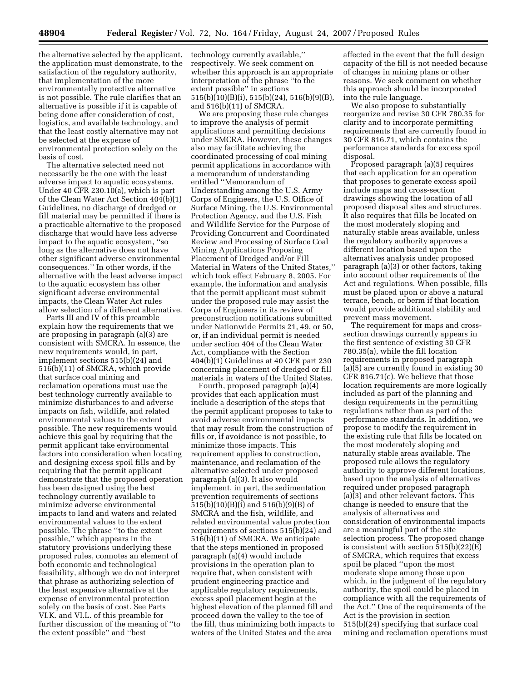the alternative selected by the applicant, the application must demonstrate, to the satisfaction of the regulatory authority, that implementation of the more environmentally protective alternative is not possible. The rule clarifies that an alternative is possible if it is capable of being done after consideration of cost, logistics, and available technology, and that the least costly alternative may not be selected at the expense of environmental protection solely on the basis of cost.

The alternative selected need not necessarily be the one with the least adverse impact to aquatic ecosystems. Under 40 CFR 230.10(a), which is part of the Clean Water Act Section 404(b)(1) Guidelines, no discharge of dredged or fill material may be permitted if there is a practicable alternative to the proposed discharge that would have less adverse impact to the aquatic ecosystem, ''so long as the alternative does not have other significant adverse environmental consequences.'' In other words, if the alternative with the least adverse impact to the aquatic ecosystem has other significant adverse environmental impacts, the Clean Water Act rules allow selection of a different alternative.

Parts III and IV of this preamble explain how the requirements that we are proposing in paragraph (a)(3) are consistent with SMCRA. In essence, the new requirements would, in part, implement sections 515(b)(24) and 516(b)(11) of SMCRA, which provide that surface coal mining and reclamation operations must use the best technology currently available to minimize disturbances to and adverse impacts on fish, wildlife, and related environmental values to the extent possible. The new requirements would achieve this goal by requiring that the permit applicant take environmental factors into consideration when locating and designing excess spoil fills and by requiring that the permit applicant demonstrate that the proposed operation has been designed using the best technology currently available to minimize adverse environmental impacts to land and waters and related environmental values to the extent possible. The phrase ''to the extent possible,'' which appears in the statutory provisions underlying these proposed rules, connotes an element of both economic and technological feasibility, although we do not interpret that phrase as authorizing selection of the least expensive alternative at the expense of environmental protection solely on the basis of cost. See Parts VI.K. and VI.L. of this preamble for further discussion of the meaning of ''to the extent possible'' and ''best

technology currently available,'' respectively. We seek comment on whether this approach is an appropriate interpretation of the phrase ''to the extent possible'' in sections 515(b)(10)(B)(i), 515(b)(24), 516(b)(9)(B), and 516(b)(11) of SMCRA.

We are proposing these rule changes to improve the analysis of permit applications and permitting decisions under SMCRA. However, these changes also may facilitate achieving the coordinated processing of coal mining permit applications in accordance with a memorandum of understanding entitled ''Memorandum of Understanding among the U.S. Army Corps of Engineers, the U.S. Office of Surface Mining, the U.S. Environmental Protection Agency, and the U.S. Fish and Wildlife Service for the Purpose of Providing Concurrent and Coordinated Review and Processing of Surface Coal Mining Applications Proposing Placement of Dredged and/or Fill Material in Waters of the United States,'' which took effect February 8, 2005. For example, the information and analysis that the permit applicant must submit under the proposed rule may assist the Corps of Engineers in its review of preconstruction notifications submitted under Nationwide Permits 21, 49, or 50, or, if an individual permit is needed under section 404 of the Clean Water Act, compliance with the Section 404(b)(1) Guidelines at 40 CFR part 230 concerning placement of dredged or fill materials in waters of the United States.

Fourth, proposed paragraph (a)(4) provides that each application must include a description of the steps that the permit applicant proposes to take to avoid adverse environmental impacts that may result from the construction of fills or, if avoidance is not possible, to minimize those impacts. This requirement applies to construction, maintenance, and reclamation of the alternative selected under proposed paragraph (a)(3). It also would implement, in part, the sedimentation prevention requirements of sections 515(b)(10)(B)(i) and 516(b)(9)(B) of SMCRA and the fish, wildlife, and related environmental value protection requirements of sections 515(b)(24) and 516(b)(11) of SMCRA. We anticipate that the steps mentioned in proposed paragraph (a)(4) would include provisions in the operation plan to require that, when consistent with prudent engineering practice and applicable regulatory requirements, excess spoil placement begin at the highest elevation of the planned fill and proceed down the valley to the toe of the fill, thus minimizing both impacts to waters of the United States and the area

affected in the event that the full design capacity of the fill is not needed because of changes in mining plans or other reasons. We seek comment on whether this approach should be incorporated into the rule language.

We also propose to substantially reorganize and revise 30 CFR 780.35 for clarity and to incorporate permitting requirements that are currently found in 30 CFR 816.71, which contains the performance standards for excess spoil disposal.

Proposed paragraph (a)(5) requires that each application for an operation that proposes to generate excess spoil include maps and cross-section drawings showing the location of all proposed disposal sites and structures. It also requires that fills be located on the most moderately sloping and naturally stable areas available, unless the regulatory authority approves a different location based upon the alternatives analysis under proposed paragraph (a)(3) or other factors, taking into account other requirements of the Act and regulations. When possible, fills must be placed upon or above a natural terrace, bench, or berm if that location would provide additional stability and prevent mass movement.

The requirement for maps and crosssection drawings currently appears in the first sentence of existing 30 CFR 780.35(a), while the fill location requirements in proposed paragraph  $(a)(5)$  are currently found in existing 30 CFR 816.71(c). We believe that those location requirements are more logically included as part of the planning and design requirements in the permitting regulations rather than as part of the performance standards. In addition, we propose to modify the requirement in the existing rule that fills be located on the most moderately sloping and naturally stable areas available. The proposed rule allows the regulatory authority to approve different locations, based upon the analysis of alternatives required under proposed paragraph (a)(3) and other relevant factors. This change is needed to ensure that the analysis of alternatives and consideration of environmental impacts are a meaningful part of the site selection process. The proposed change is consistent with section 515(b)(22)(E) of SMCRA, which requires that excess spoil be placed ''upon the most moderate slope among those upon which, in the judgment of the regulatory authority, the spoil could be placed in compliance with all the requirements of the Act.'' One of the requirements of the Act is the provision in section 515(b)(24) specifying that surface coal mining and reclamation operations must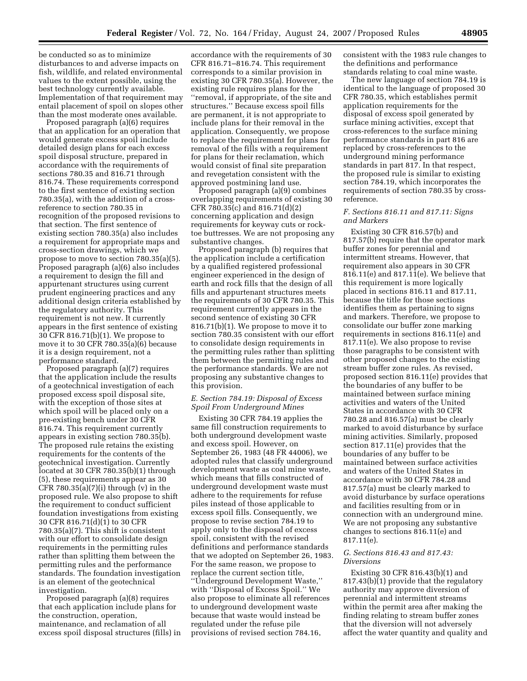be conducted so as to minimize disturbances to and adverse impacts on fish, wildlife, and related environmental values to the extent possible, using the best technology currently available. Implementation of that requirement may entail placement of spoil on slopes other than the most moderate ones available.

Proposed paragraph (a)(6) requires that an application for an operation that would generate excess spoil include detailed design plans for each excess spoil disposal structure, prepared in accordance with the requirements of sections 780.35 and 816.71 through 816.74. These requirements correspond to the first sentence of existing section 780.35(a), with the addition of a crossreference to section 780.35 in recognition of the proposed revisions to that section. The first sentence of existing section 780.35(a) also includes a requirement for appropriate maps and cross-section drawings, which we propose to move to section 780.35(a)(5). Proposed paragraph (a)(6) also includes a requirement to design the fill and appurtenant structures using current prudent engineering practices and any additional design criteria established by the regulatory authority. This requirement is not new. It currently appears in the first sentence of existing 30 CFR 816.71(b)(1). We propose to move it to 30 CFR 780.35(a)(6) because it is a design requirement, not a performance standard.

Proposed paragraph (a)(7) requires that the application include the results of a geotechnical investigation of each proposed excess spoil disposal site, with the exception of those sites at which spoil will be placed only on a pre-existing bench under 30 CFR 816.74. This requirement currently appears in existing section 780.35(b). The proposed rule retains the existing requirements for the contents of the geotechnical investigation. Currently located at 30 CFR 780.35(b)(1) through (5), these requirements appear as 30 CFR  $780.35(a)(7)(i)$  through  $(v)$  in the proposed rule. We also propose to shift the requirement to conduct sufficient foundation investigations from existing 30 CFR 816.71(d)(1) to 30 CFR 780.35(a)(7). This shift is consistent with our effort to consolidate design requirements in the permitting rules rather than splitting them between the permitting rules and the performance standards. The foundation investigation is an element of the geotechnical investigation.

Proposed paragraph (a)(8) requires that each application include plans for the construction, operation, maintenance, and reclamation of all excess spoil disposal structures (fills) in

accordance with the requirements of 30 CFR 816.71–816.74. This requirement corresponds to a similar provision in existing 30 CFR 780.35(a). However, the existing rule requires plans for the ''removal, if appropriate, of the site and structures.'' Because excess spoil fills are permanent, it is not appropriate to include plans for their removal in the application. Consequently, we propose to replace the requirement for plans for removal of the fills with a requirement for plans for their reclamation, which would consist of final site preparation and revegetation consistent with the approved postmining land use.

Proposed paragraph (a)(9) combines overlapping requirements of existing 30 CFR 780.35(c) and 816.71(d)(2) concerning application and design requirements for keyway cuts or rocktoe buttresses. We are not proposing any substantive changes.

Proposed paragraph (b) requires that the application include a certification by a qualified registered professional engineer experienced in the design of earth and rock fills that the design of all fills and appurtenant structures meets the requirements of 30 CFR 780.35. This requirement currently appears in the second sentence of existing 30 CFR 816.71(b)(1). We propose to move it to section 780.35 consistent with our effort to consolidate design requirements in the permitting rules rather than splitting them between the permitting rules and the performance standards. We are not proposing any substantive changes to this provision.

## *E. Section 784.19: Disposal of Excess Spoil From Underground Mines*

Existing 30 CFR 784.19 applies the same fill construction requirements to both underground development waste and excess spoil. However, on September 26, 1983 (48 FR 44006), we adopted rules that classify underground development waste as coal mine waste, which means that fills constructed of underground development waste must adhere to the requirements for refuse piles instead of those applicable to excess spoil fills. Consequently, we propose to revise section 784.19 to apply only to the disposal of excess spoil, consistent with the revised definitions and performance standards that we adopted on September 26, 1983. For the same reason, we propose to replace the current section title, ''Underground Development Waste,'' with ''Disposal of Excess Spoil.'' We also propose to eliminate all references to underground development waste because that waste would instead be regulated under the refuse pile provisions of revised section 784.16,

consistent with the 1983 rule changes to the definitions and performance standards relating to coal mine waste.

The new language of section 784.19 is identical to the language of proposed 30 CFR 780.35, which establishes permit application requirements for the disposal of excess spoil generated by surface mining activities, except that cross-references to the surface mining performance standards in part 816 are replaced by cross-references to the underground mining performance standards in part 817. In that respect, the proposed rule is similar to existing section 784.19, which incorporates the requirements of section 780.35 by crossreference.

## *F. Sections 816.11 and 817.11: Signs and Markers*

Existing 30 CFR 816.57(b) and 817.57(b) require that the operator mark buffer zones for perennial and intermittent streams. However, that requirement also appears in 30 CFR 816.11(e) and 817.11(e). We believe that this requirement is more logically placed in sections 816.11 and 817.11, because the title for those sections identifies them as pertaining to signs and markers. Therefore, we propose to consolidate our buffer zone marking requirements in sections 816.11(e) and 817.11(e). We also propose to revise those paragraphs to be consistent with other proposed changes to the existing stream buffer zone rules. As revised, proposed section 816.11(e) provides that the boundaries of any buffer to be maintained between surface mining activities and waters of the United States in accordance with 30 CFR 780.28 and 816.57(a) must be clearly marked to avoid disturbance by surface mining activities. Similarly, proposed section 817.11(e) provides that the boundaries of any buffer to be maintained between surface activities and waters of the United States in accordance with 30 CFR 784.28 and 817.57(a) must be clearly marked to avoid disturbance by surface operations and facilities resulting from or in connection with an underground mine. We are not proposing any substantive changes to sections 816.11(e) and 817.11(e).

# *G. Sections 816.43 and 817.43: Diversions*

Existing 30 CFR 816.43(b)(1) and 817.43(b)(1) provide that the regulatory authority may approve diversion of perennial and intermittent streams within the permit area after making the finding relating to stream buffer zones that the diversion will not adversely affect the water quantity and quality and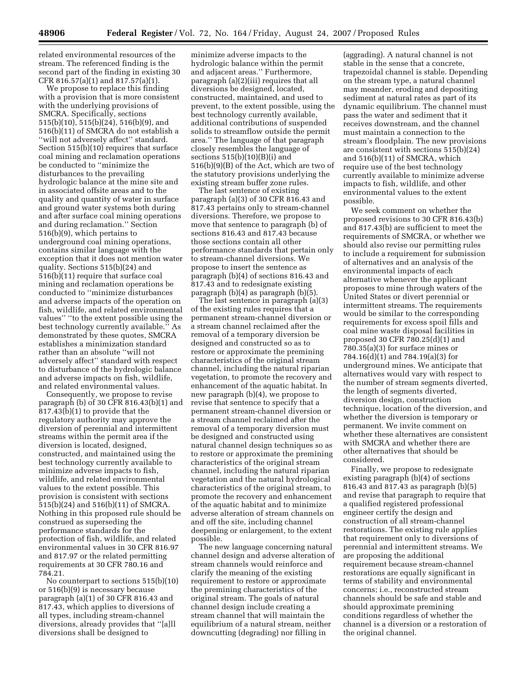related environmental resources of the stream. The referenced finding is the second part of the finding in existing 30 CFR 816.57(a)(1) and 817.57(a)(1).

We propose to replace this finding with a provision that is more consistent with the underlying provisions of SMCRA. Specifically, sections 515(b)(10), 515(b)(24), 516(b)(9), and 516(b)(11) of SMCRA do not establish a ''will not adversely affect'' standard. Section 515(b)(10) requires that surface coal mining and reclamation operations be conducted to ''minimize the disturbances to the prevailing hydrologic balance at the mine site and in associated offsite areas and to the quality and quantity of water in surface and ground water systems both during and after surface coal mining operations and during reclamation.'' Section 516(b)(9), which pertains to underground coal mining operations, contains similar language with the exception that it does not mention water quality. Sections 515(b)(24) and 516(b)(11) require that surface coal mining and reclamation operations be conducted to ''minimize disturbances and adverse impacts of the operation on fish, wildlife, and related environmental values'' ''to the extent possible using the best technology currently available.'' As demonstrated by these quotes, SMCRA establishes a minimization standard rather than an absolute ''will not adversely affect'' standard with respect to disturbance of the hydrologic balance and adverse impacts on fish, wildlife, and related environmental values.

Consequently, we propose to revise paragraph (b) of 30 CFR 816.43(b)(1) and 817.43(b)(1) to provide that the regulatory authority may approve the diversion of perennial and intermittent streams within the permit area if the diversion is located, designed, constructed, and maintained using the best technology currently available to minimize adverse impacts to fish, wildlife, and related environmental values to the extent possible. This provision is consistent with sections 515(b)(24) and 516(b)(11) of SMCRA. Nothing in this proposed rule should be construed as superseding the performance standards for the protection of fish, wildlife, and related environmental values in 30 CFR 816.97 and 817.97 or the related permitting requirements at 30 CFR 780.16 and 784.21.

No counterpart to sections 515(b)(10) or 516(b)(9) is necessary because paragraph (a)(1) of 30 CFR 816.43 and 817.43, which applies to diversions of all types, including stream-channel diversions, already provides that ''[a]ll diversions shall be designed to

minimize adverse impacts to the hydrologic balance within the permit and adjacent areas.'' Furthermore, paragraph (a)(2)(iii) requires that all diversions be designed, located, constructed, maintained, and used to prevent, to the extent possible, using the best technology currently available, additional contributions of suspended solids to streamflow outside the permit area.'' The language of that paragraph closely resembles the language of sections  $515(b)(10)(B)(i)$  and 516(b)(9)(B) of the Act, which are two of the statutory provisions underlying the existing stream buffer zone rules.

The last sentence of existing paragraph (a)(3) of 30 CFR 816.43 and 817.43 pertains only to stream-channel diversions. Therefore, we propose to move that sentence to paragraph (b) of sections 816.43 and 817.43 because those sections contain all other performance standards that pertain only to stream-channel diversions. We propose to insert the sentence as paragraph (b)(4) of sections 816.43 and 817.43 and to redesignate existing paragraph (b)(4) as paragraph (b)(5).

The last sentence in paragraph (a)(3) of the existing rules requires that a permanent stream-channel diversion or a stream channel reclaimed after the removal of a temporary diversion be designed and constructed so as to restore or approximate the premining characteristics of the original stream channel, including the natural riparian vegetation, to promote the recovery and enhancement of the aquatic habitat. In new paragraph (b)(4), we propose to revise that sentence to specify that a permanent stream-channel diversion or a stream channel reclaimed after the removal of a temporary diversion must be designed and constructed using natural channel design techniques so as to restore or approximate the premining characteristics of the original stream channel, including the natural riparian vegetation and the natural hydrological characteristics of the original stream, to promote the recovery and enhancement of the aquatic habitat and to minimize adverse alteration of stream channels on and off the site, including channel deepening or enlargement, to the extent possible.

The new language concerning natural channel design and adverse alteration of stream channels would reinforce and clarify the meaning of the existing requirement to restore or approximate the premining characteristics of the original stream. The goals of natural channel design include creating a stream channel that will maintain the equilibrium of a natural stream, neither downcutting (degrading) nor filling in

(aggrading). A natural channel is not stable in the sense that a concrete, trapezoidal channel is stable. Depending on the stream type, a natural channel may meander, eroding and depositing sediment at natural rates as part of its dynamic equilibrium. The channel must pass the water and sediment that it receives downstream, and the channel must maintain a connection to the stream's floodplain. The new provisions are consistent with sections 515(b)(24) and 516(b)(11) of SMCRA, which require use of the best technology currently available to minimize adverse impacts to fish, wildlife, and other environmental values to the extent possible.

We seek comment on whether the proposed revisions to 30 CFR 816.43(b) and 817.43(b) are sufficient to meet the requirements of SMCRA, or whether we should also revise our permitting rules to include a requirement for submission of alternatives and an analysis of the environmental impacts of each alternative whenever the applicant proposes to mine through waters of the United States or divert perennial or intermittent streams. The requirements would be similar to the corresponding requirements for excess spoil fills and coal mine waste disposal facilities in proposed 30 CFR 780.25(d)(1) and 780.35(a)(3) for surface mines or 784.16(d)(1) and 784.19(a)(3) for underground mines. We anticipate that alternatives would vary with respect to the number of stream segments diverted, the length of segments diverted, diversion design, construction technique, location of the diversion, and whether the diversion is temporary or permanent. We invite comment on whether these alternatives are consistent with SMCRA and whether there are other alternatives that should be considered.

Finally, we propose to redesignate existing paragraph (b)(4) of sections 816.43 and 817.43 as paragraph (b)(5) and revise that paragraph to require that a qualified registered professional engineer certify the design and construction of all stream-channel restorations. The existing rule applies that requirement only to diversions of perennial and intermittent streams. We are proposing the additional requirement because stream-channel restorations are equally significant in terms of stability and environmental concerns; i.e., reconstructed stream channels should be safe and stable and should approximate premining conditions regardless of whether the channel is a diversion or a restoration of the original channel.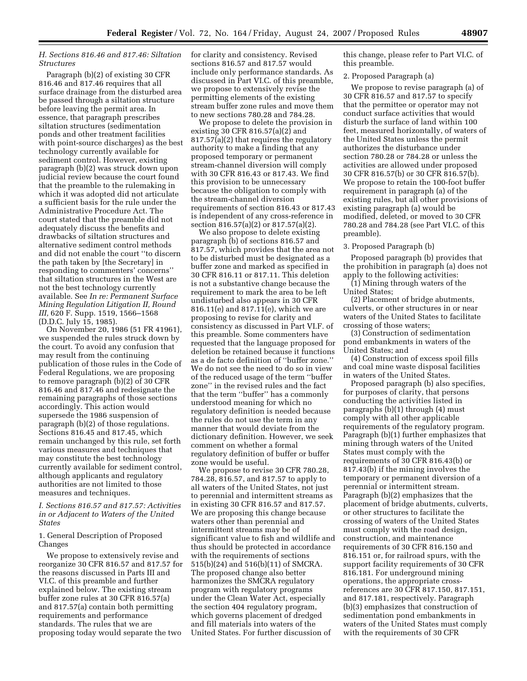# *H. Sections 816.46 and 817.46: Siltation Structures*

Paragraph (b)(2) of existing 30 CFR 816.46 and 817.46 requires that all surface drainage from the disturbed area be passed through a siltation structure before leaving the permit area. In essence, that paragraph prescribes siltation structures (sedimentation ponds and other treatment facilities with point-source discharges) as the best technology currently available for sediment control. However, existing paragraph (b)(2) was struck down upon judicial review because the court found that the preamble to the rulemaking in which it was adopted did not articulate a sufficient basis for the rule under the Administrative Procedure Act. The court stated that the preamble did not adequately discuss the benefits and drawbacks of siltation structures and alternative sediment control methods and did not enable the court ''to discern the path taken by [the Secretary] in responding to commenters' concerns'' that siltation structures in the West are not the best technology currently available. See *In re: Permanent Surface Mining Regulation Litigation II, Round III,* 620 F. Supp. 1519, 1566–1568 (D.D.C. July 15, 1985).

On November 20, 1986 (51 FR 41961), we suspended the rules struck down by the court. To avoid any confusion that may result from the continuing publication of those rules in the Code of Federal Regulations, we are proposing to remove paragraph (b)(2) of 30 CFR 816.46 and 817.46 and redesignate the remaining paragraphs of those sections accordingly. This action would supersede the 1986 suspension of paragraph (b)(2) of those regulations. Sections 816.45 and 817.45, which remain unchanged by this rule, set forth various measures and techniques that may constitute the best technology currently available for sediment control, although applicants and regulatory authorities are not limited to those measures and techniques.

## *I. Sections 816.57 and 817.57: Activities in or Adjacent to Waters of the United States*

1. General Description of Proposed Changes

We propose to extensively revise and reorganize 30 CFR 816.57 and 817.57 for the reasons discussed in Parts III and VI.C. of this preamble and further explained below. The existing stream buffer zone rules at 30 CFR 816.57(a) and 817.57(a) contain both permitting requirements and performance standards. The rules that we are proposing today would separate the two

for clarity and consistency. Revised sections 816.57 and 817.57 would include only performance standards. As discussed in Part VI.C. of this preamble, we propose to extensively revise the permitting elements of the existing stream buffer zone rules and move them to new sections 780.28 and 784.28.

We propose to delete the provision in existing 30 CFR 816.57(a)(2) and 817.57(a)(2) that requires the regulatory authority to make a finding that any proposed temporary or permanent stream-channel diversion will comply with 30 CFR 816.43 or 817.43. We find this provision to be unnecessary because the obligation to comply with the stream-channel diversion requirements of section 816.43 or 817.43 is independent of any cross-reference in section 816.57(a)(2) or 817.57(a)(2).

We also propose to delete existing paragraph (b) of sections 816.57 and 817.57, which provides that the area not to be disturbed must be designated as a buffer zone and marked as specified in 30 CFR 816.11 or 817.11. This deletion is not a substantive change because the requirement to mark the area to be left undisturbed also appears in 30 CFR 816.11(e) and  $817.11(e)$ , which we are proposing to revise for clarity and consistency as discussed in Part VI.F. of this preamble. Some commenters have requested that the language proposed for deletion be retained because it functions as a de facto definition of ''buffer zone.'' We do not see the need to do so in view of the reduced usage of the term ''buffer zone'' in the revised rules and the fact that the term ''buffer'' has a commonly understood meaning for which no regulatory definition is needed because the rules do not use the term in any manner that would deviate from the dictionary definition. However, we seek comment on whether a formal regulatory definition of buffer or buffer zone would be useful.

We propose to revise 30 CFR 780.28, 784.28, 816.57, and 817.57 to apply to all waters of the United States, not just to perennial and intermittent streams as in existing 30 CFR 816.57 and 817.57. We are proposing this change because waters other than perennial and intermittent streams may be of significant value to fish and wildlife and thus should be protected in accordance with the requirements of sections 515(b)(24) and 516(b)(11) of SMCRA. The proposed change also better harmonizes the SMCRA regulatory program with regulatory programs under the Clean Water Act, especially the section 404 regulatory program, which governs placement of dredged and fill materials into waters of the United States. For further discussion of

this change, please refer to Part VI.C. of this preamble.

#### 2. Proposed Paragraph (a)

We propose to revise paragraph (a) of 30 CFR 816.57 and 817.57 to specify that the permittee or operator may not conduct surface activities that would disturb the surface of land within 100 feet, measured horizontally, of waters of the United States unless the permit authorizes the disturbance under section 780.28 or 784.28 or unless the activities are allowed under proposed 30 CFR 816.57(b) or 30 CFR 816.57(b). We propose to retain the 100-foot buffer requirement in paragraph (a) of the existing rules, but all other provisions of existing paragraph (a) would be modified, deleted, or moved to 30 CFR 780.28 and 784.28 (see Part VI.C. of this preamble).

3. Proposed Paragraph (b)

Proposed paragraph (b) provides that the prohibition in paragraph (a) does not apply to the following activities:

(1) Mining through waters of the United States;

(2) Placement of bridge abutments, culverts, or other structures in or near waters of the United States to facilitate crossing of those waters;

(3) Construction of sedimentation pond embankments in waters of the United States; and

(4) Construction of excess spoil fills and coal mine waste disposal facilities in waters of the United States.

Proposed paragraph (b) also specifies, for purposes of clarity, that persons conducting the activities listed in paragraphs (b)(1) through (4) must comply with all other applicable requirements of the regulatory program. Paragraph (b)(1) further emphasizes that mining through waters of the United States must comply with the requirements of 30 CFR 816.43(b) or 817.43(b) if the mining involves the temporary or permanent diversion of a perennial or intermittent stream. Paragraph (b)(2) emphasizes that the placement of bridge abutments, culverts, or other structures to facilitate the crossing of waters of the United States must comply with the road design, construction, and maintenance requirements of 30 CFR 816.150 and 816.151 or, for railroad spurs, with the support facility requirements of 30 CFR 816.181. For underground mining operations, the appropriate crossreferences are 30 CFR 817.150, 817.151, and 817.181, respectively. Paragraph (b)(3) emphasizes that construction of sedimentation pond embankments in waters of the United States must comply with the requirements of 30 CFR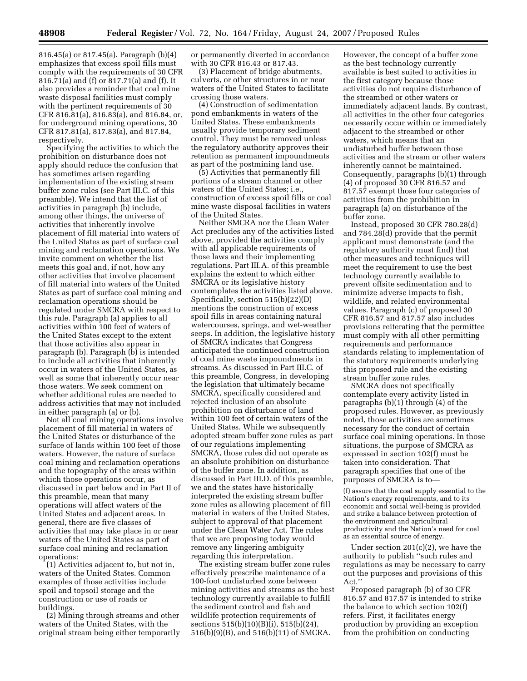816.45(a) or 817.45(a). Paragraph (b)(4) emphasizes that excess spoil fills must comply with the requirements of 30 CFR 816.71(a) and (f) or 817.71(a) and (f). It also provides a reminder that coal mine waste disposal facilities must comply with the pertinent requirements of 30 CFR 816.81(a), 816.83(a), and 816.84, or, for underground mining operations, 30 CFR 817.81(a), 817.83(a), and 817.84, respectively.

Specifying the activities to which the prohibition on disturbance does not apply should reduce the confusion that has sometimes arisen regarding implementation of the existing stream buffer zone rules (see Part III.C. of this preamble). We intend that the list of activities in paragraph (b) include, among other things, the universe of activities that inherently involve placement of fill material into waters of the United States as part of surface coal mining and reclamation operations. We invite comment on whether the list meets this goal and, if not, how any other activities that involve placement of fill material into waters of the United States as part of surface coal mining and reclamation operations should be regulated under SMCRA with respect to this rule. Paragraph (a) applies to all activities within 100 feet of waters of the United States except to the extent that those activities also appear in paragraph (b). Paragraph (b) is intended to include all activities that inherently occur in waters of the United States, as well as some that inherently occur near those waters. We seek comment on whether additional rules are needed to address activities that may not included in either paragraph (a) or (b).

Not all coal mining operations involve placement of fill material in waters of the United States or disturbance of the surface of lands within 100 feet of those waters. However, the nature of surface coal mining and reclamation operations and the topography of the areas within which those operations occur, as discussed in part below and in Part II of this preamble, mean that many operations will affect waters of the United States and adjacent areas. In general, there are five classes of activities that may take place in or near waters of the United States as part of surface coal mining and reclamation operations:

(1) Activities adjacent to, but not in, waters of the United States. Common examples of those activities include spoil and topsoil storage and the construction or use of roads or buildings.

(2) Mining through streams and other waters of the United States, with the original stream being either temporarily or permanently diverted in accordance with 30 CFR 816.43 or 817.43.

(3) Placement of bridge abutments, culverts, or other structures in or near waters of the United States to facilitate crossing those waters.

(4) Construction of sedimentation pond embankments in waters of the United States. These embankments usually provide temporary sediment control. They must be removed unless the regulatory authority approves their retention as permanent impoundments as part of the postmining land use.

(5) Activities that permanently fill portions of a stream channel or other waters of the United States; i.e., construction of excess spoil fills or coal mine waste disposal facilities in waters of the United States.

Neither SMCRA nor the Clean Water Act precludes any of the activities listed above, provided the activities comply with all applicable requirements of those laws and their implementing regulations. Part III.A. of this preamble explains the extent to which either SMCRA or its legislative history contemplates the activities listed above. Specifically, section 515(b)(22)(D) mentions the construction of excess spoil fills in areas containing natural watercourses, springs, and wet-weather seeps. In addition, the legislative history of SMCRA indicates that Congress anticipated the continued construction of coal mine waste impoundments in streams. As discussed in Part III.C. of this preamble, Congress, in developing the legislation that ultimately became SMCRA, specifically considered and rejected inclusion of an absolute prohibition on disturbance of land within 100 feet of certain waters of the United States. While we subsequently adopted stream buffer zone rules as part of our regulations implementing SMCRA, those rules did not operate as an absolute prohibition on disturbance of the buffer zone. In addition, as discussed in Part III.D. of this preamble, we and the states have historically interpreted the existing stream buffer zone rules as allowing placement of fill material in waters of the United States, subject to approval of that placement under the Clean Water Act. The rules that we are proposing today would remove any lingering ambiguity regarding this interpretation.

The existing stream buffer zone rules effectively prescribe maintenance of a 100-foot undisturbed zone between mining activities and streams as the best technology currently available to fulfill the sediment control and fish and wildlife protection requirements of sections 515(b)(10)(B)(i), 515(b)(24), 516(b)(9)(B), and 516(b)(11) of SMCRA.

However, the concept of a buffer zone as the best technology currently available is best suited to activities in the first category because those activities do not require disturbance of the streambed or other waters or immediately adjacent lands. By contrast, all activities in the other four categories necessarily occur within or immediately adjacent to the streambed or other waters, which means that an undisturbed buffer between those activities and the stream or other waters inherently cannot be maintained. Consequently, paragraphs (b)(1) through (4) of proposed 30 CFR 816.57 and 817.57 exempt those four categories of activities from the prohibition in paragraph (a) on disturbance of the buffer zone.

Instead, proposed 30 CFR 780.28(d) and 784.28(d) provide that the permit applicant must demonstrate (and the regulatory authority must find) that other measures and techniques will meet the requirement to use the best technology currently available to prevent offsite sedimentation and to minimize adverse impacts to fish, wildlife, and related environmental values. Paragraph (c) of proposed 30 CFR 816.57 and 817.57 also includes provisions reiterating that the permittee must comply with all other permitting requirements and performance standards relating to implementation of the statutory requirements underlying this proposed rule and the existing stream buffer zone rules.

SMCRA does not specifically contemplate every activity listed in paragraphs (b)(1) through (4) of the proposed rules. However, as previously noted, those activities are sometimes necessary for the conduct of certain surface coal mining operations. In those situations, the purpose of SMCRA as expressed in section 102(f) must be taken into consideration. That paragraph specifies that one of the purposes of SMCRA is to—

(f) assure that the coal supply essential to the Nation's energy requirements, and to its economic and social well-being is provided and strike a balance between protection of the environment and agricultural productivity and the Nation's need for coal as an essential source of energy.

Under section  $201(c)(2)$ , we have the authority to publish ''such rules and regulations as may be necessary to carry out the purposes and provisions of this Act<sup>"</sup>

Proposed paragraph (b) of 30 CFR 816.57 and 817.57 is intended to strike the balance to which section 102(f) refers. First, it facilitates energy production by providing an exception from the prohibition on conducting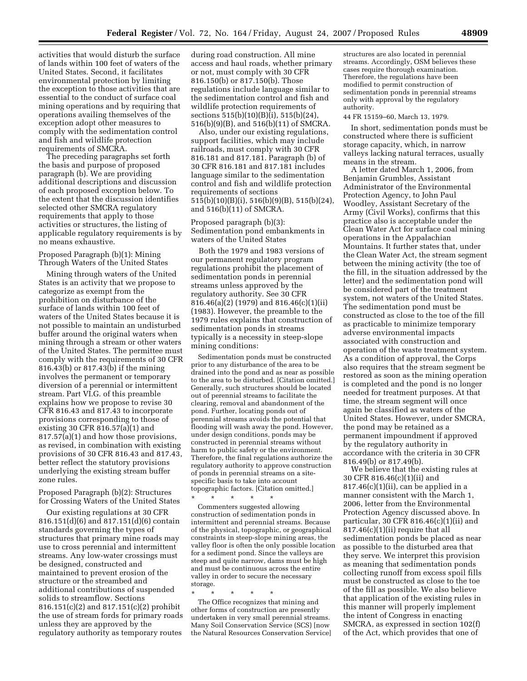activities that would disturb the surface of lands within 100 feet of waters of the United States. Second, it facilitates environmental protection by limiting the exception to those activities that are essential to the conduct of surface coal mining operations and by requiring that operations availing themselves of the exception adopt other measures to comply with the sedimentation control and fish and wildlife protection requirements of SMCRA.

The preceding paragraphs set forth the basis and purpose of proposed paragraph (b). We are providing additional descriptions and discussion of each proposed exception below. To the extent that the discussion identifies selected other SMCRA regulatory requirements that apply to those activities or structures, the listing of applicable regulatory requirements is by no means exhaustive.

## Proposed Paragraph (b)(1): Mining Through Waters of the United States

Mining through waters of the United States is an activity that we propose to categorize as exempt from the prohibition on disturbance of the surface of lands within 100 feet of waters of the United States because it is not possible to maintain an undisturbed buffer around the original waters when mining through a stream or other waters of the United States. The permittee must comply with the requirements of 30 CFR 816.43(b) or 817.43(b) if the mining involves the permanent or temporary diversion of a perennial or intermittent stream. Part VI.G. of this preamble explains how we propose to revise 30 CFR 816.43 and 817.43 to incorporate provisions corresponding to those of existing 30 CFR 816.57(a)(1) and 817.57(a)(1) and how those provisions, as revised, in combination with existing provisions of 30 CFR 816.43 and 817.43, better reflect the statutory provisions underlying the existing stream buffer zone rules.

# Proposed Paragraph (b)(2): Structures for Crossing Waters of the United States

Our existing regulations at 30 CFR 816.151(d)(6) and 817.151(d)(6) contain standards governing the types of structures that primary mine roads may use to cross perennial and intermittent streams. Any low-water crossings must be designed, constructed and maintained to prevent erosion of the structure or the streambed and additional contributions of suspended solids to streamflow. Sections 816.151(c)(2) and 817.151(c)(2) prohibit the use of stream fords for primary roads unless they are approved by the regulatory authority as temporary routes

during road construction. All mine access and haul roads, whether primary or not, must comply with 30 CFR 816.150(b) or 817.150(b). Those regulations include language similar to the sedimentation control and fish and wildlife protection requirements of sections 515(b)(10)(B)(i), 515(b)(24), 516(b)(9)(B), and 516(b)(11) of SMCRA.

Also, under our existing regulations, support facilities, which may include railroads, must comply with 30 CFR 816.181 and 817.181. Paragraph (b) of 30 CFR 816.181 and 817.181 includes language similar to the sedimentation control and fish and wildlife protection requirements of sections 515(b)(10)(B)(i), 516(b)(9)(B), 515(b)(24), and 516(b)(11) of SMCRA.

Proposed paragraph (b)(3): Sedimentation pond embankments in waters of the United States

Both the 1979 and 1983 versions of our permanent regulatory program regulations prohibit the placement of sedimentation ponds in perennial streams unless approved by the regulatory authority. See 30 CFR 816.46(a)(2) (1979) and 816.46(c)(1)(ii) (1983). However, the preamble to the 1979 rules explains that construction of sedimentation ponds in streams typically is a necessity in steep-slope mining conditions:

Sedimentation ponds must be constructed prior to any disturbance of the area to be drained into the pond and as near as possible to the area to be disturbed. [Citation omitted.] Generally, such structures should be located out of perennial streams to facilitate the clearing, removal and abandonment of the pond. Further, locating ponds out of perennial streams avoids the potential that flooding will wash away the pond. However, under design conditions, ponds may be constructed in perennial streams without harm to public safety or the environment. Therefore, the final regulations authorize the regulatory authority to approve construction of ponds in perennial streams on a sitespecific basis to take into account topographic factors. [Citation omitted.]

\* \* \* \* \* Commenters suggested allowing construction of sedimentation ponds in intermittent and perennial streams. Because of the physical, topographic, or geographical constraints in steep-slope mining areas, the valley floor is often the only possible location for a sediment pond. Since the valleys are steep and quite narrow, dams must be high and must be continuous across the entire valley in order to secure the necessary storage.

\* \* \* \* \*

The Office recognizes that mining and other forms of construction are presently undertaken in very small perennial streams. Many Soil Conservation Service (SCS) [now the Natural Resources Conservation Service] structures are also located in perennial streams. Accordingly, OSM believes these cases require thorough examination. Therefore, the regulations have been modified to permit construction of sedimentation ponds in perennial streams only with approval by the regulatory authority.

#### 44 FR 15159–60, March 13, 1979.

In short, sedimentation ponds must be constructed where there is sufficient storage capacity, which, in narrow valleys lacking natural terraces, usually means in the stream.

A letter dated March 1, 2006, from Benjamin Grumbles, Assistant Administrator of the Environmental Protection Agency, to John Paul Woodley, Assistant Secretary of the Army (Civil Works), confirms that this practice also is acceptable under the Clean Water Act for surface coal mining operations in the Appalachian Mountains. It further states that, under the Clean Water Act, the stream segment between the mining activity (the toe of the fill, in the situation addressed by the letter) and the sedimentation pond will be considered part of the treatment system, not waters of the United States. The sedimentation pond must be constructed as close to the toe of the fill as practicable to minimize temporary adverse environmental impacts associated with construction and operation of the waste treatment system. As a condition of approval, the Corps also requires that the stream segment be restored as soon as the mining operation is completed and the pond is no longer needed for treatment purposes. At that time, the stream segment will once again be classified as waters of the United States. However, under SMCRA, the pond may be retained as a permanent impoundment if approved by the regulatory authority in accordance with the criteria in 30 CFR 816.49(b) or 817.49(b).

We believe that the existing rules at 30 CFR 816.46(c)(1)(ii) and  $817.46(c)(1)(ii)$ , can be applied in a manner consistent with the March 1, 2006, letter from the Environmental Protection Agency discussed above. In particular, 30 CFR 816.46(c)(1)(ii) and 817.46(c)(1)(ii) require that all sedimentation ponds be placed as near as possible to the disturbed area that they serve. We interpret this provision as meaning that sedimentation ponds collecting runoff from excess spoil fills must be constructed as close to the toe of the fill as possible. We also believe that application of the existing rules in this manner will properly implement the intent of Congress in enacting SMCRA, as expressed in section 102(f) of the Act, which provides that one of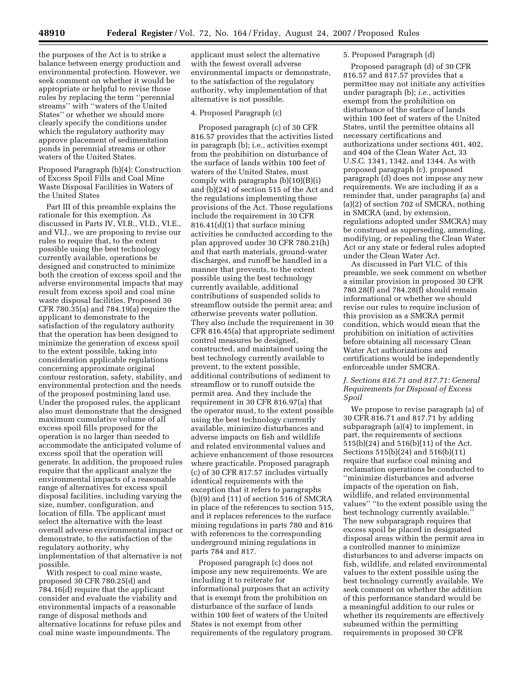the purposes of the Act is to strike a balance between energy production and environmental protection. However, we seek comment on whether it would be appropriate or helpful to revise those rules by replacing the term ''perennial streams'' with ''waters of the United States'' or whether we should more clearly specify the conditions under which the regulatory authority may approve placement of sedimentation ponds in perennial streams or other waters of the United States.

Proposed Paragraph (b)(4): Construction of Excess Spoil Fills and Coal Mine Waste Disposal Facilities in Waters of the United States

Part III of this preamble explains the rationale for this exemption. As discussed in Parts IV, VI.B., VI.D., VI.E., and VI.J., we are proposing to revise our rules to require that, to the extent possible using the best technology currently available, operations be designed and constructed to minimize both the creation of excess spoil and the adverse environmental impacts that may result from excess spoil and coal mine waste disposal facilities. Proposed 30 CFR 780.35(a) and 784.19(a) require the applicant to demonstrate to the satisfaction of the regulatory authority that the operation has been designed to minimize the generation of excess spoil to the extent possible, taking into consideration applicable regulations concerning approximate original contour restoration, safety, stability, and environmental protection and the needs of the proposed postmining land use. Under the proposed rules, the applicant also must demonstrate that the designed maximum cumulative volume of all excess spoil fills proposed for the operation is no larger than needed to accommodate the anticipated volume of excess spoil that the operation will generate. In addition, the proposed rules require that the applicant analyze the environmental impacts of a reasonable range of alternatives for excess spoil disposal facilities, including varying the size, number, configuration, and location of fills. The applicant must select the alternative with the least overall adverse environmental impact or demonstrate, to the satisfaction of the regulatory authority, why implementation of that alternative is not possible.

With respect to coal mine waste, proposed 30 CFR 780.25(d) and 784.16(d) require that the applicant consider and evaluate the viability and environmental impacts of a reasonable range of disposal methods and alternative locations for refuse piles and coal mine waste impoundments. The

applicant must select the alternative with the fewest overall adverse environmental impacts or demonstrate, to the satisfaction of the regulatory authority, why implementation of that alternative is not possible.

## 4. Proposed Paragraph (c)

Proposed paragraph (c) of 30 CFR 816.57 provides that the activities listed in paragraph (b); i.e., activities exempt from the prohibition on disturbance of the surface of lands within 100 feet of waters of the United States, must comply with paragraphs  $(b)(10)(B)(i)$ and (b)(24) of section 515 of the Act and the regulations implementing those provisions of the Act. Those regulations include the requirement in 30 CFR 816.41(d)(1) that surface mining activities be conducted according to the plan approved under 30 CFR 780.21(h) and that earth materials, ground-water discharges, and runoff be handled in a manner that prevents, to the extent possible using the best technology currently available, additional contributions of suspended solids to streamflow outside the permit area; and otherwise prevents water pollution. They also include the requirement in 30 CFR 816.45(a) that appropriate sediment control measures be designed, constructed, and maintained using the best technology currently available to prevent, to the extent possible, additional contributions of sediment to streamflow or to runoff outside the permit area. And they include the requirement in 30 CFR 816.97(a) that the operator must, to the extent possible using the best technology currently available, minimize disturbances and adverse impacts on fish and wildlife and related environmental values and achieve enhancement of those resources where practicable. Proposed paragraph (c) of 30 CFR 817.57 includes virtually identical requirements with the exception that it refers to paragraphs (b)(9) and (11) of section 516 of SMCRA in place of the references to section 515, and it replaces references to the surface mining regulations in parts 780 and 816 with references to the corresponding underground mining regulations in parts 784 and 817.

Proposed paragraph (c) does not impose any new requirements. We are including it to reiterate for informational purposes that an activity that is exempt from the prohibition on disturbance of the surface of lands within 100 feet of waters of the United States is not exempt from other requirements of the regulatory program.

# 5. Proposed Paragraph (d)

Proposed paragraph (d) of 30 CFR 816.57 and 817.57 provides that a permittee may not initiate any activities under paragraph (b); *i.e.*, activities exempt from the prohibition on disturbance of the surface of lands within 100 feet of waters of the United States, until the permittee obtains all necessary certifications and authorizations under sections 401, 402, and 404 of the Clean Water Act, 33 U.S.C. 1341, 1342, and 1344. As with proposed paragraph (c), proposed paragraph (d) does not impose any new requirements. We are including it as a reminder that, under paragraphs (a) and (a)(2) of section 702 of SMCRA, nothing in SMCRA (and, by extension, regulations adopted under SMCRA) may be construed as superseding, amending, modifying, or repealing the Clean Water Act or any state or federal rules adopted under the Clean Water Act.

As discussed in Part VI.C. of this preamble, we seek comment on whether a similar provision in proposed 30 CFR 780.28(f) and 784.28(f) should remain informational or whether we should revise our rules to require inclusion of this provision as a SMCRA permit condition, which would mean that the prohibition on initiation of activities before obtaining all necessary Clean Water Act authorizations and certifications would be independently enforceable under SMCRA.

## *J. Sections 816.71 and 817.71: General Requirements for Disposal of Excess Spoil*

We propose to revise paragraph (a) of 30 CFR 816.71 and 817.71 by adding subparagraph (a)(4) to implement, in part, the requirements of sections 515(b)(24) and 516(b)(11) of the Act. Sections 515(b)(24) and 516(b)(11) require that surface coal mining and reclamation operations be conducted to ''minimize disturbances and adverse impacts of the operation on fish, wildlife, and related environmental values'' ''to the extent possible using the best technology currently available.'' The new subparagraph requires that excess spoil be placed in designated disposal areas within the permit area in a controlled manner to minimize disturbances to and adverse impacts on fish, wildlife, and related environmental values to the extent possible using the best technology currently available. We seek comment on whether the addition of this performance standard would be a meaningful addition to our rules or whether its requirements are effectively subsumed within the permitting requirements in proposed 30 CFR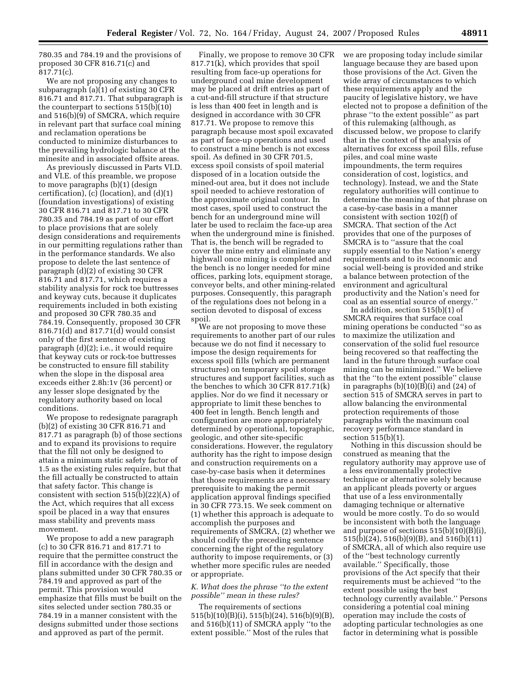780.35 and 784.19 and the provisions of proposed 30 CFR 816.71(c) and 817.71(c).

We are not proposing any changes to subparagraph (a)(1) of existing 30 CFR 816.71 and 817.71. That subparagraph is the counterpart to sections 515(b)(10) and 516(b)(9) of SMCRA, which require in relevant part that surface coal mining and reclamation operations be conducted to minimize disturbances to the prevailing hydrologic balance at the minesite and in associated offsite areas.

As previously discussed in Parts VI.D. and VI.E. of this preamble, we propose to move paragraphs (b)(1) (design certification), (c) (location), and (d)(1) (foundation investigations) of existing 30 CFR 816.71 and 817.71 to 30 CFR 780.35 and 784.19 as part of our effort to place provisions that are solely design considerations and requirements in our permitting regulations rather than in the performance standards. We also propose to delete the last sentence of paragraph (d)(2) of existing 30 CFR 816.71 and 817.71, which requires a stability analysis for rock toe buttresses and keyway cuts, because it duplicates requirements included in both existing and proposed 30 CFR 780.35 and 784.19. Consequently, proposed 30 CFR 816.71(d) and 817.71(d) would consist only of the first sentence of existing paragraph (d)(2); i.e., it would require that keyway cuts or rock-toe buttresses be constructed to ensure fill stability when the slope in the disposal area exceeds either 2.8h:1v (36 percent) or any lesser slope designated by the regulatory authority based on local conditions.

We propose to redesignate paragraph (b)(2) of existing 30 CFR 816.71 and 817.71 as paragraph (b) of those sections and to expand its provisions to require that the fill not only be designed to attain a minimum static safety factor of 1.5 as the existing rules require, but that the fill actually be constructed to attain that safety factor. This change is consistent with section 515(b)(22)(A) of the Act, which requires that all excess spoil be placed in a way that ensures mass stability and prevents mass movement.

We propose to add a new paragraph (c) to 30 CFR 816.71 and 817.71 to require that the permittee construct the fill in accordance with the design and plans submitted under 30 CFR 780.35 or 784.19 and approved as part of the permit. This provision would emphasize that fills must be built on the sites selected under section 780.35 or 784.19 in a manner consistent with the designs submitted under those sections and approved as part of the permit.

Finally, we propose to remove 30 CFR 817.71(k), which provides that spoil resulting from face-up operations for underground coal mine development may be placed at drift entries as part of a cut-and-fill structure if that structure is less than 400 feet in length and is designed in accordance with 30 CFR 817.71. We propose to remove this paragraph because most spoil excavated as part of face-up operations and used to construct a mine bench is not excess spoil. As defined in 30 CFR 701.5, excess spoil consists of spoil material disposed of in a location outside the mined-out area, but it does not include spoil needed to achieve restoration of the approximate original contour. In most cases, spoil used to construct the bench for an underground mine will later be used to reclaim the face-up area when the underground mine is finished. That is, the bench will be regraded to cover the mine entry and eliminate any highwall once mining is completed and the bench is no longer needed for mine offices, parking lots, equipment storage, conveyor belts, and other mining-related purposes. Consequently, this paragraph of the regulations does not belong in a section devoted to disposal of excess spoil.

We are not proposing to move these requirements to another part of our rules because we do not find it necessary to impose the design requirements for excess spoil fills (which are permanent structures) on temporary spoil storage structures and support facilities, such as the benches to which 30 CFR 817.71(k) applies. Nor do we find it necessary or appropriate to limit these benches to 400 feet in length. Bench length and configuration are more appropriately determined by operational, topographic, geologic, and other site-specific considerations. However, the regulatory authority has the right to impose design and construction requirements on a case-by-case basis when it determines that those requirements are a necessary prerequisite to making the permit application approval findings specified in 30 CFR 773.15. We seek comment on (1) whether this approach is adequate to accomplish the purposes and requirements of SMCRA, (2) whether we should codify the preceding sentence concerning the right of the regulatory authority to impose requirements, or (3) whether more specific rules are needed or appropriate.

# *K. What does the phrase ''to the extent possible'' mean in these rules?*

The requirements of sections 515(b)(10)(B)(i), 515(b)(24), 516(b)(9)(B), and 516(b)(11) of SMCRA apply ''to the extent possible.'' Most of the rules that

we are proposing today include similar language because they are based upon those provisions of the Act. Given the wide array of circumstances to which these requirements apply and the paucity of legislative history, we have elected not to propose a definition of the phrase ''to the extent possible'' as part of this rulemaking (although, as discussed below, we propose to clarify that in the context of the analysis of alternatives for excess spoil fills, refuse piles, and coal mine waste impoundments, the term requires consideration of cost, logistics, and technology). Instead, we and the State regulatory authorities will continue to determine the meaning of that phrase on a case-by-case basis in a manner consistent with section 102(f) of SMCRA. That section of the Act provides that one of the purposes of SMCRA is to ''assure that the coal supply essential to the Nation's energy requirements and to its economic and social well-being is provided and strike a balance between protection of the environment and agricultural productivity and the Nation's need for coal as an essential source of energy.''

In addition, section 515(b)(1) of SMCRA requires that surface coal mining operations be conducted ''so as to maximize the utilization and conservation of the solid fuel resource being recovered so that reaffecting the land in the future through surface coal mining can be minimized.'' We believe that the ''to the extent possible'' clause in paragraphs  $(b)(10)(B)(i)$  and  $(24)$  of section 515 of SMCRA serves in part to allow balancing the environmental protection requirements of those paragraphs with the maximum coal recovery performance standard in section 515(b)(1).

Nothing in this discussion should be construed as meaning that the regulatory authority may approve use of a less environmentally protective technique or alternative solely because an applicant pleads poverty or argues that use of a less environmentally damaging technique or alternative would be more costly. To do so would be inconsistent with both the language and purpose of sections 515(b)(10)(B)(i), 515(b)(24), 516(b)(9)(B), and 516(b)(11) of SMCRA, all of which also require use of the ''best technology currently available.'' Specifically, those provisions of the Act specify that their requirements must be achieved ''to the extent possible using the best technology currently available.'' Persons considering a potential coal mining operation may include the costs of adopting particular technologies as one factor in determining what is possible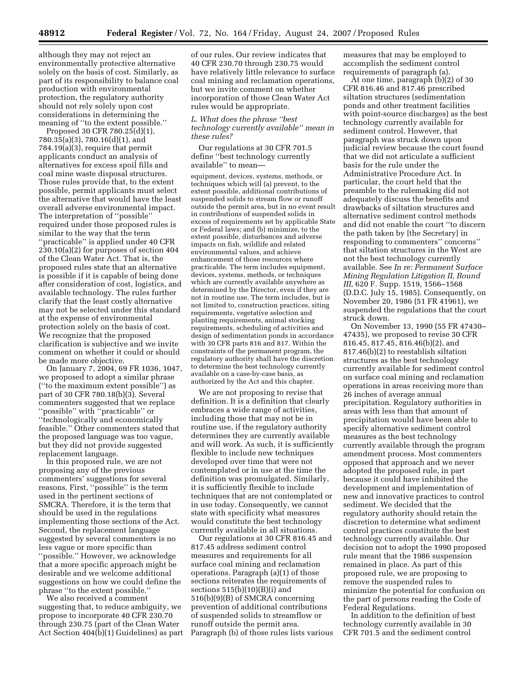although they may not reject an environmentally protective alternative solely on the basis of cost. Similarly, as part of its responsibility to balance coal production with environmental protection, the regulatory authority should not rely solely upon cost considerations in determining the meaning of ''to the extent possible.''

Proposed 30 CFR 780.25(d)(1), 780.35(a)(3), 780.16(d)(1), and 784.19(a)(3), require that permit applicants conduct an analysis of alternatives for excess spoil fills and coal mine waste disposal structures. Those rules provide that, to the extent possible, permit applicants must select the alternative that would have the least overall adverse environmental impact. The interpretation of ''possible'' required under those proposed rules is similar to the way that the term ''practicable'' is applied under 40 CFR 230.10(a)(2) for purposes of section 404 of the Clean Water Act. That is, the proposed rules state that an alternative is possible if it is capable of being done after consideration of cost, logistics, and available technology. The rules further clarify that the least costly alternative may not be selected under this standard at the expense of environmental protection solely on the basis of cost. We recognize that the proposed clarification is subjective and we invite comment on whether it could or should be made more objective.

On January 7, 2004, 69 FR 1036, 1047, we proposed to adopt a similar phrase (''to the maximum extent possible'') as part of 30 CFR 780.18(b)(3). Several commenters suggested that we replace ''possible'' with ''practicable'' or ''technologically and economically feasible.'' Other commenters stated that the proposed language was too vague, but they did not provide suggested replacement language.

In this proposed rule, we are not proposing any of the previous commenters' suggestions for several reasons. First, ''possible'' is the term used in the pertinent sections of SMCRA. Therefore, it is the term that should be used in the regulations implementing those sections of the Act. Second, the replacement language suggested by several commenters is no less vague or more specific than ''possible.'' However, we acknowledge that a more specific approach might be desirable and we welcome additional suggestions on how we could define the phrase ''to the extent possible.''

We also received a comment suggesting that, to reduce ambiguity, we propose to incorporate 40 CFR 230.70 through 230.75 (part of the Clean Water Act Section 404(b)(1) Guidelines) as part

of our rules. Our review indicates that 40 CFR 230.70 through 230.75 would have relatively little relevance to surface coal mining and reclamation operations, but we invite comment on whether incorporation of those Clean Water Act rules would be appropriate.

*L. What does the phrase ''best technology currently available'' mean in these rules?* 

Our regulations at 30 CFR 701.5 define ''best technology currently available'' to mean—

equipment, devices, systems, methods, or techniques which will (a) prevent, to the extent possible, additional contributions of suspended solids to stream flow or runoff outside the permit area, but in no event result in contributions of suspended solids in excess of requirements set by applicable State or Federal laws; and (b) minimize, to the extent possible, disturbances and adverse impacts on fish, wildlife and related environmental values, and achieve enhancement of those resources where practicable. The term includes equipment, devices, systems, methods, or techniques which are currently available anywhere as determined by the Director, even if they are not in routine use. The term includes, but is not limited to, construction practices, siting requirements, vegetative selection and planting requirements, animal stocking requirements, scheduling of activities and design of sedimentation ponds in accordance with 30 CFR parts 816 and 817. Within the constraints of the permanent program, the regulatory authority shall have the discretion to determine the best technology currently available on a case-by-case basis, as authorized by the Act and this chapter.

We are not proposing to revise that definition. It is a definition that clearly embraces a wide range of activities, including those that may not be in routine use, if the regulatory authority determines they are currently available and will work. As such, it is sufficiently flexible to include new techniques developed over time that were not contemplated or in use at the time the definition was promulgated. Similarly, it is sufficiently flexible to include techniques that are not contemplated or in use today. Consequently, we cannot state with specificity what measures would constitute the best technology currently available in all situations.

Our regulations at 30 CFR 816.45 and 817.45 address sediment control measures and requirements for all surface coal mining and reclamation operations. Paragraph (a)(1) of those sections reiterates the requirements of sections  $515(b)(10)(B)(i)$  and 516(b)(9)(B) of SMCRA concerning prevention of additional contributions of suspended solids to streamflow or runoff outside the permit area. Paragraph (b) of those rules lists various

measures that may be employed to accomplish the sediment control requirements of paragraph (a).

At one time, paragraph (b)(2) of 30 CFR 816.46 and 817.46 prescribed siltation structures (sedimentation ponds and other treatment facilities with point-source discharges) as the best technology currently available for sediment control. However, that paragraph was struck down upon judicial review because the court found that we did not articulate a sufficient basis for the rule under the Administrative Procedure Act. In particular, the court held that the preamble to the rulemaking did not adequately discuss the benefits and drawbacks of siltation structures and alternative sediment control methods and did not enable the court ''to discern the path taken by [the Secretary] in responding to commenters'' concerns'' that siltation structures in the West are not the best technology currently available. See *In re: Permanent Surface Mining Regulation Litigation II, Round III,* 620 F. Supp. 1519, 1566–1568 (D.D.C. July 15, 1985). Consequently, on November 20, 1986 (51 FR 41961), we suspended the regulations that the court struck down.

On November 13, 1990 (55 FR 47430– 47435), we proposed to revise 30 CFR 816.45, 817.45, 816.46(b)(2), and 817.46(b)(2) to reestablish siltation structures as the best technology currently available for sediment control on surface coal mining and reclamation operations in areas receiving more than 26 inches of average annual precipitation. Regulatory authorities in areas with less than that amount of precipitation would have been able to specify alternative sediment control measures as the best technology currently available through the program amendment process. Most commenters opposed that approach and we never adopted the proposed rule, in part because it could have inhibited the development and implementation of new and innovative practices to control sediment. We decided that the regulatory authority should retain the discretion to determine what sediment control practices constitute the best technology currently available. Our decision not to adopt the 1990 proposed rule meant that the 1986 suspension remained in place. As part of this proposed rule, we are proposing to remove the suspended rules to minimize the potential for confusion on the part of persons reading the Code of Federal Regulations.

In addition to the definition of best technology currently available in 30 CFR 701.5 and the sediment control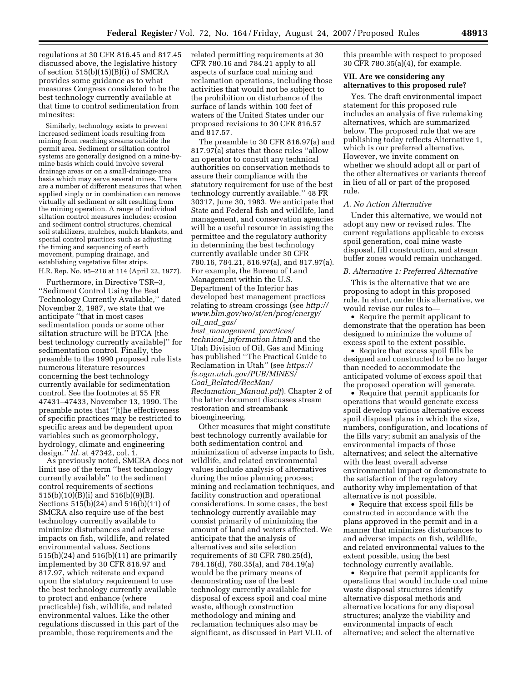regulations at 30 CFR 816.45 and 817.45 discussed above, the legislative history of section 515(b)(15)(B)(i) of SMCRA provides some guidance as to what measures Congress considered to be the best technology currently available at that time to control sedimentation from minesites:

Similarly, technology exists to prevent increased sediment loads resulting from mining from reaching streams outside the permit area. Sediment or siltation control systems are generally designed on a mine-bymine basis which could involve several drainage areas or on a small-drainage-area basis which may serve several mines. There are a number of different measures that when applied singly or in combination can remove virtually all sediment or silt resulting from the mining operation. A range of individual siltation control measures includes: erosion and sediment control structures, chemical soil stabilizers, mulches, mulch blankets, and special control practices such as adjusting the timing and sequencing of earth movement, pumping drainage, and establishing vegetative filter strips. H.R. Rep. No. 95–218 at 114 (April 22, 1977).

Furthermore, in Directive TSR–3, ''Sediment Control Using the Best Technology Currently Available,'' dated November 2, 1987, we state that we anticipate ''that in most cases sedimentation ponds or some other siltation structure will be BTCA [the best technology currently available]'' for sedimentation control. Finally, the preamble to the 1990 proposed rule lists numerous literature resources concerning the best technology currently available for sedimentation control. See the footnotes at 55 FR 47431–47433, November 13, 1990. The preamble notes that ''[t]he effectiveness of specific practices may be restricted to specific areas and be dependent upon variables such as geomorphology, hydrology, climate and engineering design.'' *Id.* at 47342, col. 1.

As previously noted, SMCRA does not limit use of the term ''best technology currently available'' to the sediment control requirements of sections  $515(b)(10)(B)(i)$  and  $516(b)(9)(B)$ . Sections 515(b)(24) and 516(b)(11) of SMCRA also require use of the best technology currently available to minimize disturbances and adverse impacts on fish, wildlife, and related environmental values. Sections 515(b)(24) and 516(b)(11) are primarily implemented by 30 CFR 816.97 and 817.97, which reiterate and expand upon the statutory requirement to use the best technology currently available to protect and enhance (where practicable) fish, wildlife, and related environmental values. Like the other regulations discussed in this part of the preamble, those requirements and the

related permitting requirements at 30 CFR 780.16 and 784.21 apply to all aspects of surface coal mining and reclamation operations, including those activities that would not be subject to the prohibition on disturbance of the surface of lands within 100 feet of waters of the United States under our proposed revisions to 30 CFR 816.57 and 817.57.

The preamble to 30 CFR 816.97(a) and 817.97(a) states that those rules ''allow an operator to consult any technical authorities on conservation methods to assure their compliance with the statutory requirement for use of the best technology currently available.'' 48 FR 30317, June 30, 1983. We anticipate that State and Federal fish and wildlife, land management, and conservation agencies will be a useful resource in assisting the permittee and the regulatory authority in determining the best technology currently available under 30 CFR 780.16, 784.21, 816.97(a), and 817.97(a). For example, the Bureau of Land Management within the U.S. Department of the Interior has developed best management practices relating to stream crossings (see *http:// www.blm.gov/wo/st/en/prog/energy/ oil*\_*and*\_*gas/* 

*best*\_*management*\_*practices/ technical*\_*information.html*) and the Utah Division of Oil, Gas and Mining has published ''The Practical Guide to Reclamation in Utah'' (see *https:// fs.ogm.utah.gov/PUB/MINES/ Coal*\_*Related/RecMan/ Reclamation*\_*Manual.pdf*). Chapter 2 of the latter document discusses stream restoration and streambank bioengineering.

Other measures that might constitute best technology currently available for both sedimentation control and minimization of adverse impacts to fish, wildlife, and related environmental values include analysis of alternatives during the mine planning process; mining and reclamation techniques, and facility construction and operational considerations. In some cases, the best technology currently available may consist primarily of minimizing the amount of land and waters affected. We anticipate that the analysis of alternatives and site selection requirements of 30 CFR 780.25(d), 784.16(d), 780.35(a), and 784.19(a) would be the primary means of demonstrating use of the best technology currently available for disposal of excess spoil and coal mine waste, although construction methodology and mining and reclamation techniques also may be significant, as discussed in Part VI.D. of

this preamble with respect to proposed 30 CFR 780.35(a)(4), for example.

# **VII. Are we considering any alternatives to this proposed rule?**

Yes. The draft environmental impact statement for this proposed rule includes an analysis of five rulemaking alternatives, which are summarized below. The proposed rule that we are publishing today reflects Alternative 1, which is our preferred alternative. However, we invite comment on whether we should adopt all or part of the other alternatives or variants thereof in lieu of all or part of the proposed rule.

## *A. No Action Alternative*

Under this alternative, we would not adopt any new or revised rules. The current regulations applicable to excess spoil generation, coal mine waste disposal, fill construction, and stream buffer zones would remain unchanged.

#### *B. Alternative 1: Preferred Alternative*

This is the alternative that we are proposing to adopt in this proposed rule. In short, under this alternative, we would revise our rules to—

• Require the permit applicant to demonstrate that the operation has been designed to minimize the volume of excess spoil to the extent possible.

• Require that excess spoil fills be designed and constructed to be no larger than needed to accommodate the anticipated volume of excess spoil that the proposed operation will generate.

• Require that permit applicants for operations that would generate excess spoil develop various alternative excess spoil disposal plans in which the size, numbers, configuration, and locations of the fills vary; submit an analysis of the environmental impacts of those alternatives; and select the alternative with the least overall adverse environmental impact or demonstrate to the satisfaction of the regulatory authority why implementation of that alternative is not possible.

• Require that excess spoil fills be constructed in accordance with the plans approved in the permit and in a manner that minimizes disturbances to and adverse impacts on fish, wildlife, and related environmental values to the extent possible, using the best technology currently available.

• Require that permit applicants for operations that would include coal mine waste disposal structures identify alternative disposal methods and alternative locations for any disposal structures; analyze the viability and environmental impacts of each alternative; and select the alternative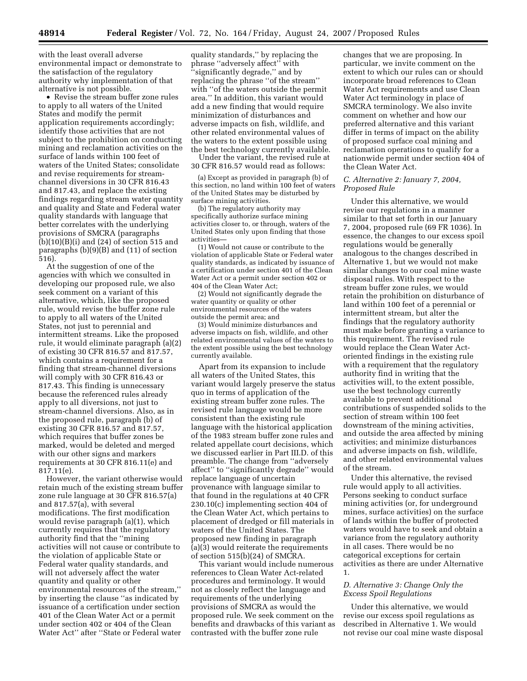with the least overall adverse environmental impact or demonstrate to the satisfaction of the regulatory authority why implementation of that alternative is not possible.

• Revise the stream buffer zone rules to apply to all waters of the United States and modify the permit application requirements accordingly; identify those activities that are not subject to the prohibition on conducting mining and reclamation activities on the surface of lands within 100 feet of waters of the United States; consolidate and revise requirements for streamchannel diversions in 30 CFR 816.43 and 817.43, and replace the existing findings regarding stream water quantity and quality and State and Federal water quality standards with language that better correlates with the underlying provisions of SMCRA (paragraphs  $(b)(10)(B)(i)$  and  $(24)$  of section 515 and paragraphs (b)(9)(B) and (11) of section 516).

At the suggestion of one of the agencies with which we consulted in developing our proposed rule, we also seek comment on a variant of this alternative, which, like the proposed rule, would revise the buffer zone rule to apply to all waters of the United States, not just to perennial and intermittent streams. Like the proposed rule, it would eliminate paragraph (a)(2) of existing 30 CFR 816.57 and 817.57, which contains a requirement for a finding that stream-channel diversions will comply with 30 CFR 816.43 or 817.43. This finding is unnecessary because the referenced rules already apply to all diversions, not just to stream-channel diversions. Also, as in the proposed rule, paragraph (b) of existing 30 CFR 816.57 and 817.57, which requires that buffer zones be marked, would be deleted and merged with our other signs and markers requirements at 30 CFR 816.11(e) and 817.11(e).

However, the variant otherwise would retain much of the existing stream buffer zone rule language at 30 CFR 816.57(a) and 817.57(a), with several modifications. The first modification would revise paragraph (a)(1), which currently requires that the regulatory authority find that the ''mining activities will not cause or contribute to the violation of applicable State or Federal water quality standards, and will not adversely affect the water quantity and quality or other environmental resources of the stream,'' by inserting the clause ''as indicated by issuance of a certification under section 401 of the Clean Water Act or a permit under section 402 or 404 of the Clean Water Act'' after ''State or Federal water

quality standards,'' by replacing the phrase ''adversely affect'' with 'significantly degrade,'' and by replacing the phrase ''of the stream'' with ''of the waters outside the permit area.'' In addition, this variant would add a new finding that would require minimization of disturbances and adverse impacts on fish, wildlife, and other related environmental values of the waters to the extent possible using the best technology currently available.

Under the variant, the revised rule at 30 CFR 816.57 would read as follows:

(a) Except as provided in paragraph (b) of this section, no land within 100 feet of waters of the United States may be disturbed by surface mining activities.

(b) The regulatory authority may specifically authorize surface mining activities closer to, or through, waters of the United States only upon finding that those activities—

(1) Would not cause or contribute to the violation of applicable State or Federal water quality standards, as indicated by issuance of a certification under section 401 of the Clean Water Act or a permit under section 402 or 404 of the Clean Water Act;

(2) Would not significantly degrade the water quantity or quality or other environmental resources of the waters outside the permit area; and

(3) Would minimize disturbances and adverse impacts on fish, wildlife, and other related environmental values of the waters to the extent possible using the best technology currently available.

Apart from its expansion to include all waters of the United States, this variant would largely preserve the status quo in terms of application of the existing stream buffer zone rules. The revised rule language would be more consistent than the existing rule language with the historical application of the 1983 stream buffer zone rules and related appellate court decisions, which we discussed earlier in Part III.D. of this preamble. The change from ''adversely affect'' to ''significantly degrade'' would replace language of uncertain provenance with language similar to that found in the regulations at 40 CFR 230.10(c) implementing section 404 of the Clean Water Act, which pertains to placement of dredged or fill materials in waters of the United States. The proposed new finding in paragraph  $(a)(3)$  would reiterate the requirements of section 515(b)(24) of SMCRA.

This variant would include numerous references to Clean Water Act-related procedures and terminology. It would not as closely reflect the language and requirements of the underlying provisions of SMCRA as would the proposed rule. We seek comment on the benefits and drawbacks of this variant as contrasted with the buffer zone rule

changes that we are proposing. In particular, we invite comment on the extent to which our rules can or should incorporate broad references to Clean Water Act requirements and use Clean Water Act terminology in place of SMCRA terminology. We also invite comment on whether and how our preferred alternative and this variant differ in terms of impact on the ability of proposed surface coal mining and reclamation operations to qualify for a nationwide permit under section 404 of the Clean Water Act.

## *C. Alternative 2: January 7, 2004, Proposed Rule*

Under this alternative, we would revise our regulations in a manner similar to that set forth in our January 7, 2004, proposed rule (69 FR 1036). In essence, the changes to our excess spoil regulations would be generally analogous to the changes described in Alternative 1, but we would not make similar changes to our coal mine waste disposal rules. With respect to the stream buffer zone rules, we would retain the prohibition on disturbance of land within 100 feet of a perennial or intermittent stream, but alter the findings that the regulatory authority must make before granting a variance to this requirement. The revised rule would replace the Clean Water Actoriented findings in the existing rule with a requirement that the regulatory authority find in writing that the activities will, to the extent possible, use the best technology currently available to prevent additional contributions of suspended solids to the section of stream within 100 feet downstream of the mining activities, and outside the area affected by mining activities; and minimize disturbances and adverse impacts on fish, wildlife, and other related environmental values of the stream.

Under this alternative, the revised rule would apply to all activities. Persons seeking to conduct surface mining activities (or, for underground mines, surface activities) on the surface of lands within the buffer of protected waters would have to seek and obtain a variance from the regulatory authority in all cases. There would be no categorical exceptions for certain activities as there are under Alternative 1.

# *D. Alternative 3: Change Only the Excess Spoil Regulations*

Under this alternative, we would revise our excess spoil regulations as described in Alternative 1. We would not revise our coal mine waste disposal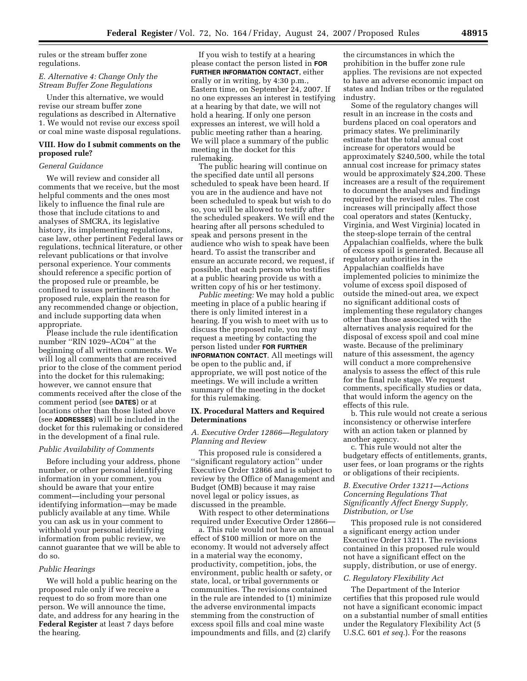rules or the stream buffer zone regulations.

## *E. Alternative 4: Change Only the Stream Buffer Zone Regulations*

Under this alternative, we would revise our stream buffer zone regulations as described in Alternative 1. We would not revise our excess spoil or coal mine waste disposal regulations.

## **VIII. How do I submit comments on the proposed rule?**

### *General Guidance*

We will review and consider all comments that we receive, but the most helpful comments and the ones most likely to influence the final rule are those that include citations to and analyses of SMCRA, its legislative history, its implementing regulations, case law, other pertinent Federal laws or regulations, technical literature, or other relevant publications or that involve personal experience. Your comments should reference a specific portion of the proposed rule or preamble, be confined to issues pertinent to the proposed rule, explain the reason for any recommended change or objection, and include supporting data when appropriate.

Please include the rule identification number ''RIN 1029–AC04'' at the beginning of all written comments. We will log all comments that are received prior to the close of the comment period into the docket for this rulemaking; however, we cannot ensure that comments received after the close of the comment period (see **DATES**) or at locations other than those listed above (see **ADDRESSES**) will be included in the docket for this rulemaking or considered in the development of a final rule.

## *Public Availability of Comments*

Before including your address, phone number, or other personal identifying information in your comment, you should be aware that your entire comment—including your personal identifying information—may be made publicly available at any time. While you can ask us in your comment to withhold your personal identifying information from public review, we cannot guarantee that we will be able to do so.

#### *Public Hearings*

We will hold a public hearing on the proposed rule only if we receive a request to do so from more than one person. We will announce the time, date, and address for any hearing in the **Federal Register** at least 7 days before the hearing.

If you wish to testify at a hearing please contact the person listed in **FOR FURTHER INFORMATION CONTACT**, either orally or in writing, by 4:30 p.m., Eastern time, on September 24, 2007. If no one expresses an interest in testifying at a hearing by that date, we will not hold a hearing. If only one person expresses an interest, we will hold a public meeting rather than a hearing. We will place a summary of the public meeting in the docket for this rulemaking.

The public hearing will continue on the specified date until all persons scheduled to speak have been heard. If you are in the audience and have not been scheduled to speak but wish to do so, you will be allowed to testify after the scheduled speakers. We will end the hearing after all persons scheduled to speak and persons present in the audience who wish to speak have been heard. To assist the transcriber and ensure an accurate record, we request, if possible, that each person who testifies at a public hearing provide us with a written copy of his or her testimony.

*Public meeting:* We may hold a public meeting in place of a public hearing if there is only limited interest in a hearing. If you wish to meet with us to discuss the proposed rule, you may request a meeting by contacting the person listed under **FOR FURTHER INFORMATION CONTACT**. All meetings will be open to the public and, if appropriate, we will post notice of the meetings. We will include a written summary of the meeting in the docket for this rulemaking.

## **IX. Procedural Matters and Required Determinations**

## *A. Executive Order 12866—Regulatory Planning and Review*

This proposed rule is considered a ''significant regulatory action'' under Executive Order 12866 and is subject to review by the Office of Management and Budget (OMB) because it may raise novel legal or policy issues, as discussed in the preamble.

With respect to other determinations required under Executive Order 12866—

a. This rule would not have an annual effect of \$100 million or more on the economy. It would not adversely affect in a material way the economy, productivity, competition, jobs, the environment, public health or safety, or state, local, or tribal governments or communities. The revisions contained in the rule are intended to (1) minimize the adverse environmental impacts stemming from the construction of excess spoil fills and coal mine waste impoundments and fills, and (2) clarify

the circumstances in which the prohibition in the buffer zone rule applies. The revisions are not expected to have an adverse economic impact on states and Indian tribes or the regulated industry.

Some of the regulatory changes will result in an increase in the costs and burdens placed on coal operators and primacy states. We preliminarily estimate that the total annual cost increase for operators would be approximately \$240,500, while the total annual cost increase for primacy states would be approximately \$24,200. These increases are a result of the requirement to document the analyses and findings required by the revised rules. The cost increases will principally affect those coal operators and states (Kentucky, Virginia, and West Virginia) located in the steep-slope terrain of the central Appalachian coalfields, where the bulk of excess spoil is generated. Because all regulatory authorities in the Appalachian coalfields have implemented policies to minimize the volume of excess spoil disposed of outside the mined-out area, we expect no significant additional costs of implementing these regulatory changes other than those associated with the alternatives analysis required for the disposal of excess spoil and coal mine waste. Because of the preliminary nature of this assessment, the agency will conduct a more comprehensive analysis to assess the effect of this rule for the final rule stage. We request comments, specifically studies or data, that would inform the agency on the effects of this rule.

b. This rule would not create a serious inconsistency or otherwise interfere with an action taken or planned by another agency.

c. This rule would not alter the budgetary effects of entitlements, grants, user fees, or loan programs or the rights or obligations of their recipients.

# *B. Executive Order 13211—Actions Concerning Regulations That Significantly Affect Energy Supply, Distribution, or Use*

This proposed rule is not considered a significant energy action under Executive Order 13211. The revisions contained in this proposed rule would not have a significant effect on the supply, distribution, or use of energy.

#### *C. Regulatory Flexibility Act*

The Department of the Interior certifies that this proposed rule would not have a significant economic impact on a substantial number of small entities under the Regulatory Flexibility Act (5 U.S.C. 601 *et seq.*). For the reasons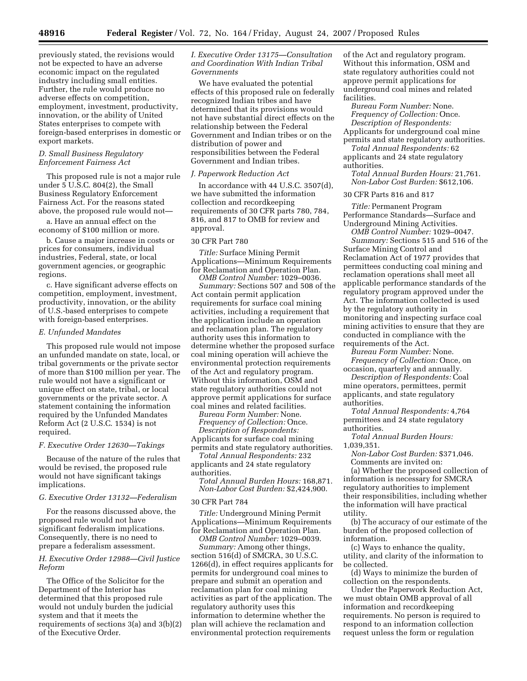previously stated, the revisions would not be expected to have an adverse economic impact on the regulated industry including small entities. Further, the rule would produce no adverse effects on competition, employment, investment, productivity, innovation, or the ability of United States enterprises to compete with foreign-based enterprises in domestic or export markets.

# *D. Small Business Regulatory Enforcement Fairness Act*

This proposed rule is not a major rule under 5 U.S.C. 804(2), the Small Business Regulatory Enforcement Fairness Act. For the reasons stated above, the proposed rule would not—

a. Have an annual effect on the economy of \$100 million or more.

b. Cause a major increase in costs or prices for consumers, individual industries, Federal, state, or local government agencies, or geographic regions.

c. Have significant adverse effects on competition, employment, investment, productivity, innovation, or the ability of U.S.-based enterprises to compete with foreign-based enterprises.

## *E. Unfunded Mandates*

This proposed rule would not impose an unfunded mandate on state, local, or tribal governments or the private sector of more than \$100 million per year. The rule would not have a significant or unique effect on state, tribal, or local governments or the private sector. A statement containing the information required by the Unfunded Mandates Reform Act (2 U.S.C. 1534) is not required.

## *F. Executive Order 12630—Takings*

Because of the nature of the rules that would be revised, the proposed rule would not have significant takings implications.

# *G. Executive Order 13132—Federalism*

For the reasons discussed above, the proposed rule would not have significant federalism implications. Consequently, there is no need to prepare a federalism assessment.

# *H. Executive Order 12988—Civil Justice Reform*

The Office of the Solicitor for the Department of the Interior has determined that this proposed rule would not unduly burden the judicial system and that it meets the requirements of sections 3(a) and 3(b)(2) of the Executive Order.

## *I. Executive Order 13175—Consultation and Coordination With Indian Tribal Governments*

We have evaluated the potential effects of this proposed rule on federally recognized Indian tribes and have determined that its provisions would not have substantial direct effects on the relationship between the Federal Government and Indian tribes or on the distribution of power and responsibilities between the Federal Government and Indian tribes.

## *J. Paperwork Reduction Act*

In accordance with 44 U.S.C. 3507(d), we have submitted the information collection and recordkeeping requirements of 30 CFR parts 780, 784, 816, and 817 to OMB for review and approval.

### 30 CFR Part 780

*Title:* Surface Mining Permit Applications—Minimum Requirements for Reclamation and Operation Plan.

*OMB Control Number:* 1029–0036. *Summary:* Sections 507 and 508 of the Act contain permit application requirements for surface coal mining activities, including a requirement that the application include an operation and reclamation plan. The regulatory authority uses this information to determine whether the proposed surface coal mining operation will achieve the environmental protection requirements of the Act and regulatory program. Without this information, OSM and state regulatory authorities could not approve permit applications for surface coal mines and related facilities.

*Bureau Form Number:* None. *Frequency of Collection:* Once.

*Description of Respondents:*  Applicants for surface coal mining permits and state regulatory authorities.

*Total Annual Respondents:* 232 applicants and 24 state regulatory authorities.

*Total Annual Burden Hours:* 168,871. *Non-Labor Cost Burden:* \$2,424,900.

#### 30 CFR Part 784

*Title:* Underground Mining Permit Applications—Minimum Requirements for Reclamation and Operation Plan.

*OMB Control Number:* 1029–0039.

*Summary:* Among other things, section 516(d) of SMCRA, 30 U.S.C. 1266(d), in effect requires applicants for permits for underground coal mines to prepare and submit an operation and reclamation plan for coal mining activities as part of the application. The regulatory authority uses this information to determine whether the plan will achieve the reclamation and environmental protection requirements

of the Act and regulatory program. Without this information, OSM and state regulatory authorities could not approve permit applications for underground coal mines and related facilities.

*Bureau Form Number:* None. *Frequency of Collection:* Once. *Description of Respondents:* 

Applicants for underground coal mine permits and state regulatory authorities.

*Total Annual Respondents:* 62 applicants and 24 state regulatory

authorities.

*Total Annual Burden Hours:* 21,761. *Non-Labor Cost Burden:* \$612,106.

30 CFR Parts 816 and 817

*Title:* Permanent Program Performance Standards—Surface and Underground Mining Activities.

*OMB Control Number:* 1029–0047. *Summary:* Sections 515 and 516 of the Surface Mining Control and Reclamation Act of 1977 provides that permittees conducting coal mining and reclamation operations shall meet all applicable performance standards of the regulatory program approved under the Act. The information collected is used by the regulatory authority in monitoring and inspecting surface coal mining activities to ensure that they are conducted in compliance with the requirements of the Act.

*Bureau Form Number:* None. *Frequency of Collection:* Once, on

occasion, quarterly and annually. *Description of Respondents:* Coal mine operators, permittees, permit applicants, and state regulatory authorities.

*Total Annual Respondents:* 4,764 permittees and 24 state regulatory authorities.

*Total Annual Burden Hours:*  1,039,351.

*Non-Labor Cost Burden:* \$371,046. Comments are invited on:

(a) Whether the proposed collection of information is necessary for SMCRA regulatory authorities to implement their responsibilities, including whether the information will have practical utility.

(b) The accuracy of our estimate of the burden of the proposed collection of information.

(c) Ways to enhance the quality, utility, and clarity of the information to be collected.

(d) Ways to minimize the burden of collection on the respondents.

Under the Paperwork Reduction Act, we must obtain OMB approval of all information and recordkeeping requirements. No person is required to respond to an information collection request unless the form or regulation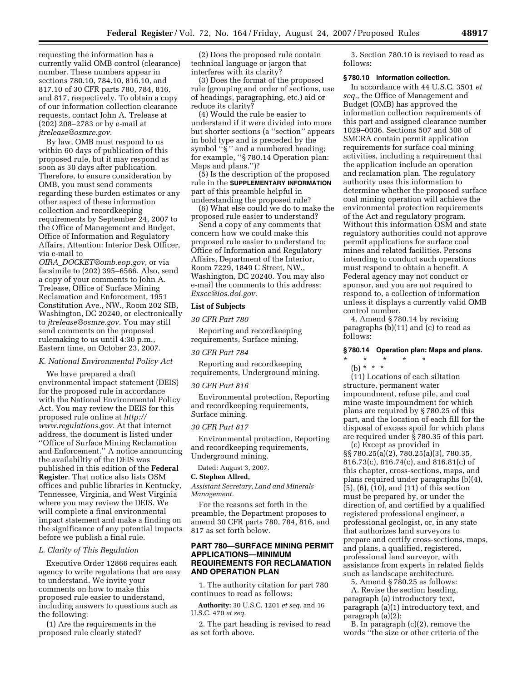requesting the information has a currently valid OMB control (clearance) number. These numbers appear in sections 780.10, 784.10, 816.10, and 817.10 of 30 CFR parts 780, 784, 816, and 817, respectively. To obtain a copy of our information collection clearance requests, contact John A. Trelease at (202) 208–2783 or by e-mail at *jtrelease@osmre.gov.* 

By law, OMB must respond to us within 60 days of publication of this proposed rule, but it may respond as soon as 30 days after publication. Therefore, to ensure consideration by OMB, you must send comments regarding these burden estimates or any other aspect of these information collection and recordkeeping requirements by September 24, 2007 to the Office of Management and Budget, Office of Information and Regulatory Affairs, Attention: Interior Desk Officer, via e-mail to

*OIRA*\_*DOCKET@omb.eop.gov*, or via facsimile to (202) 395–6566. Also, send a copy of your comments to John A. Trelease, Office of Surface Mining Reclamation and Enforcement, 1951 Constitution Ave., NW., Room 202 SIB, Washington, DC 20240, or electronically to *jtrelease@osmre.gov.* You may still send comments on the proposed rulemaking to us until 4:30 p.m., Eastern time, on October 23, 2007.

## *K. National Environmental Policy Act*

We have prepared a draft environmental impact statement (DEIS) for the proposed rule in accordance with the National Environmental Policy Act. You may review the DEIS for this proposed rule online at *http:// www.regulations.gov.* At that internet address, the document is listed under ''Office of Surface Mining Reclamation and Enforcement.'' A notice announcing the availabiltiy of the DEIS was published in this edition of the **Federal Register**. That notice also lists OSM offices and public libraries in Kentucky, Tennessee, Virginia, and West Virginia where you may review the DEIS. We will complete a final environmental impact statement and make a finding on the significance of any potential impacts before we publish a final rule.

#### *L. Clarity of This Regulation*

Executive Order 12866 requires each agency to write regulations that are easy to understand. We invite your comments on how to make this proposed rule easier to understand, including answers to questions such as the following:

(1) Are the requirements in the proposed rule clearly stated?

(2) Does the proposed rule contain technical language or jargon that interferes with its clarity?

(3) Does the format of the proposed rule (grouping and order of sections, use of headings, paragraphing, etc.) aid or reduce its clarity?

(4) Would the rule be easier to understand if it were divided into more but shorter sections (a ''section'' appears in bold type and is preceded by the symbol "§" and a numbered heading; for example, ''§ 780.14 Operation plan: Maps and plans.'')?

(5) Is the description of the proposed rule in the **SUPPLEMENTARY INFORMATION** part of this preamble helpful in understanding the proposed rule?

(6) What else could we do to make the proposed rule easier to understand?

Send a copy of any comments that concern how we could make this proposed rule easier to understand to: Office of Information and Regulatory Affairs, Department of the Interior, Room 7229, 1849 C Street, NW., Washington, DC 20240. You may also e-mail the comments to this address: *Exsec@ios.doi.gov.* 

### **List of Subjects**

#### *30 CFR Part 780*

Reporting and recordkeeping requirements, Surface mining.

#### *30 CFR Part 784*

Reporting and recordkeeping requirements, Underground mining.

#### *30 CFR Part 816*

Environmental protection, Reporting and recordkeeping requirements, Surface mining.

#### *30 CFR Part 817*

Environmental protection, Reporting and recordkeeping requirements, Underground mining.

Dated: August 3, 2007.

# **C. Stephen Allred,**

*Assistant Secretary, Land and Minerals Management.* 

For the reasons set forth in the preamble, the Department proposes to amend 30 CFR parts 780, 784, 816, and 817 as set forth below.

# **PART 780—SURFACE MINING PERMIT APPLICATIONS—MINIMUM REQUIREMENTS FOR RECLAMATION AND OPERATION PLAN**

1. The authority citation for part 780 continues to read as follows:

**Authority:** 30 U.S.C. 1201 *et seq.* and 16 U.S.C. 470 *et seq.* 

2. The part heading is revised to read as set forth above.

3. Section 780.10 is revised to read as follows:

# **§ 780.10 Information collection.**

In accordance with 44 U.S.C. 3501 *et seq.*, the Office of Management and Budget (OMB) has approved the information collection requirements of this part and assigned clearance number 1029–0036. Sections 507 and 508 of SMCRA contain permit application requirements for surface coal mining activities, including a requirement that the application include an operation and reclamation plan. The regulatory authority uses this information to determine whether the proposed surface coal mining operation will achieve the environmental protection requirements of the Act and regulatory program. Without this information OSM and state regulatory authorities could not approve permit applications for surface coal mines and related facilities. Persons intending to conduct such operations must respond to obtain a benefit. A Federal agency may not conduct or sponsor, and you are not required to respond to, a collection of information unless it displays a currently valid OMB control number.

4. Amend § 780.14 by revising paragraphs (b)(11) and (c) to read as follows:

### **§ 780.14 Operation plan: Maps and plans.**

\* \* \* \* \*

(b) \* \* \*

(11) Locations of each siltation structure, permanent water impoundment, refuse pile, and coal mine waste impoundment for which plans are required by § 780.25 of this part, and the location of each fill for the disposal of excess spoil for which plans are required under § 780.35 of this part.

(c) Except as provided in §§ 780.25(a)(2), 780.25(a)(3), 780.35, 816.73(c), 816.74(c), and 816.81(c) of this chapter, cross-sections, maps, and plans required under paragraphs (b)(4), (5), (6), (10), and (11) of this section must be prepared by, or under the direction of, and certified by a qualified registered professional engineer, a professional geologist, or, in any state that authorizes land surveyors to prepare and certify cross-sections, maps, and plans, a qualified, registered, professional land surveyor, with assistance from experts in related fields such as landscape architecture.

5. Amend § 780.25 as follows:

A. Revise the section heading, paragraph (a) introductory text, paragraph (a)(1) introductory text, and paragraph (a)(2);

B. In paragraph (c)(2), remove the words ''the size or other criteria of the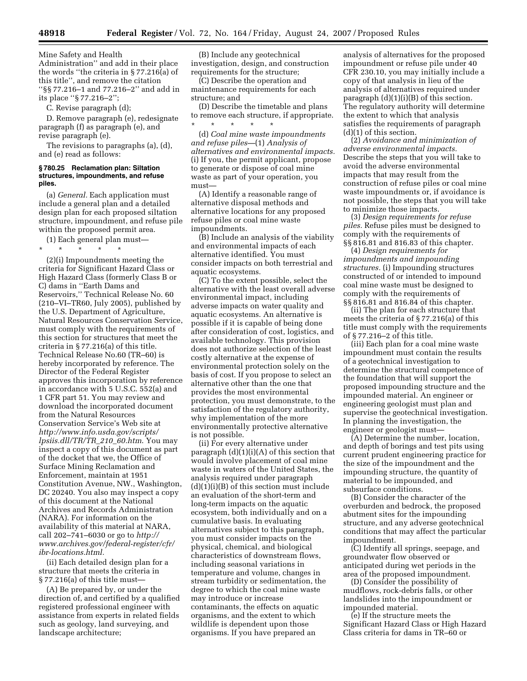Mine Safety and Health Administration'' and add in their place the words ''the criteria in § 77.216(a) of this title'', and remove the citation ''§§ 77.216–1 and 77.216–2'' and add in its place ''§ 77.216–2'';

C. Revise paragraph (d);

D. Remove paragraph (e), redesignate paragraph (f) as paragraph (e), and revise paragraph (e).

The revisions to paragraphs (a), (d), and (e) read as follows:

### **§ 780.25 Reclamation plan: Siltation structures, impoundments, and refuse piles.**

(a) *General.* Each application must include a general plan and a detailed design plan for each proposed siltation structure, impoundment, and refuse pile within the proposed permit area.

(1) Each general plan must—

\* \* \* \* \* (2)(i) Impoundments meeting the criteria for Significant Hazard Class or High Hazard Class (formerly Class B or C) dams in ''Earth Dams and Reservoirs,'' Technical Release No. 60 (210–VI–TR60, July 2005), published by the U.S. Department of Agriculture, Natural Resources Conservation Service, must comply with the requirements of this section for structures that meet the criteria in § 77.216(a) of this title. Technical Release No.60 (TR–60) is hereby incorporated by reference. The Director of the Federal Register approves this incorporation by reference in accordance with 5 U.S.C. 552(a) and 1 CFR part 51. You may review and download the incorporated document from the Natural Resources Conservation Service's Web site at *http://www.info.usda.gov/scripts/ lpsiis.dll/TR/TR*\_*210*\_*60.htm*. You may inspect a copy of this document as part of the docket that we, the Office of Surface Mining Reclamation and Enforcement, maintain at 1951 Constitution Avenue, NW., Washington, DC 20240. You also may inspect a copy of this document at the National Archives and Records Administration (NARA). For information on the availability of this material at NARA, call 202–741–6030 or go to *http:// www.archives.gov/federal-register/cfr/ ibr-locations.html.* 

(ii) Each detailed design plan for a structure that meets the criteria in § 77.216(a) of this title must—

(A) Be prepared by, or under the direction of, and certified by a qualified registered professional engineer with assistance from experts in related fields such as geology, land surveying, and landscape architecture;

(B) Include any geotechnical investigation, design, and construction requirements for the structure;

(C) Describe the operation and maintenance requirements for each structure; and

(D) Describe the timetable and plans to remove each structure, if appropriate. \* \* \* \* \*

(d) *Coal mine waste impoundments and refuse piles—*(1) *Analysis of alternatives and environmental impacts.*  (i) If you, the permit applicant, propose to generate or dispose of coal mine waste as part of your operation, you must—

(A) Identify a reasonable range of alternative disposal methods and alternative locations for any proposed refuse piles or coal mine waste impoundments.

(B) Include an analysis of the viability and environmental impacts of each alternative identified. You must consider impacts on both terrestrial and aquatic ecosystems.

(C) To the extent possible, select the alternative with the least overall adverse environmental impact, including adverse impacts on water quality and aquatic ecosystems. An alternative is possible if it is capable of being done after consideration of cost, logistics, and available technology. This provision does not authorize selection of the least costly alternative at the expense of environmental protection solely on the basis of cost. If you propose to select an alternative other than the one that provides the most environmental protection, you must demonstrate, to the satisfaction of the regulatory authority, why implementation of the more environmentally protective alternative is not possible.

(ii) For every alternative under paragraph  $(d)(1)(i)(A)$  of this section that would involve placement of coal mine waste in waters of the United States, the analysis required under paragraph  $(d)(1)(i)(B)$  of this section must include an evaluation of the short-term and long-term impacts on the aquatic ecosystem, both individually and on a cumulative basis. In evaluating alternatives subject to this paragraph, you must consider impacts on the physical, chemical, and biological characteristics of downstream flows, including seasonal variations in temperature and volume, changes in stream turbidity or sedimentation, the degree to which the coal mine waste may introduce or increase contaminants, the effects on aquatic organisms, and the extent to which wildlife is dependent upon those organisms. If you have prepared an

analysis of alternatives for the proposed impoundment or refuse pile under 40 CFR 230.10, you may initially include a copy of that analysis in lieu of the analysis of alternatives required under paragraph  $(d)(1)(i)(B)$  of this section. The regulatory authority will determine the extent to which that analysis satisfies the requirements of paragraph (d)(1) of this section.

(2) *Avoidance and minimization of adverse environmental impacts.*  Describe the steps that you will take to avoid the adverse environmental impacts that may result from the construction of refuse piles or coal mine waste impoundments or, if avoidance is not possible, the steps that you will take to minimize those impacts.

(3) *Design requirements for refuse piles.* Refuse piles must be designed to comply with the requirements of §§ 816.81 and 816.83 of this chapter.

(4) *Design requirements for impoundments and impounding structures.* (i) Impounding structures constructed of or intended to impound coal mine waste must be designed to comply with the requirements of §§ 816.81 and 816.84 of this chapter.

(ii) The plan for each structure that meets the criteria of § 77.216(a) of this title must comply with the requirements of § 77.216–2 of this title.

(iii) Each plan for a coal mine waste impoundment must contain the results of a geotechnical investigation to determine the structural competence of the foundation that will support the proposed impounding structure and the impounded material. An engineer or engineering geologist must plan and supervise the geotechnical investigation. In planning the investigation, the engineer or geologist must—

(A) Determine the number, location, and depth of borings and test pits using current prudent engineering practice for the size of the impoundment and the impounding structure, the quantity of material to be impounded, and subsurface conditions.

(B) Consider the character of the overburden and bedrock, the proposed abutment sites for the impounding structure, and any adverse geotechnical conditions that may affect the particular impoundment.

(C) Identify all springs, seepage, and groundwater flow observed or anticipated during wet periods in the area of the proposed impoundment.

(D) Consider the possibility of mudflows, rock-debris falls, or other landslides into the impoundment or impounded material.

(e) If the structure meets the Significant Hazard Class or High Hazard Class criteria for dams in TR–60 or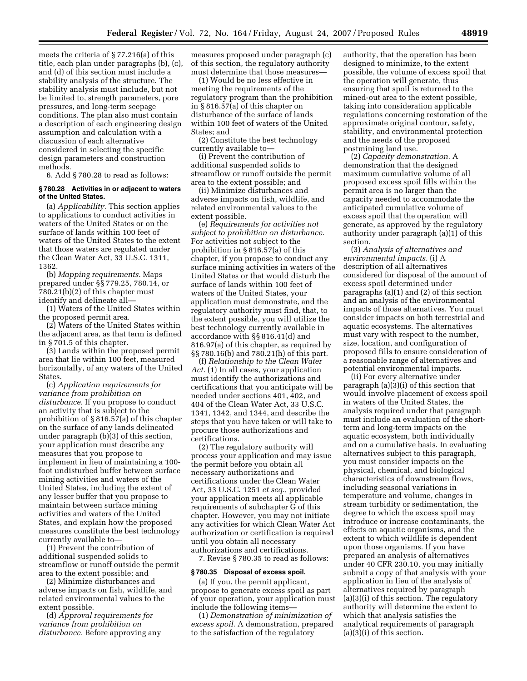meets the criteria of § 77.216(a) of this title, each plan under paragraphs (b), (c), and (d) of this section must include a stability analysis of the structure. The stability analysis must include, but not be limited to, strength parameters, pore pressures, and long-term seepage conditions. The plan also must contain a description of each engineering design assumption and calculation with a discussion of each alternative considered in selecting the specific design parameters and construction methods.

6. Add § 780.28 to read as follows:

### **§ 780.28 Activities in or adjacent to waters of the United States.**

(a) *Applicability.* This section applies to applications to conduct activities in waters of the United States or on the surface of lands within 100 feet of waters of the United States to the extent that those waters are regulated under the Clean Water Act, 33 U.S.C. 1311, 1362.

(b) *Mapping requirements.* Maps prepared under §§ 779.25, 780.14, or 780.21(b)(2) of this chapter must identify and delineate all—

(1) Waters of the United States within the proposed permit area.

(2) Waters of the United States within the adjacent area, as that term is defined in § 701.5 of this chapter.

(3) Lands within the proposed permit area that lie within 100 feet, measured horizontally, of any waters of the United States.

(c) *Application requirements for variance from prohibition on disturbance.* If you propose to conduct an activity that is subject to the prohibition of § 816.57(a) of this chapter on the surface of any lands delineated under paragraph (b)(3) of this section, your application must describe any measures that you propose to implement in lieu of maintaining a 100 foot undisturbed buffer between surface mining activities and waters of the United States, including the extent of any lesser buffer that you propose to maintain between surface mining activities and waters of the United States, and explain how the proposed measures constitute the best technology currently available to—

(1) Prevent the contribution of additional suspended solids to streamflow or runoff outside the permit area to the extent possible; and

(2) Minimize disturbances and adverse impacts on fish, wildlife, and related environmental values to the extent possible.

(d) *Approval requirements for variance from prohibition on disturbance.* Before approving any

measures proposed under paragraph (c) of this section, the regulatory authority must determine that those measures—

(1) Would be no less effective in meeting the requirements of the regulatory program than the prohibition in § 816.57(a) of this chapter on disturbance of the surface of lands within 100 feet of waters of the United States; and

(2) Constitute the best technology currently available to—

(i) Prevent the contribution of additional suspended solids to streamflow or runoff outside the permit area to the extent possible; and

(ii) Minimize disturbances and adverse impacts on fish, wildlife, and related environmental values to the extent possible.

(e) *Requirements for activities not subject to prohibition on disturbance.*  For activities not subject to the prohibition in § 816.57(a) of this chapter, if you propose to conduct any surface mining activities in waters of the United States or that would disturb the surface of lands within 100 feet of waters of the United States, your application must demonstrate, and the regulatory authority must find, that, to the extent possible, you will utilize the best technology currently available in accordance with §§ 816.41(d) and 816.97(a) of this chapter, as required by §§ 780.16(b) and 780.21(h) of this part.

(f) *Relationship to the Clean Water*  Act. (1) In all cases, your application must identify the authorizations and certifications that you anticipate will be needed under sections 401, 402, and 404 of the Clean Water Act, 33 U.S.C. 1341, 1342, and 1344, and describe the steps that you have taken or will take to procure those authorizations and certifications.

(2) The regulatory authority will process your application and may issue the permit before you obtain all necessary authorizations and certifications under the Clean Water Act, 33 U.S.C. 1251 *et seq.*, provided your application meets all applicable requirements of subchapter G of this chapter. However, you may not initiate any activities for which Clean Water Act authorization or certification is required until you obtain all necessary authorizations and certifications.

7. Revise § 780.35 to read as follows:

### **§ 780.35 Disposal of excess spoil.**

(a) If you, the permit applicant, propose to generate excess spoil as part of your operation, your application must include the following items—

(1) *Demonstration of minimization of excess spoil.* A demonstration, prepared to the satisfaction of the regulatory

authority, that the operation has been designed to minimize, to the extent possible, the volume of excess spoil that the operation will generate, thus ensuring that spoil is returned to the mined-out area to the extent possible, taking into consideration applicable regulations concerning restoration of the approximate original contour, safety, stability, and environmental protection and the needs of the proposed postmining land use.

(2) *Capacity demonstration.* A demonstration that the designed maximum cumulative volume of all proposed excess spoil fills within the permit area is no larger than the capacity needed to accommodate the anticipated cumulative volume of excess spoil that the operation will generate, as approved by the regulatory authority under paragraph (a)(1) of this section.

(3) *Analysis of alternatives and environmental impacts.* (i) A description of all alternatives considered for disposal of the amount of excess spoil determined under paragraphs (a)(1) and (2) of this section and an analysis of the environmental impacts of those alternatives. You must consider impacts on both terrestrial and aquatic ecosystems. The alternatives must vary with respect to the number, size, location, and configuration of proposed fills to ensure consideration of a reasonable range of alternatives and potential environmental impacts.

(ii) For every alternative under paragraph (a)(3)(i) of this section that would involve placement of excess spoil in waters of the United States, the analysis required under that paragraph must include an evaluation of the shortterm and long-term impacts on the aquatic ecosystem, both individually and on a cumulative basis. In evaluating alternatives subject to this paragraph, you must consider impacts on the physical, chemical, and biological characteristics of downstream flows, including seasonal variations in temperature and volume, changes in stream turbidity or sedimentation, the degree to which the excess spoil may introduce or increase contaminants, the effects on aquatic organisms, and the extent to which wildlife is dependent upon those organisms. If you have prepared an analysis of alternatives under 40 CFR 230.10, you may initially submit a copy of that analysis with your application in lieu of the analysis of alternatives required by paragraph (a)(3)(i) of this section. The regulatory authority will determine the extent to which that analysis satisfies the analytical requirements of paragraph (a)(3)(i) of this section.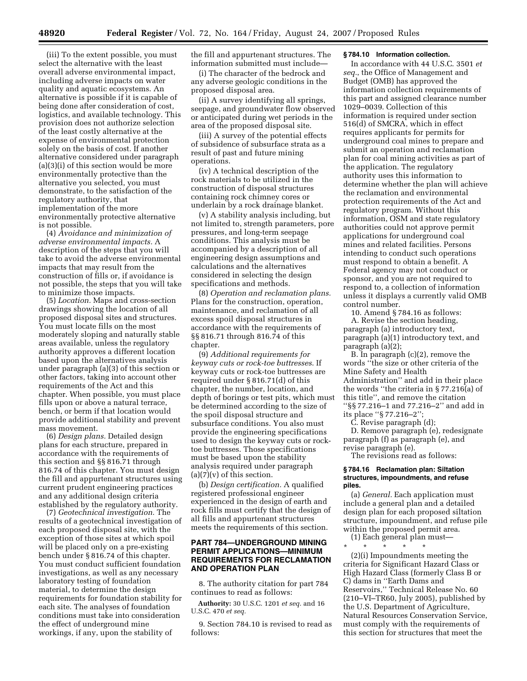(iii) To the extent possible, you must select the alternative with the least overall adverse environmental impact, including adverse impacts on water quality and aquatic ecosystems. An alternative is possible if it is capable of being done after consideration of cost, logistics, and available technology. This provision does not authorize selection of the least costly alternative at the expense of environmental protection solely on the basis of cost. If another alternative considered under paragraph (a)(3)(i) of this section would be more environmentally protective than the alternative you selected, you must demonstrate, to the satisfaction of the regulatory authority, that implementation of the more environmentally protective alternative is not possible.

(4) *Avoidance and minimization of adverse environmental impacts.* A description of the steps that you will take to avoid the adverse environmental impacts that may result from the construction of fills or, if avoidance is not possible, the steps that you will take to minimize those impacts.

(5) *Location.* Maps and cross-section drawings showing the location of all proposed disposal sites and structures. You must locate fills on the most moderately sloping and naturally stable areas available, unless the regulatory authority approves a different location based upon the alternatives analysis under paragraph (a)(3) of this section or other factors, taking into account other requirements of the Act and this chapter. When possible, you must place fills upon or above a natural terrace, bench, or berm if that location would provide additional stability and prevent mass movement.

(6) *Design plans.* Detailed design plans for each structure, prepared in accordance with the requirements of this section and §§ 816.71 through 816.74 of this chapter. You must design the fill and appurtenant structures using current prudent engineering practices and any additional design criteria established by the regulatory authority.

(7) *Geotechnical investigation.* The results of a geotechnical investigation of each proposed disposal site, with the exception of those sites at which spoil will be placed only on a pre-existing bench under § 816.74 of this chapter. You must conduct sufficient foundation investigations, as well as any necessary laboratory testing of foundation material, to determine the design requirements for foundation stability for each site. The analyses of foundation conditions must take into consideration the effect of underground mine workings, if any, upon the stability of

the fill and appurtenant structures. The information submitted must include—

(i) The character of the bedrock and any adverse geologic conditions in the proposed disposal area.

(ii) A survey identifying all springs, seepage, and groundwater flow observed or anticipated during wet periods in the area of the proposed disposal site.

(iii) A survey of the potential effects of subsidence of subsurface strata as a result of past and future mining operations.

(iv) A technical description of the rock materials to be utilized in the construction of disposal structures containing rock chimney cores or underlain by a rock drainage blanket.

(v) A stability analysis including, but not limited to, strength parameters, pore pressures, and long-term seepage conditions. This analysis must be accompanied by a description of all engineering design assumptions and calculations and the alternatives considered in selecting the design specifications and methods.

(8) *Operation and reclamation plans.*  Plans for the construction, operation, maintenance, and reclamation of all excess spoil disposal structures in accordance with the requirements of §§ 816.71 through 816.74 of this chapter.

(9) *Additional requirements for keyway cuts or rock-toe buttresses*. If keyway cuts or rock-toe buttresses are required under § 816.71(d) of this chapter, the number, location, and depth of borings or test pits, which must be determined according to the size of the spoil disposal structure and subsurface conditions. You also must provide the engineering specifications used to design the keyway cuts or rocktoe buttresses. Those specifications must be based upon the stability analysis required under paragraph  $(a)(7)(v)$  of this section.

(b) *Design certification.* A qualified registered professional engineer experienced in the design of earth and rock fills must certify that the design of all fills and appurtenant structures meets the requirements of this section.

# **PART 784—UNDERGROUND MINING PERMIT APPLICATIONS—MINIMUM REQUIREMENTS FOR RECLAMATION AND OPERATION PLAN**

8. The authority citation for part 784 continues to read as follows:

**Authority:** 30 U.S.C. 1201 *et seq.* and 16 U.S.C. 470 *et seq.* 

9. Section 784.10 is revised to read as follows:

### **§ 784.10 Information collection.**

In accordance with 44 U.S.C. 3501 *et seq.*, the Office of Management and Budget (OMB) has approved the information collection requirements of this part and assigned clearance number 1029–0039. Collection of this information is required under section 516(d) of SMCRA, which in effect requires applicants for permits for underground coal mines to prepare and submit an operation and reclamation plan for coal mining activities as part of the application. The regulatory authority uses this information to determine whether the plan will achieve the reclamation and environmental protection requirements of the Act and regulatory program. Without this information, OSM and state regulatory authorities could not approve permit applications for underground coal mines and related facilities. Persons intending to conduct such operations must respond to obtain a benefit. A Federal agency may not conduct or sponsor, and you are not required to respond to, a collection of information unless it displays a currently valid OMB control number.

10. Amend § 784.16 as follows:

A. Revise the section heading, paragraph (a) introductory text, paragraph (a)(1) introductory text, and paragraph (a)(2);

B. In paragraph (c)(2), remove the words ''the size or other criteria of the Mine Safety and Health Administration'' and add in their place the words ''the criteria in § 77.216(a) of this title'', and remove the citation ''§§ 77.216–1 and 77.216–2'' and add in its place ''§ 77.216–2'';

C. Revise paragraph (d);

D. Remove paragraph (e), redesignate paragraph (f) as paragraph (e), and revise paragraph (e).

The revisions read as follows:

#### **§ 784.16 Reclamation plan: Siltation structures, impoundments, and refuse piles.**

(a) *General.* Each application must include a general plan and a detailed design plan for each proposed siltation structure, impoundment, and refuse pile within the proposed permit area.

(1) Each general plan must—

\* \* \* \* \*

(2)(i) Impoundments meeting the criteria for Significant Hazard Class or High Hazard Class (formerly Class B or C) dams in ''Earth Dams and Reservoirs,'' Technical Release No. 60 (210–VI–TR60, July 2005), published by the U.S. Department of Agriculture, Natural Resources Conservation Service, must comply with the requirements of this section for structures that meet the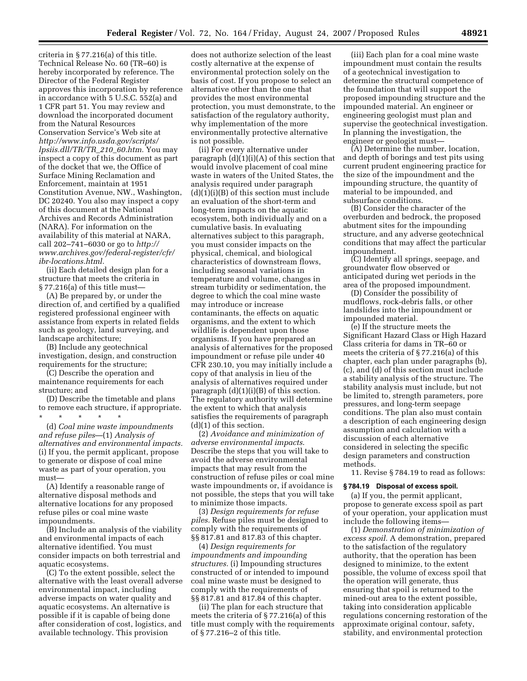criteria in § 77.216(a) of this title. Technical Release No. 60 (TR–60) is hereby incorporated by reference. The Director of the Federal Register approves this incorporation by reference in accordance with 5 U.S.C. 552(a) and 1 CFR part 51. You may review and download the incorporated document from the Natural Resources Conservation Service's Web site at *http://www.info.usda.gov/scripts/ lpsiis.dll/TR/TR*\_*210*\_*60.htm.* You may inspect a copy of this document as part of the docket that we, the Office of Surface Mining Reclamation and Enforcement, maintain at 1951 Constitution Avenue, NW., Washington, DC 20240. You also may inspect a copy of this document at the National Archives and Records Administration (NARA). For information on the availability of this material at NARA, call 202–741–6030 or go to *http:// www.archives.gov/federal-register/cfr/ ibr-locations.html.* 

(ii) Each detailed design plan for a structure that meets the criteria in § 77.216(a) of this title must—

(A) Be prepared by, or under the direction of, and certified by a qualified registered professional engineer with assistance from experts in related fields such as geology, land surveying, and landscape architecture;

(B) Include any geotechnical investigation, design, and construction requirements for the structure;

(C) Describe the operation and maintenance requirements for each structure; and

(D) Describe the timetable and plans to remove each structure, if appropriate.

\* \* \* \* \*

(d) *Coal mine waste impoundments and refuse piles*—(1) *Analysis of alternatives and environmental impacts.*  (i) If you, the permit applicant, propose to generate or dispose of coal mine waste as part of your operation, you must—

(A) Identify a reasonable range of alternative disposal methods and alternative locations for any proposed refuse piles or coal mine waste impoundments.

(B) Include an analysis of the viability and environmental impacts of each alternative identified. You must consider impacts on both terrestrial and aquatic ecosystems.

(C) To the extent possible, select the alternative with the least overall adverse environmental impact, including adverse impacts on water quality and aquatic ecosystems. An alternative is possible if it is capable of being done after consideration of cost, logistics, and available technology. This provision

does not authorize selection of the least costly alternative at the expense of environmental protection solely on the basis of cost. If you propose to select an alternative other than the one that provides the most environmental protection, you must demonstrate, to the satisfaction of the regulatory authority, why implementation of the more environmentally protective alternative is not possible.

(ii) For every alternative under paragraph  $(d)(1)(i)(A)$  of this section that would involve placement of coal mine waste in waters of the United States, the analysis required under paragraph  $(d)(1)(i)(B)$  of this section must include an evaluation of the short-term and long-term impacts on the aquatic ecosystem, both individually and on a cumulative basis. In evaluating alternatives subject to this paragraph, you must consider impacts on the physical, chemical, and biological characteristics of downstream flows, including seasonal variations in temperature and volume, changes in stream turbidity or sedimentation, the degree to which the coal mine waste may introduce or increase contaminants, the effects on aquatic organisms, and the extent to which wildlife is dependent upon those organisms. If you have prepared an analysis of alternatives for the proposed impoundment or refuse pile under 40 CFR 230.10, you may initially include a copy of that analysis in lieu of the analysis of alternatives required under paragraph (d)(1)(i)(B) of this section. The regulatory authority will determine the extent to which that analysis satisfies the requirements of paragraph (d)(1) of this section.

(2) *Avoidance and minimization of adverse environmental impacts*. Describe the steps that you will take to avoid the adverse environmental impacts that may result from the construction of refuse piles or coal mine waste impoundments or, if avoidance is not possible, the steps that you will take to minimize those impacts.

(3) *Design requirements for refuse piles.* Refuse piles must be designed to comply with the requirements of §§ 817.81 and 817.83 of this chapter.

(4) *Design requirements for impoundments and impounding structures.* (i) Impounding structures constructed of or intended to impound coal mine waste must be designed to comply with the requirements of §§ 817.81 and 817.84 of this chapter.

(ii) The plan for each structure that meets the criteria of § 77.216(a) of this title must comply with the requirements of § 77.216–2 of this title.

(iii) Each plan for a coal mine waste impoundment must contain the results of a geotechnical investigation to determine the structural competence of the foundation that will support the proposed impounding structure and the impounded material. An engineer or engineering geologist must plan and supervise the geotechnical investigation. In planning the investigation, the engineer or geologist must—

(A) Determine the number, location, and depth of borings and test pits using current prudent engineering practice for the size of the impoundment and the impounding structure, the quantity of material to be impounded, and subsurface conditions.

(B) Consider the character of the overburden and bedrock, the proposed abutment sites for the impounding structure, and any adverse geotechnical conditions that may affect the particular impoundment.

(C) Identify all springs, seepage, and groundwater flow observed or anticipated during wet periods in the area of the proposed impoundment.

(D) Consider the possibility of mudflows, rock-debris falls, or other landslides into the impoundment or impounded material.

(e) If the structure meets the Significant Hazard Class or High Hazard Class criteria for dams in TR–60 or meets the criteria of § 77.216(a) of this chapter, each plan under paragraphs (b), (c), and (d) of this section must include a stability analysis of the structure. The stability analysis must include, but not be limited to, strength parameters, pore pressures, and long-term seepage conditions. The plan also must contain a description of each engineering design assumption and calculation with a discussion of each alternative considered in selecting the specific design parameters and construction methods.

11. Revise § 784.19 to read as follows:

#### **§ 784.19 Disposal of excess spoil.**

(a) If you, the permit applicant, propose to generate excess spoil as part of your operation, your application must include the following items—

(1) *Demonstration of minimization of excess spoil.* A demonstration, prepared to the satisfaction of the regulatory authority, that the operation has been designed to minimize, to the extent possible, the volume of excess spoil that the operation will generate, thus ensuring that spoil is returned to the mined-out area to the extent possible, taking into consideration applicable regulations concerning restoration of the approximate original contour, safety, stability, and environmental protection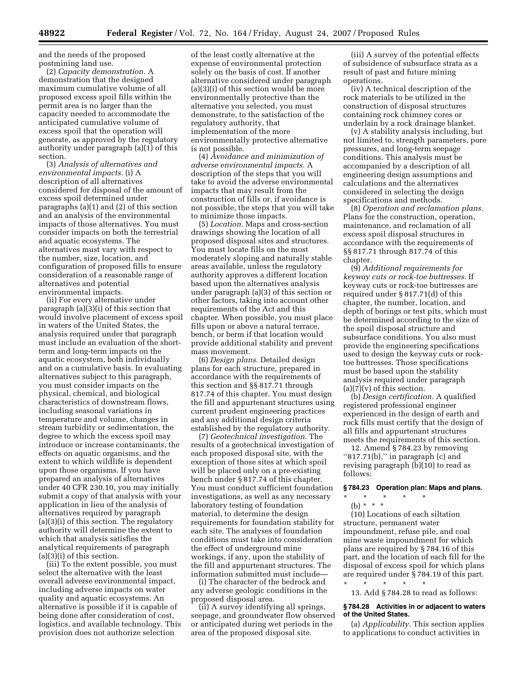and the needs of the proposed postmining land use.

(2) *Capacity demonstration*. A demonstration that the designed maximum cumulative volume of all proposed excess spoil fills within the permit area is no larger than the capacity needed to accommodate the anticipated cumulative volume of excess spoil that the operation will generate, as approved by the regulatory authority under paragraph (a)(1) of this section.

(3) *Analysis of alternatives and environmental impacts.* (i) A description of all alternatives considered for disposal of the amount of excess spoil determined under paragraphs (a)(1) and (2) of this section and an analysis of the environmental impacts of those alternatives. You must consider impacts on both the terrestrial and aquatic ecosystems. The alternatives must vary with respect to the number, size, location, and configuration of proposed fills to ensure consideration of a reasonable range of alternatives and potential environmental impacts.

(ii) For every alternative under paragraph (a)(3)(i) of this section that would involve placement of excess spoil in waters of the United States, the analysis required under that paragraph must include an evaluation of the shortterm and long-term impacts on the aquatic ecosystem, both individually and on a cumulative basis. In evaluating alternatives subject to this paragraph, you must consider impacts on the physical, chemical, and biological characteristics of downstream flows, including seasonal variations in temperature and volume, changes in stream turbidity or sedimentation, the degree to which the excess spoil may introduce or increase contaminants, the effects on aquatic organisms, and the extent to which wildlife is dependent upon those organisms. If you have prepared an analysis of alternatives under 40 CFR 230.10, you may initially submit a copy of that analysis with your application in lieu of the analysis of alternatives required by paragraph (a)(3)(i) of this section. The regulatory authority will determine the extent to which that analysis satisfies the analytical requirements of paragraph (a)(3)(i) of this section.

(iii) To the extent possible, you must select the alternative with the least overall adverse environmental impact, including adverse impacts on water quality and aquatic ecosystems. An alternative is possible if it is capable of being done after consideration of cost, logistics, and available technology. This provision does not authorize selection

of the least costly alternative at the expense of environmental protection solely on the basis of cost. If another alternative considered under paragraph  $(a)(3)(i)$  of this section would be more environmentally protective than the alternative you selected, you must demonstrate, to the satisfaction of the regulatory authority, that implementation of the more environmentally protective alternative is not possible.

(4) *Avoidance and minimization of adverse environmental impacts.* A description of the steps that you will take to avoid the adverse environmental impacts that may result from the construction of fills or, if avoidance is not possible, the steps that you will take to minimize those impacts.

(5) *Location.* Maps and cross-section drawings showing the location of all proposed disposal sites and structures. You must locate fills on the most moderately sloping and naturally stable areas available, unless the regulatory authority approves a different location based upon the alternatives analysis under paragraph (a)(3) of this section or other factors, taking into account other requirements of the Act and this chapter. When possible, you must place fills upon or above a natural terrace, bench, or berm if that location would provide additional stability and prevent mass movement.

(6) *Design plans*. Detailed design plans for each structure, prepared in accordance with the requirements of this section and §§ 817.71 through 817.74 of this chapter. You must design the fill and appurtenant structures using current prudent engineering practices and any additional design criteria established by the regulatory authority.

(7) *Geotechnical investigation.* The results of a geotechnical investigation of each proposed disposal site, with the exception of those sites at which spoil will be placed only on a pre-existing bench under § 817.74 of this chapter. You must conduct sufficient foundation investigations, as well as any necessary laboratory testing of foundation material, to determine the design requirements for foundation stability for each site. The analyses of foundation conditions must take into consideration the effect of underground mine workings, if any, upon the stability of the fill and appurtenant structures. The information submitted must include—

(i) The character of the bedrock and any adverse geologic conditions in the proposed disposal area.

(ii) A survey identifying all springs, seepage, and groundwater flow observed or anticipated during wet periods in the area of the proposed disposal site.

(iii) A survey of the potential effects of subsidence of subsurface strata as a result of past and future mining operations.

(iv) A technical description of the rock materials to be utilized in the construction of disposal structures containing rock chimney cores or underlain by a rock drainage blanket.

(v) A stability analysis including, but not limited to, strength parameters, pore pressures, and long-term seepage conditions. This analysis must be accompanied by a description of all engineering design assumptions and calculations and the alternatives considered in selecting the design specifications and methods.

(8) *Operation and reclamation plans.*  Plans for the construction, operation, maintenance, and reclamation of all excess spoil disposal structures in accordance with the requirements of §§ 817.71 through 817.74 of this chapter.

(9) *Additional requirements for keyway cuts or rock-toe buttresses.* If keyway cuts or rock-toe buttresses are required under § 817.71(d) of this chapter, the number, location, and depth of borings or test pits, which must be determined according to the size of the spoil disposal structure and subsurface conditions. You also must provide the engineering specifications used to design the keyway cuts or rocktoe buttresses. Those specifications must be based upon the stability analysis required under paragraph  $(a)(7)(v)$  of this section.

(b) *Design certification.* A qualified registered professional engineer experienced in the design of earth and rock fills must certify that the design of all fills and appurtenant structures meets the requirements of this section.

12. Amend § 784.23 by removing "817.71(b)," in paragraph (c) and revising paragraph (b)(10) to read as follows:

# **§ 784.23 Operation plan: Maps and plans.**

\* \* \* \* \* (b) \* \* \*

(10) Locations of each siltation structure, permanent water impoundment, refuse pile, and coal mine waste impoundment for which plans are required by § 784.16 of this part, and the location of each fill for the disposal of excess spoil for which plans are required under § 784.19 of this part. \* \* \* \* \*

13. Add § 784.28 to read as follows:

#### **§ 784.28 Activities in or adjacent to waters of the United States.**

(a) *Applicability.* This section applies to applications to conduct activities in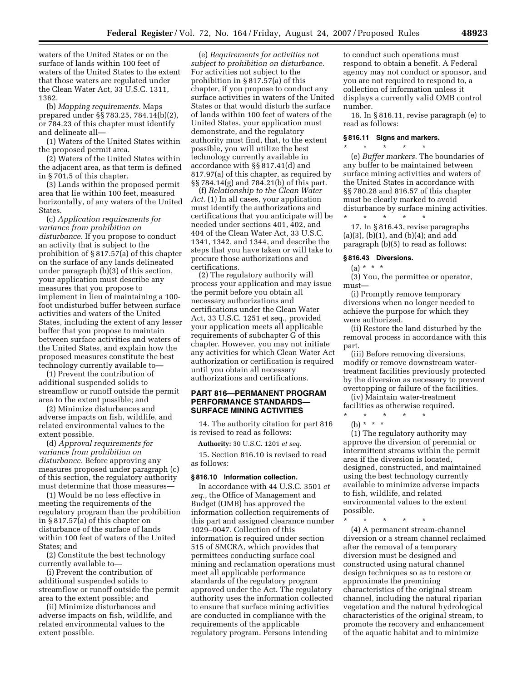waters of the United States or on the surface of lands within 100 feet of waters of the United States to the extent that those waters are regulated under the Clean Water Act, 33 U.S.C. 1311, 1362.

(b) *Mapping requirements.* Maps prepared under §§ 783.25, 784.14(b)(2), or 784.23 of this chapter must identify and delineate all—

(1) Waters of the United States within the proposed permit area.

(2) Waters of the United States within the adjacent area, as that term is defined in § 701.5 of this chapter.

(3) Lands within the proposed permit area that lie within 100 feet, measured horizontally, of any waters of the United States.

(c) *Application requirements for variance from prohibition on disturbance.* If you propose to conduct an activity that is subject to the prohibition of § 817.57(a) of this chapter on the surface of any lands delineated under paragraph (b)(3) of this section, your application must describe any measures that you propose to implement in lieu of maintaining a 100 foot undisturbed buffer between surface activities and waters of the United States, including the extent of any lesser buffer that you propose to maintain between surface activities and waters of the United States, and explain how the proposed measures constitute the best technology currently available to—

(1) Prevent the contribution of additional suspended solids to streamflow or runoff outside the permit area to the extent possible; and

(2) Minimize disturbances and adverse impacts on fish, wildlife, and related environmental values to the extent possible.

(d) *Approval requirements for variance from prohibition on disturbance.* Before approving any measures proposed under paragraph (c) of this section, the regulatory authority must determine that those measures—

(1) Would be no less effective in meeting the requirements of the regulatory program than the prohibition in § 817.57(a) of this chapter on disturbance of the surface of lands within 100 feet of waters of the United States; and

(2) Constitute the best technology currently available to—

(i) Prevent the contribution of additional suspended solids to streamflow or runoff outside the permit area to the extent possible; and

(ii) Minimize disturbances and adverse impacts on fish, wildlife, and related environmental values to the extent possible.

(e) *Requirements for activities not subject to prohibition on disturbance.*  For activities not subject to the prohibition in § 817.57(a) of this chapter, if you propose to conduct any surface activities in waters of the United States or that would disturb the surface of lands within 100 feet of waters of the United States, your application must demonstrate, and the regulatory authority must find, that, to the extent possible, you will utilize the best technology currently available in accordance with §§ 817.41(d) and 817.97(a) of this chapter, as required by §§ 784.14(g) and 784.21(b) of this part.

(f) *Relationship to the Clean Water Act.* (1) In all cases, your application must identify the authorizations and certifications that you anticipate will be needed under sections 401, 402, and 404 of the Clean Water Act, 33 U.S.C. 1341, 1342, and 1344, and describe the steps that you have taken or will take to procure those authorizations and certifications.

(2) The regulatory authority will process your application and may issue the permit before you obtain all necessary authorizations and certifications under the Clean Water Act, 33 U.S.C. 1251 et seq., provided your application meets all applicable requirements of subchapter G of this chapter. However, you may not initiate any activities for which Clean Water Act authorization or certification is required until you obtain all necessary authorizations and certifications.

# **PART 816—PERMANENT PROGRAM PERFORMANCE STANDARDS— SURFACE MINING ACTIVITIES**

14. The authority citation for part 816 is revised to read as follows:

**Authority:** 30 U.S.C. 1201 *et seq.* 

15. Section 816.10 is revised to read as follows:

### **§ 816.10 Information collection.**

In accordance with 44 U.S.C. 3501 *et seq.*, the Office of Management and Budget (OMB) has approved the information collection requirements of this part and assigned clearance number 1029–0047. Collection of this information is required under section 515 of SMCRA, which provides that permittees conducting surface coal mining and reclamation operations must meet all applicable performance standards of the regulatory program approved under the Act. The regulatory authority uses the information collected to ensure that surface mining activities are conducted in compliance with the requirements of the applicable regulatory program. Persons intending

to conduct such operations must respond to obtain a benefit. A Federal agency may not conduct or sponsor, and you are not required to respond to, a collection of information unless it displays a currently valid OMB control number.

16. In § 816.11, revise paragraph (e) to read as follows:

#### **§ 816.11 Signs and markers.**

\* \* \* \* \* (e) *Buffer markers.* The boundaries of any buffer to be maintained between surface mining activities and waters of the United States in accordance with §§ 780.28 and 816.57 of this chapter must be clearly marked to avoid disturbance by surface mining activities.

\* \* \* \* \* 17. In § 816.43, revise paragraphs (a)(3), (b)(1), and (b)(4); and add paragraph (b)(5) to read as follows:

#### **§ 816.43 Diversions.**

# $(a) * * * *$

(3) You, the permittee or operator, must—

(i) Promptly remove temporary diversions when no longer needed to achieve the purpose for which they were authorized.

(ii) Restore the land disturbed by the removal process in accordance with this part.

(iii) Before removing diversions, modify or remove downstream watertreatment facilities previously protected by the diversion as necessary to prevent overtopping or failure of the facilities.

(iv) Maintain water-treatment facilities as otherwise required.

- \* \* \* \* \*
	- (b) \* \* \*

(1) The regulatory authority may approve the diversion of perennial or intermittent streams within the permit area if the diversion is located, designed, constructed, and maintained using the best technology currently available to minimize adverse impacts to fish, wildlife, and related environmental values to the extent possible.

\* \* \* \* \*

(4) A permanent stream-channel diversion or a stream channel reclaimed after the removal of a temporary diversion must be designed and constructed using natural channel design techniques so as to restore or approximate the premining characteristics of the original stream channel, including the natural riparian vegetation and the natural hydrological characteristics of the original stream, to promote the recovery and enhancement of the aquatic habitat and to minimize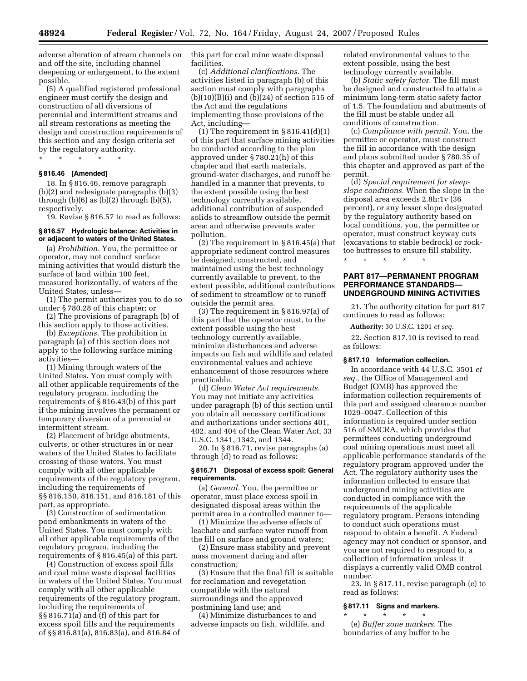adverse alteration of stream channels on and off the site, including channel deepening or enlargement, to the extent possible.

(5) A qualified registered professional engineer must certify the design and construction of all diversions of perennial and intermittent streams and all stream restorations as meeting the design and construction requirements of this section and any design criteria set by the regulatory authority.

\* \* \* \* \*

## **§ 816.46 [Amended]**

18. In § 816.46, remove paragraph (b)(2) and redesignate paragraphs (b)(3) through  $(b)(6)$  as  $(b)(2)$  through  $(b)(5)$ , respectively.

19. Revise § 816.57 to read as follows:

#### **§ 816.57 Hydrologic balance: Activities in or adjacent to waters of the United States.**

(a) *Prohibition.* You, the permittee or operator, may not conduct surface mining activities that would disturb the surface of land within 100 feet, measured horizontally, of waters of the United States, unless—

(1) The permit authorizes you to do so under § 780.28 of this chapter; or

(2) The provisions of paragraph (b) of this section apply to those activities.

(b) *Exceptions.* The prohibition in paragraph (a) of this section does not apply to the following surface mining activities—

(1) Mining through waters of the United States. You must comply with all other applicable requirements of the regulatory program, including the requirements of § 816.43(b) of this part if the mining involves the permanent or temporary diversion of a perennial or intermittent stream.

(2) Placement of bridge abutments, culverts, or other structures in or near waters of the United States to facilitate crossing of those waters. You must comply with all other applicable requirements of the regulatory program, including the requirements of §§ 816.150, 816.151, and 816.181 of this part, as appropriate.

(3) Construction of sedimentation pond embankments in waters of the United States. You must comply with all other applicable requirements of the regulatory program, including the requirements of § 816.45(a) of this part.

(4) Construction of excess spoil fills and coal mine waste disposal facilities in waters of the United States. You must comply with all other applicable requirements of the regulatory program, including the requirements of §§ 816.71(a) and (f) of this part for excess spoil fills and the requirements of §§ 816.81(a), 816.83(a), and 816.84 of

this part for coal mine waste disposal facilities.

(c) *Additional clarifications.* The activities listed in paragraph (b) of this section must comply with paragraphs  $(b)(10)(B)(i)$  and  $(b)(24)$  of section 515 of the Act and the regulations implementing those provisions of the Act, including—

(1) The requirement in  $§ 816.41(d)(1)$ of this part that surface mining activities be conducted according to the plan approved under § 780.21(h) of this chapter and that earth materials, ground-water discharges, and runoff be handled in a manner that prevents, to the extent possible using the best technology currently available, additional contribution of suspended solids to streamflow outside the permit area; and otherwise prevents water pollution.

(2) The requirement in § 816.45(a) that appropriate sediment control measures be designed, constructed, and maintained using the best technology currently available to prevent, to the extent possible, additional contributions of sediment to streamflow or to runoff outside the permit area.

(3) The requirement in § 816.97(a) of this part that the operator must, to the extent possible using the best technology currently available, minimize disturbances and adverse impacts on fish and wildlife and related environmental values and achieve enhancement of those resources where practicable.

(d) *Clean Water Act requirements.*  You may not initiate any activities under paragraph (b) of this section until you obtain all necessary certifications and authorizations under sections 401, 402, and 404 of the Clean Water Act, 33 U.S.C. 1341, 1342, and 1344.

20. In § 816.71, revise paragraphs (a) through (d) to read as follows:

### **§ 816.71 Disposal of excess spoil: General requirements.**

(a) *General.* You, the permittee or operator, must place excess spoil in designated disposal areas within the permit area in a controlled manner to—

(1) Minimize the adverse effects of leachate and surface water runoff from the fill on surface and ground waters;

(2) Ensure mass stability and prevent mass movement during and after construction;

(3) Ensure that the final fill is suitable for reclamation and revegetation compatible with the natural surroundings and the approved postmining land use; and

(4) Minimize disturbances to and adverse impacts on fish, wildlife, and related environmental values to the extent possible, using the best technology currently available.

(b) *Static safety factor.* The fill must be designed and constructed to attain a minimum long-term static safety factor of 1.5. The foundation and abutments of the fill must be stable under all conditions of construction.

(c) *Compliance with permit.* You, the permittee or operator, must construct the fill in accordance with the design and plans submitted under § 780.35 of this chapter and approved as part of the permit.

(d) *Special requirement for steepslope conditions.* When the slope in the disposal area exceeds 2.8h:1v (36 percent), or any lesser slope designated by the regulatory authority based on local conditions, you, the permittee or operator, must construct keyway cuts (excavations to stable bedrock) or rocktoe buttresses to ensure fill stability.

\* \* \* \* \*

# **PART 817—PERMANENT PROGRAM PERFORMANCE STANDARDS— UNDERGROUND MINING ACTIVITIES**

21. The authority citation for part 817 continues to read as follows:

**Authority:** 30 U.S.C. 1201 *et seq.* 

22. Section 817.10 is revised to read as follows:

#### **§ 817.10 Information collection.**

In accordance with 44 U.S.C. 3501 *et seq.*, the Office of Management and Budget (OMB) has approved the information collection requirements of this part and assigned clearance number 1029–0047. Collection of this information is required under section 516 of SMCRA, which provides that permittees conducting underground coal mining operations must meet all applicable performance standards of the regulatory program approved under the Act. The regulatory authority uses the information collected to ensure that underground mining activities are conducted in compliance with the requirements of the applicable regulatory program. Persons intending to conduct such operations must respond to obtain a benefit. A Federal agency may not conduct or sponsor, and you are not required to respond to, a collection of information unless it displays a currently valid OMB control number.

23. In § 817.11, revise paragraph (e) to read as follows:

#### **§ 817.11 Signs and markers.**

\* \* \* \* \* (e) *Buffer zone markers.* The boundaries of any buffer to be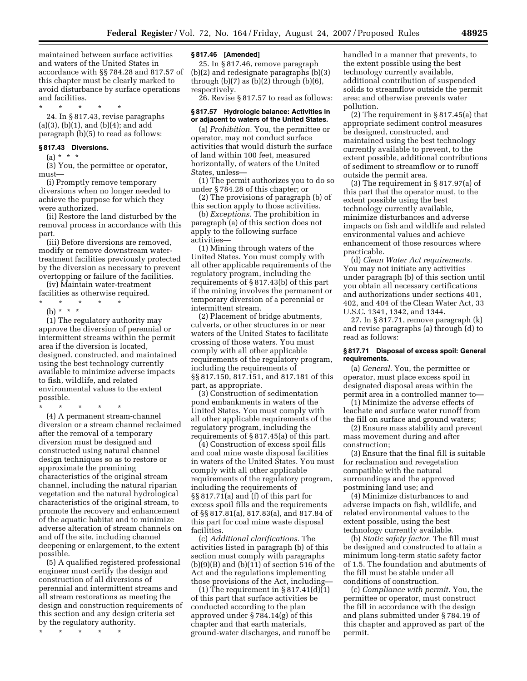maintained between surface activities and waters of the United States in accordance with §§ 784.28 and 817.57 of this chapter must be clearly marked to avoid disturbance by surface operations and facilities.

\* \* \* \* \*

24. In § 817.43, revise paragraphs (a)(3), (b)(1), and (b)(4); and add paragraph (b)(5) to read as follows:

### **§ 817.43 Diversions.**

 $(a) * * * *$ 

(3) You, the permittee or operator, must—

(i) Promptly remove temporary diversions when no longer needed to achieve the purpose for which they were authorized.

(ii) Restore the land disturbed by the removal process in accordance with this part.

(iii) Before diversions are removed, modify or remove downstream watertreatment facilities previously protected by the diversion as necessary to prevent overtopping or failure of the facilities.

(iv) Maintain water-treatment facilities as otherwise required.

- \* \* \* \* \*
- (b) \* \* \*

(1) The regulatory authority may approve the diversion of perennial or intermittent streams within the permit area if the diversion is located, designed, constructed, and maintained using the best technology currently available to minimize adverse impacts to fish, wildlife, and related environmental values to the extent possible.

\* \* \* \* \*

(4) A permanent stream-channel diversion or a stream channel reclaimed after the removal of a temporary diversion must be designed and constructed using natural channel design techniques so as to restore or approximate the premining characteristics of the original stream channel, including the natural riparian vegetation and the natural hydrological characteristics of the original stream, to promote the recovery and enhancement of the aquatic habitat and to minimize adverse alteration of stream channels on and off the site, including channel deepening or enlargement, to the extent possible.

(5) A qualified registered professional engineer must certify the design and construction of all diversions of perennial and intermittent streams and all stream restorations as meeting the design and construction requirements of this section and any design criteria set by the regulatory authority.

\* \* \* \* \*

#### **§ 817.46 [Amended]**

25. In § 817.46, remove paragraph (b)(2) and redesignate paragraphs (b)(3) through  $(b)(7)$  as  $(b)(2)$  through  $(b)(6)$ , respectively.

26. Revise § 817.57 to read as follows:

### **§ 817.57 Hydrologic balance: Activities in or adjacent to waters of the United States.**

(a) *Prohibition.* You, the permittee or operator, may not conduct surface activities that would disturb the surface of land within 100 feet, measured horizontally, of waters of the United States, unless—

(1) The permit authorizes you to do so under § 784.28 of this chapter; or

(2) The provisions of paragraph (b) of this section apply to those activities.

(b) *Exceptions.* The prohibition in paragraph (a) of this section does not apply to the following surface activities—

(1) Mining through waters of the United States. You must comply with all other applicable requirements of the regulatory program, including the requirements of § 817.43(b) of this part if the mining involves the permanent or temporary diversion of a perennial or intermittent stream.

(2) Placement of bridge abutments, culverts, or other structures in or near waters of the United States to facilitate crossing of those waters. You must comply with all other applicable requirements of the regulatory program, including the requirements of §§ 817.150, 817.151, and 817.181 of this part, as appropriate.

(3) Construction of sedimentation pond embankments in waters of the United States. You must comply with all other applicable requirements of the regulatory program, including the requirements of § 817.45(a) of this part.

(4) Construction of excess spoil fills and coal mine waste disposal facilities in waters of the United States. You must comply with all other applicable requirements of the regulatory program, including the requirements of §§ 817.71(a) and (f) of this part for excess spoil fills and the requirements of §§ 817.81(a), 817.83(a), and 817.84 of this part for coal mine waste disposal facilities.

(c) *Additional clarifications.* The activities listed in paragraph (b) of this section must comply with paragraphs  $(b)(9)(B)$  and  $(b)(11)$  of section 516 of the Act and the regulations implementing those provisions of the Act, including—

(1) The requirement in  $\S 817.41(d)(1)$ of this part that surface activities be conducted according to the plan approved under § 784.14(g) of this chapter and that earth materials, ground-water discharges, and runoff be

handled in a manner that prevents, to the extent possible using the best technology currently available, additional contribution of suspended solids to streamflow outside the permit area; and otherwise prevents water pollution.

(2) The requirement in § 817.45(a) that appropriate sediment control measures be designed, constructed, and maintained using the best technology currently available to prevent, to the extent possible, additional contributions of sediment to streamflow or to runoff outside the permit area.

(3) The requirement in § 817.97(a) of this part that the operator must, to the extent possible using the best technology currently available, minimize disturbances and adverse impacts on fish and wildlife and related environmental values and achieve enhancement of those resources where practicable.

(d) *Clean Water Act requirements.*  You may not initiate any activities under paragraph (b) of this section until you obtain all necessary certifications and authorizations under sections 401, 402, and 404 of the Clean Water Act, 33 U.S.C. 1341, 1342, and 1344.

27. In § 817.71, remove paragraph (k) and revise paragraphs (a) through (d) to read as follows:

## **§ 817.71 Disposal of excess spoil: General requirements.**

(a) *General.* You, the permittee or operator, must place excess spoil in designated disposal areas within the permit area in a controlled manner to—

(1) Minimize the adverse effects of leachate and surface water runoff from the fill on surface and ground waters;

(2) Ensure mass stability and prevent mass movement during and after construction;

(3) Ensure that the final fill is suitable for reclamation and revegetation compatible with the natural surroundings and the approved postmining land use; and

(4) Minimize disturbances to and adverse impacts on fish, wildlife, and related environmental values to the extent possible, using the best technology currently available.

(b) *Static safety factor.* The fill must be designed and constructed to attain a minimum long-term static safety factor of 1.5. The foundation and abutments of the fill must be stable under all conditions of construction.

(c) *Compliance with permit.* You, the permittee or operator, must construct the fill in accordance with the design and plans submitted under § 784.19 of this chapter and approved as part of the permit.